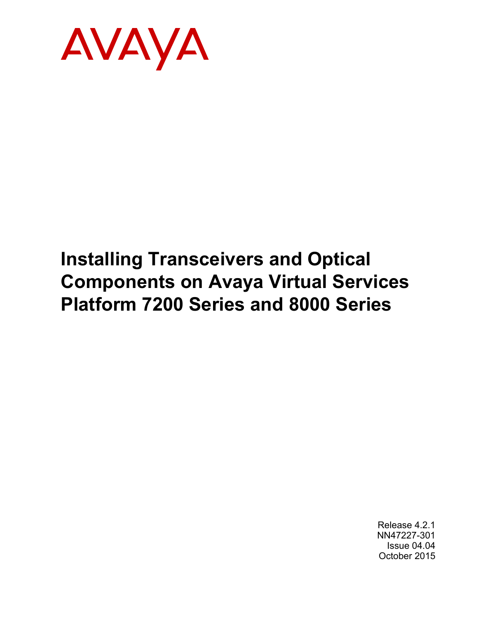

# **Installing Transceivers and Optical Components on Avaya Virtual Services Platform 7200 Series and 8000 Series**

Release 4.2.1 NN47227-301 Issue 04.04 October 2015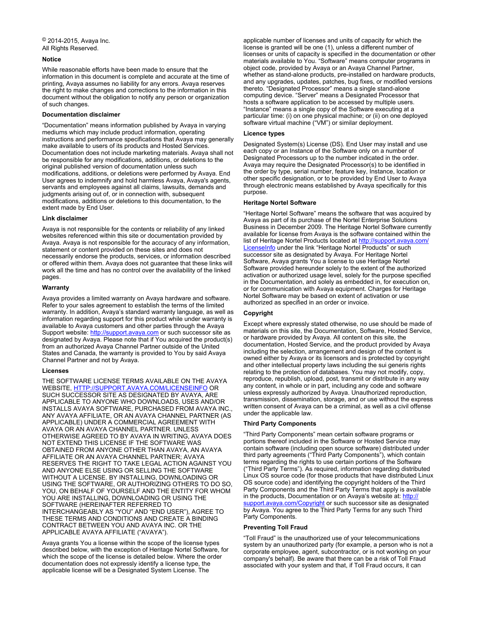#### **Notice**

While reasonable efforts have been made to ensure that the information in this document is complete and accurate at the time of printing, Avaya assumes no liability for any errors. Avaya reserves the right to make changes and corrections to the information in this document without the obligation to notify any person or organization of such changes.

#### **Documentation disclaimer**

"Documentation" means information published by Avaya in varying mediums which may include product information, operating instructions and performance specifications that Avaya may generally make available to users of its products and Hosted Services. Documentation does not include marketing materials. Avaya shall not be responsible for any modifications, additions, or deletions to the original published version of documentation unless such modifications, additions, or deletions were performed by Avaya. End User agrees to indemnify and hold harmless Avaya, Avaya's agents, servants and employees against all claims, lawsuits, demands and judgments arising out of, or in connection with, subsequent modifications, additions or deletions to this documentation, to the extent made by End User.

#### **Link disclaimer**

Avaya is not responsible for the contents or reliability of any linked websites referenced within this site or documentation provided by Avaya. Avaya is not responsible for the accuracy of any information, statement or content provided on these sites and does not necessarily endorse the products, services, or information described or offered within them. Avaya does not guarantee that these links will work all the time and has no control over the availability of the linked pages.

#### **Warranty**

Avaya provides a limited warranty on Avaya hardware and software. Refer to your sales agreement to establish the terms of the limited warranty. In addition, Avaya's standard warranty language, as well as information regarding support for this product while under warranty is available to Avaya customers and other parties through the Avaya Support website: [http://support.avaya.com](http://support.avaya.com/) or such successor site as designated by Avaya. Please note that if You acquired the product(s) from an authorized Avaya Channel Partner outside of the United States and Canada, the warranty is provided to You by said Avaya Channel Partner and not by Avaya.

#### **Licenses**

THE SOFTWARE LICENSE TERMS AVAILABLE ON THE AVAYA WEBSITE, [HTTP://SUPPORT.AVAYA.COM/LICENSEINFO](http://support.avaya.com/LicenseInfo) OR SUCH SUCCESSOR SITE AS DESIGNATED BY AVAYA, ARE APPLICABLE TO ANYONE WHO DOWNLOADS, USES AND/OR INSTALLS AVAYA SOFTWARE, PURCHASED FROM AVAYA INC. ANY AVAYA AFFILIATE, OR AN AVAYA CHANNEL PARTNER (AS APPLICABLE) UNDER A COMMERCIAL AGREEMENT WITH AVAYA OR AN AVAYA CHANNEL PARTNER. UNLESS OTHERWISE AGREED TO BY AVAYA IN WRITING, AVAYA DOES NOT EXTEND THIS LICENSE IF THE SOFTWARE WAS OBTAINED FROM ANYONE OTHER THAN AVAYA, AN AVAYA AFFILIATE OR AN AVAYA CHANNEL PARTNER; AVAYA RESERVES THE RIGHT TO TAKE LEGAL ACTION AGAINST YOU AND ANYONE ELSE USING OR SELLING THE SOFTWARE WITHOUT A LICENSE. BY INSTALLING, DOWNLOADING OR USING THE SOFTWARE, OR AUTHORIZING OTHERS TO DO SO, YOU, ON BEHALF OF YOURSELF AND THE ENTITY FOR WHOM YOU ARE INSTALLING, DOWNLOADING OR USING THE SOFTWARE (HEREINAFTER REFERRED TO INTERCHANGEABLY AS "YOU" AND "END USER"), AGREE TO THESE TERMS AND CONDITIONS AND CREATE A BINDING CONTRACT BETWEEN YOU AND AVAYA INC. OR THE APPLICABLE AVAYA AFFILIATE ("AVAYA").

Avaya grants You a license within the scope of the license types described below, with the exception of Heritage Nortel Software, for which the scope of the license is detailed below. Where the order documentation does not expressly identify a license type, the applicable license will be a Designated System License. The

applicable number of licenses and units of capacity for which the license is granted will be one (1), unless a different number of licenses or units of capacity is specified in the documentation or other materials available to You. "Software" means computer programs in object code, provided by Avaya or an Avaya Channel Partner, whether as stand-alone products, pre-installed on hardware products, and any upgrades, updates, patches, bug fixes, or modified versions thereto. "Designated Processor" means a single stand-alone computing device. "Server" means a Designated Processor that hosts a software application to be accessed by multiple users. "Instance" means a single copy of the Software executing at a particular time: (i) on one physical machine; or (ii) on one deployed software virtual machine ("VM") or similar deployment.

#### **Licence types**

Designated System(s) License (DS). End User may install and use each copy or an Instance of the Software only on a number of Designated Processors up to the number indicated in the order. Avaya may require the Designated Processor(s) to be identified in the order by type, serial number, feature key, Instance, location or other specific designation, or to be provided by End User to Avaya through electronic means established by Avaya specifically for this purpose.

#### **Heritage Nortel Software**

"Heritage Nortel Software" means the software that was acquired by Avaya as part of its purchase of the Nortel Enterprise Solutions Business in December 2009. The Heritage Nortel Software currently available for license from Avaya is the software contained within the list of Heritage Nortel Products located at [http://support.avaya.com/](http://support.avaya.com/LicenseInfo) [LicenseInfo](http://support.avaya.com/LicenseInfo) under the link "Heritage Nortel Products" or such successor site as designated by Avaya. For Heritage Nortel Software, Avaya grants You a license to use Heritage Nortel Software provided hereunder solely to the extent of the authorized activation or authorized usage level, solely for the purpose specified in the Documentation, and solely as embedded in, for execution on, or for communication with Avaya equipment. Charges for Heritage Nortel Software may be based on extent of activation or use authorized as specified in an order or invoice.

#### **Copyright**

Except where expressly stated otherwise, no use should be made of materials on this site, the Documentation, Software, Hosted Service, or hardware provided by Avaya. All content on this site, the documentation, Hosted Service, and the product provided by Avaya including the selection, arrangement and design of the content is owned either by Avaya or its licensors and is protected by copyright and other intellectual property laws including the sui generis rights relating to the protection of databases. You may not modify, copy, reproduce, republish, upload, post, transmit or distribute in any way any content, in whole or in part, including any code and software unless expressly authorized by Avaya. Unauthorized reproduction, transmission, dissemination, storage, and or use without the express written consent of Avaya can be a criminal, as well as a civil offense under the applicable law.

#### **Third Party Components**

"Third Party Components" mean certain software programs or portions thereof included in the Software or Hosted Service may contain software (including open source software) distributed under third party agreements ("Third Party Components"), which contain terms regarding the rights to use certain portions of the Software ("Third Party Terms"). As required, information regarding distributed Linux OS source code (for those products that have distributed Linux OS source code) and identifying the copyright holders of the Third Party Components and the Third Party Terms that apply is available in the products, Documentation or on Avaya's website at: [http://](http://support.avaya.com/Copyright) [support.avaya.com/Copyright](http://support.avaya.com/Copyright) or such successor site as designated by Avaya. You agree to the Third Party Terms for any such Third Party Components.

#### **Preventing Toll Fraud**

"Toll Fraud" is the unauthorized use of your telecommunications system by an unauthorized party (for example, a person who is not a corporate employee, agent, subcontractor, or is not working on your company's behalf). Be aware that there can be a risk of Toll Fraud associated with your system and that, if Toll Fraud occurs, it can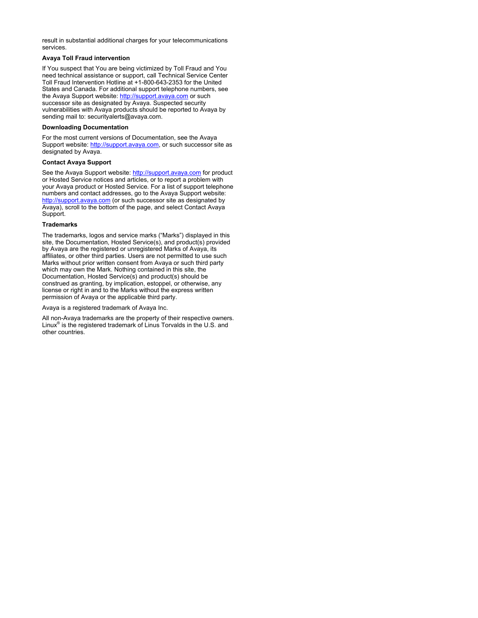result in substantial additional charges for your telecommunications services.

#### **Avaya Toll Fraud intervention**

If You suspect that You are being victimized by Toll Fraud and You need technical assistance or support, call Technical Service Center Toll Fraud Intervention Hotline at +1-800-643-2353 for the United States and Canada. For additional support telephone numbers, see the Avaya Support website: <http://support.avaya.com> or such successor site as designated by Avaya. Suspected security vulnerabilities with Avaya products should be reported to Avaya by sending mail to: securityalerts@avaya.com.

#### **Downloading Documentation**

For the most current versions of Documentation, see the Avaya Support website: <http://support.avaya.com>, or such successor site as designated by Avaya.

#### **Contact Avaya Support**

See the Avaya Support website:<http://support.avaya.com>for product or Hosted Service notices and articles, or to report a problem with your Avaya product or Hosted Service. For a list of support telephone numbers and contact addresses, go to the Avaya Support website: <http://support.avaya.com>(or such successor site as designated by Avaya), scroll to the bottom of the page, and select Contact Avaya Support.

#### **Trademarks**

The trademarks, logos and service marks ("Marks") displayed in this site, the Documentation, Hosted Service(s), and product(s) provided by Avaya are the registered or unregistered Marks of Avaya, its affiliates, or other third parties. Users are not permitted to use such Marks without prior written consent from Avaya or such third party which may own the Mark. Nothing contained in this site, the Documentation, Hosted Service(s) and product(s) should be construed as granting, by implication, estoppel, or otherwise, any license or right in and to the Marks without the express written permission of Avaya or the applicable third party.

Avaya is a registered trademark of Avaya Inc.

All non-Avaya trademarks are the property of their respective owners. Linux® is the registered trademark of Linus Torvalds in the U.S. and other countries.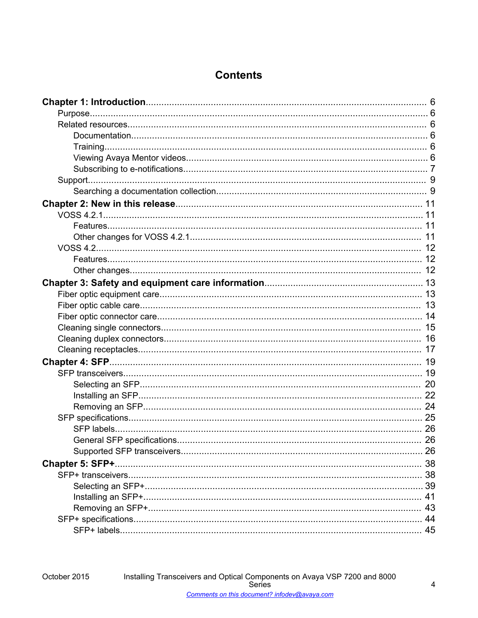# **Contents**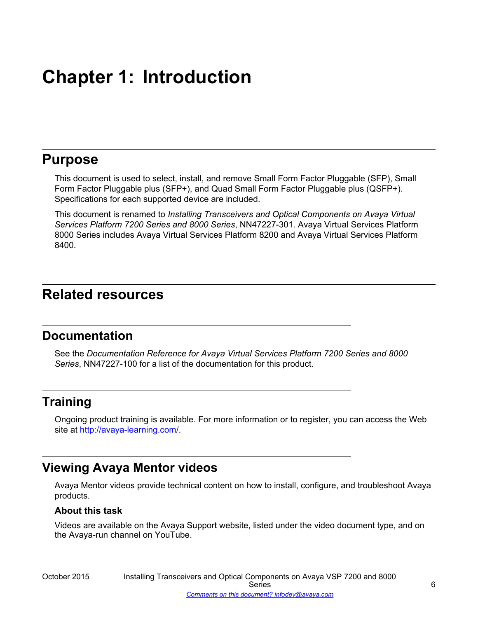# <span id="page-5-0"></span>**Chapter 1: Introduction**

# **Purpose**

This document is used to select, install, and remove Small Form Factor Pluggable (SFP), Small Form Factor Pluggable plus (SFP+), and Quad Small Form Factor Pluggable plus (QSFP+). Specifications for each supported device are included.

This document is renamed to *Installing Transceivers and Optical Components on Avaya Virtual Services Platform 7200 Series and 8000 Series*, NN47227-301. Avaya Virtual Services Platform 8000 Series includes Avaya Virtual Services Platform 8200 and Avaya Virtual Services Platform 8400.

# **Related resources**

# **Documentation**

See the *Documentation Reference for Avaya Virtual Services Platform 7200 Series and 8000 Series*, NN47227-100 for a list of the documentation for this product.

# **Training**

Ongoing product training is available. For more information or to register, you can access the Web site at [http://avaya-learning.com/.](http://avaya-learning.com/)

# **Viewing Avaya Mentor videos**

Avaya Mentor videos provide technical content on how to install, configure, and troubleshoot Avaya products.

## **About this task**

Videos are available on the Avaya Support website, listed under the video document type, and on the Avaya-run channel on YouTube.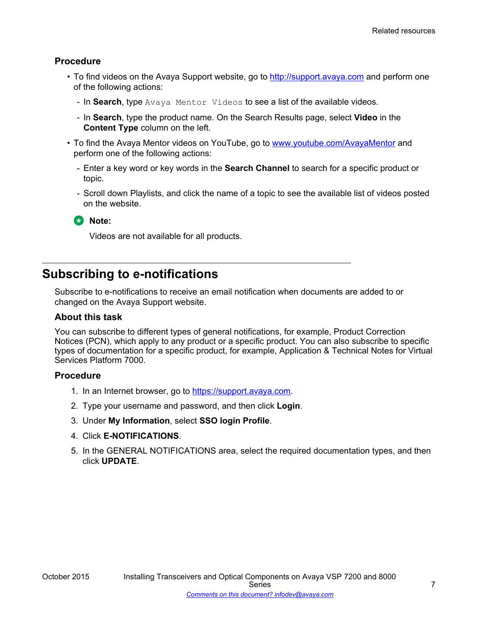# <span id="page-6-0"></span>**Procedure**

- To find videos on the Avaya Support website, go to [http://support.avaya.com](http://support.avaya.com/) and perform one of the following actions:
	- In **Search**, type Avaya Mentor Videos to see a list of the available videos.
	- In **Search**, type the product name. On the Search Results page, select **Video** in the **Content Type** column on the left.
- To find the Avaya Mentor videos on YouTube, go to [www.youtube.com/AvayaMentor](http://www.youtube.com/AvayaMentor) and perform one of the following actions:
	- Enter a key word or key words in the **Search Channel** to search for a specific product or topic.
	- Scroll down Playlists, and click the name of a topic to see the available list of videos posted on the website.

**RNote:** 

Videos are not available for all products.

# **Subscribing to e-notifications**

Subscribe to e-notifications to receive an email notification when documents are added to or changed on the Avaya Support website.

#### **About this task**

You can subscribe to different types of general notifications, for example, Product Correction Notices (PCN), which apply to any product or a specific product. You can also subscribe to specific types of documentation for a specific product, for example, Application & Technical Notes for Virtual Services Platform 7000.

## **Procedure**

- 1. In an Internet browser, go to [https://support.avaya.com](https://support.avaya.com/).
- 2. Type your username and password, and then click **Login**.
- 3. Under **My Information**, select **SSO login Profile**.
- 4. Click **E-NOTIFICATIONS**.
- 5. In the GENERAL NOTIFICATIONS area, select the required documentation types, and then click **UPDATE**.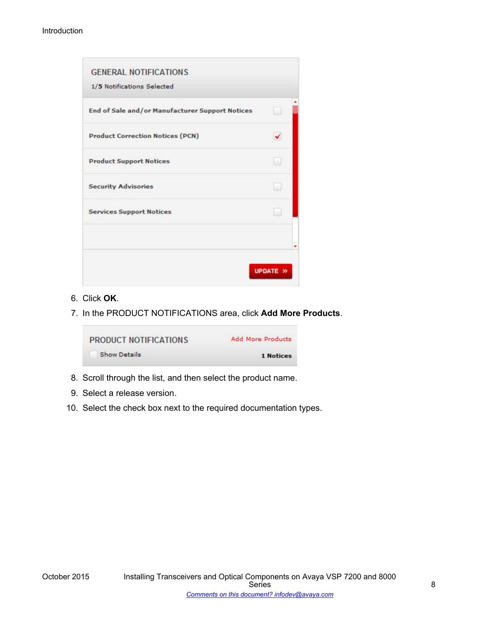| End of Sale and/or Manufacturer Support Notices |  |
|-------------------------------------------------|--|
| <b>Product Correction Notices (PCN)</b>         |  |
| <b>Product Support Notices</b>                  |  |
| <b>Security Advisories</b>                      |  |
| <b>Services Support Notices</b>                 |  |
|                                                 |  |

- 6. Click **OK**.
- 7. In the PRODUCT NOTIFICATIONS area, click **Add More Products**.

| <b>PRODUCT NOTIFICATIONS</b> | <b>Add More Products</b> |
|------------------------------|--------------------------|
| <b>Show Details</b>          | 1 Notices                |

- 8. Scroll through the list, and then select the product name.
- 9. Select a release version.
- 10. Select the check box next to the required documentation types.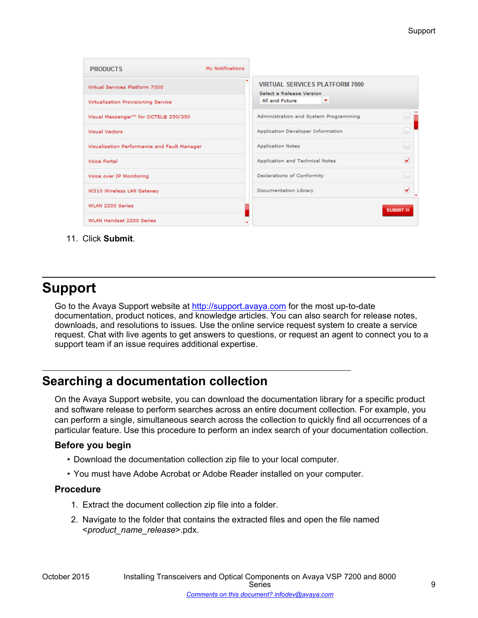<span id="page-8-0"></span>

| <b>PRODUCTS</b>                                   | <b>My Notifications</b> |                                                                   |                        |
|---------------------------------------------------|-------------------------|-------------------------------------------------------------------|------------------------|
| Virtual Services Platform 7000                    |                         | <b>VIRTUAL SERVICES PLATFORM 7000</b><br>Select a Release Version |                        |
| Virtualization Provisioning Service               |                         | All and Future<br>٠                                               |                        |
| Visual Messenger <sup>16</sup> for OCTEL® 250/350 |                         | Administration and System Programming                             |                        |
| <b>Visual Vectors</b>                             |                         | Application Developer Information                                 |                        |
| Visualization Performance and Fault Manager       |                         | <b>Application Notes</b>                                          | w                      |
| <b>Voice Portal</b>                               |                         | Application and Technical Notes                                   | ✓                      |
| Voice over IP Monitoring                          |                         | Declarations of Conformity                                        |                        |
| W310 Wireless LAN Gateway                         |                         | Documentation Library                                             | ↵                      |
| <b>WLAN 2200 Series</b>                           |                         |                                                                   | <b>SUBMIT &gt;&gt;</b> |
| <b>WLAN Handset 2200 Series</b>                   |                         |                                                                   |                        |

11. Click **Submit**.

# **Support**

Go to the Avaya Support website at<http://support.avaya.com>for the most up-to-date documentation, product notices, and knowledge articles. You can also search for release notes, downloads, and resolutions to issues. Use the online service request system to create a service request. Chat with live agents to get answers to questions, or request an agent to connect you to a support team if an issue requires additional expertise.

# **Searching a documentation collection**

On the Avaya Support website, you can download the documentation library for a specific product and software release to perform searches across an entire document collection. For example, you can perform a single, simultaneous search across the collection to quickly find all occurrences of a particular feature. Use this procedure to perform an index search of your documentation collection.

# **Before you begin**

- Download the documentation collection zip file to your local computer.
- You must have Adobe Acrobat or Adobe Reader installed on your computer.

## **Procedure**

- 1. Extract the document collection zip file into a folder.
- 2. Navigate to the folder that contains the extracted files and open the file named <*product\_name\_release*>.pdx.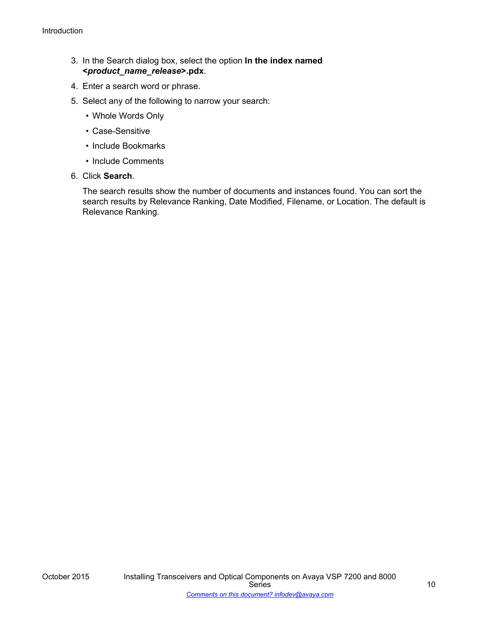- 3. In the Search dialog box, select the option **In the index named <***product\_name\_release***>.pdx**.
- 4. Enter a search word or phrase.
- 5. Select any of the following to narrow your search:
	- Whole Words Only
	- Case-Sensitive
	- Include Bookmarks
	- Include Comments
- 6. Click **Search**.

The search results show the number of documents and instances found. You can sort the search results by Relevance Ranking, Date Modified, Filename, or Location. The default is Relevance Ranking.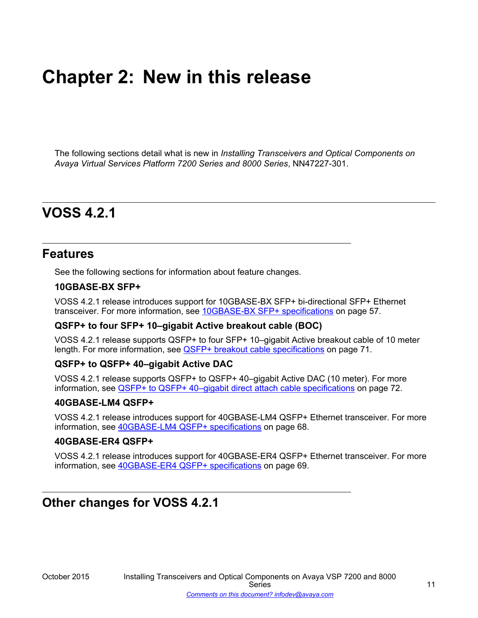# <span id="page-10-0"></span>**Chapter 2: New in this release**

The following sections detail what is new in *Installing Transceivers and Optical Components on Avaya Virtual Services Platform 7200 Series and 8000 Series*, NN47227-301.

# **VOSS 4.2.1**

# **Features**

See the following sections for information about feature changes.

#### **10GBASE-BX SFP+**

VOSS 4.2.1 release introduces support for 10GBASE-BX SFP+ bi-directional SFP+ Ethernet transceiver. For more information, see [10GBASE-BX SFP+ specifications](#page-56-0) on page 57.

## **QSFP+ to four SFP+ 10–gigabit Active breakout cable (BOC)**

VOSS 4.2.1 release supports QSFP+ to four SFP+ 10–gigabit Active breakout cable of 10 meter length. For more information, see [QSFP+ breakout cable specifications](#page-70-0) on page 71.

#### **QSFP+ to QSFP+ 40–gigabit Active DAC**

VOSS 4.2.1 release supports QSFP+ to QSFP+ 40–gigabit Active DAC (10 meter). For more information, see [QSFP+ to QSFP+ 40–gigabit direct attach cable specifications](#page-71-0) on page 72.

#### **40GBASE-LM4 QSFP+**

VOSS 4.2.1 release introduces support for 40GBASE-LM4 QSFP+ Ethernet transceiver. For more information, see [40GBASE-LM4 QSFP+ specifications](#page-67-0) on page 68.

#### **40GBASE-ER4 QSFP+**

VOSS 4.2.1 release introduces support for 40GBASE-ER4 QSFP+ Ethernet transceiver. For more information, see [40GBASE-ER4 QSFP+ specifications](#page-68-0) on page 69.

# **Other changes for VOSS 4.2.1**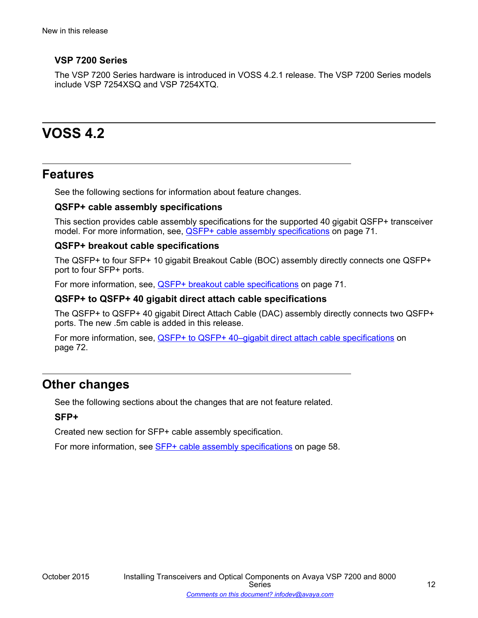# <span id="page-11-0"></span>**VSP 7200 Series**

The VSP 7200 Series hardware is introduced in VOSS 4.2.1 release. The VSP 7200 Series models include VSP 7254XSQ and VSP 7254XTQ.

# **VOSS 4.2**

# **Features**

See the following sections for information about feature changes.

# **QSFP+ cable assembly specifications**

This section provides cable assembly specifications for the supported 40 gigabit QSFP+ transceiver model. For more information, see, [QSFP+ cable assembly specifications](#page-70-0) on page 71.

## **QSFP+ breakout cable specifications**

The QSFP+ to four SFP+ 10 gigabit Breakout Cable (BOC) assembly directly connects one QSFP+ port to four SFP+ ports.

For more information, see, [QSFP+ breakout cable specifications](#page-70-0) on page 71.

#### **QSFP+ to QSFP+ 40 gigabit direct attach cable specifications**

The QSFP+ to QSFP+ 40 gigabit Direct Attach Cable (DAC) assembly directly connects two QSFP+ ports. The new .5m cable is added in this release.

For more information, see, [QSFP+ to QSFP+ 40–gigabit direct attach cable specifications](#page-71-0) on page 72.

# **Other changes**

See the following sections about the changes that are not feature related.

## **SFP+**

Created new section for SFP+ cable assembly specification.

For more information, see [SFP+ cable assembly specifications](#page-57-0) on page 58.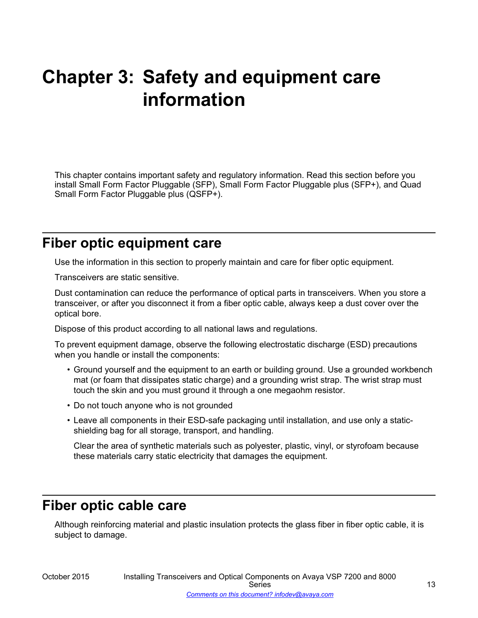# <span id="page-12-0"></span>**Chapter 3: Safety and equipment care information**

This chapter contains important safety and regulatory information. Read this section before you install Small Form Factor Pluggable (SFP), Small Form Factor Pluggable plus (SFP+), and Quad Small Form Factor Pluggable plus (QSFP+).

# **Fiber optic equipment care**

Use the information in this section to properly maintain and care for fiber optic equipment.

Transceivers are static sensitive.

Dust contamination can reduce the performance of optical parts in transceivers. When you store a transceiver, or after you disconnect it from a fiber optic cable, always keep a dust cover over the optical bore.

Dispose of this product according to all national laws and regulations.

To prevent equipment damage, observe the following electrostatic discharge (ESD) precautions when you handle or install the components:

- Ground yourself and the equipment to an earth or building ground. Use a grounded workbench mat (or foam that dissipates static charge) and a grounding wrist strap. The wrist strap must touch the skin and you must ground it through a one megaohm resistor.
- Do not touch anyone who is not grounded
- Leave all components in their ESD-safe packaging until installation, and use only a staticshielding bag for all storage, transport, and handling.

Clear the area of synthetic materials such as polyester, plastic, vinyl, or styrofoam because these materials carry static electricity that damages the equipment.

# **Fiber optic cable care**

Although reinforcing material and plastic insulation protects the glass fiber in fiber optic cable, it is subject to damage.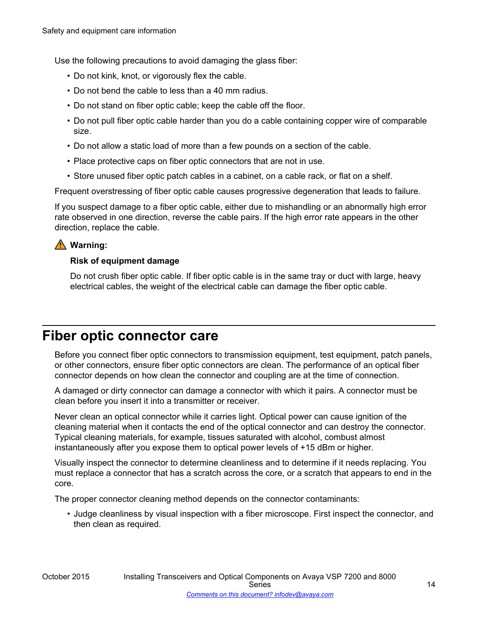<span id="page-13-0"></span>Use the following precautions to avoid damaging the glass fiber:

- Do not kink, knot, or vigorously flex the cable.
- Do not bend the cable to less than a 40 mm radius.
- Do not stand on fiber optic cable; keep the cable off the floor.
- Do not pull fiber optic cable harder than you do a cable containing copper wire of comparable size.
- Do not allow a static load of more than a few pounds on a section of the cable.
- Place protective caps on fiber optic connectors that are not in use.
- Store unused fiber optic patch cables in a cabinet, on a cable rack, or flat on a shelf.

Frequent overstressing of fiber optic cable causes progressive degeneration that leads to failure.

If you suspect damage to a fiber optic cable, either due to mishandling or an abnormally high error rate observed in one direction, reverse the cable pairs. If the high error rate appears in the other direction, replace the cable.

# **Warning:**

# **Risk of equipment damage**

Do not crush fiber optic cable. If fiber optic cable is in the same tray or duct with large, heavy electrical cables, the weight of the electrical cable can damage the fiber optic cable.

# **Fiber optic connector care**

Before you connect fiber optic connectors to transmission equipment, test equipment, patch panels, or other connectors, ensure fiber optic connectors are clean. The performance of an optical fiber connector depends on how clean the connector and coupling are at the time of connection.

A damaged or dirty connector can damage a connector with which it pairs. A connector must be clean before you insert it into a transmitter or receiver.

Never clean an optical connector while it carries light. Optical power can cause ignition of the cleaning material when it contacts the end of the optical connector and can destroy the connector. Typical cleaning materials, for example, tissues saturated with alcohol, combust almost instantaneously after you expose them to optical power levels of +15 dBm or higher.

Visually inspect the connector to determine cleanliness and to determine if it needs replacing. You must replace a connector that has a scratch across the core, or a scratch that appears to end in the core.

The proper connector cleaning method depends on the connector contaminants:

• Judge cleanliness by visual inspection with a fiber microscope. First inspect the connector, and then clean as required.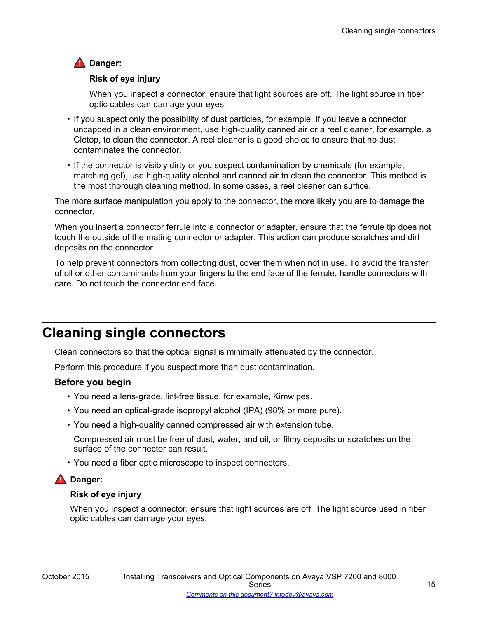# <span id="page-14-0"></span>**A** Danger:

# **Risk of eye injury**

When you inspect a connector, ensure that light sources are off. The light source in fiber optic cables can damage your eyes.

- If you suspect only the possibility of dust particles, for example, if you leave a connector uncapped in a clean environment, use high-quality canned air or a reel cleaner, for example, a Cletop, to clean the connector. A reel cleaner is a good choice to ensure that no dust contaminates the connector.
- If the connector is visibly dirty or you suspect contamination by chemicals (for example, matching gel), use high-quality alcohol and canned air to clean the connector. This method is the most thorough cleaning method. In some cases, a reel cleaner can suffice.

The more surface manipulation you apply to the connector, the more likely you are to damage the connector.

When you insert a connector ferrule into a connector or adapter, ensure that the ferrule tip does not touch the outside of the mating connector or adapter. This action can produce scratches and dirt deposits on the connector.

To help prevent connectors from collecting dust, cover them when not in use. To avoid the transfer of oil or other contaminants from your fingers to the end face of the ferrule, handle connectors with care. Do not touch the connector end face.

# **Cleaning single connectors**

Clean connectors so that the optical signal is minimally attenuated by the connector.

Perform this procedure if you suspect more than dust contamination.

# **Before you begin**

- You need a lens-grade, lint-free tissue, for example, Kimwipes.
- You need an optical-grade isopropyl alcohol (IPA) (98% or more pure).
- You need a high-quality canned compressed air with extension tube.

Compressed air must be free of dust, water, and oil, or filmy deposits or scratches on the surface of the connector can result.

• You need a fiber optic microscope to inspect connectors.

# **A** Danger:

## **Risk of eye injury**

When you inspect a connector, ensure that light sources are off. The light source used in fiber optic cables can damage your eyes.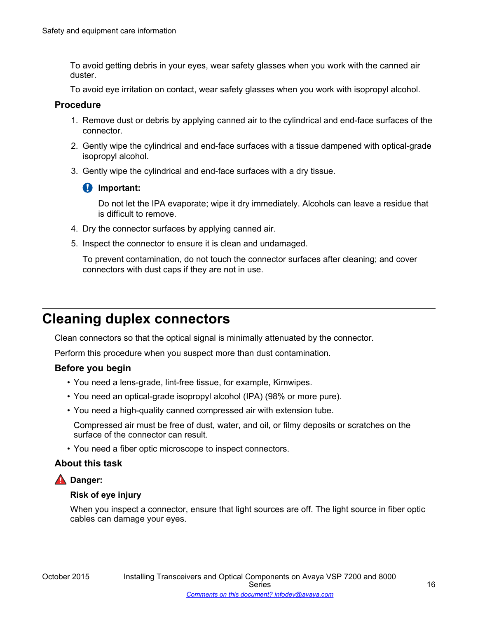<span id="page-15-0"></span>To avoid getting debris in your eyes, wear safety glasses when you work with the canned air duster.

To avoid eye irritation on contact, wear safety glasses when you work with isopropyl alcohol.

## **Procedure**

- 1. Remove dust or debris by applying canned air to the cylindrical and end-face surfaces of the connector.
- 2. Gently wipe the cylindrical and end-face surfaces with a tissue dampened with optical-grade isopropyl alcohol.
- 3. Gently wipe the cylindrical and end-face surfaces with a dry tissue.

## **Important:**

Do not let the IPA evaporate; wipe it dry immediately. Alcohols can leave a residue that is difficult to remove.

- 4. Dry the connector surfaces by applying canned air.
- 5. Inspect the connector to ensure it is clean and undamaged.

To prevent contamination, do not touch the connector surfaces after cleaning; and cover connectors with dust caps if they are not in use.

# **Cleaning duplex connectors**

Clean connectors so that the optical signal is minimally attenuated by the connector.

Perform this procedure when you suspect more than dust contamination.

## **Before you begin**

- You need a lens-grade, lint-free tissue, for example, Kimwipes.
- You need an optical-grade isopropyl alcohol (IPA) (98% or more pure).
- You need a high-quality canned compressed air with extension tube.

Compressed air must be free of dust, water, and oil, or filmy deposits or scratches on the surface of the connector can result.

• You need a fiber optic microscope to inspect connectors.

## **About this task**

# **A** Danger:

## **Risk of eye injury**

When you inspect a connector, ensure that light sources are off. The light source in fiber optic cables can damage your eyes.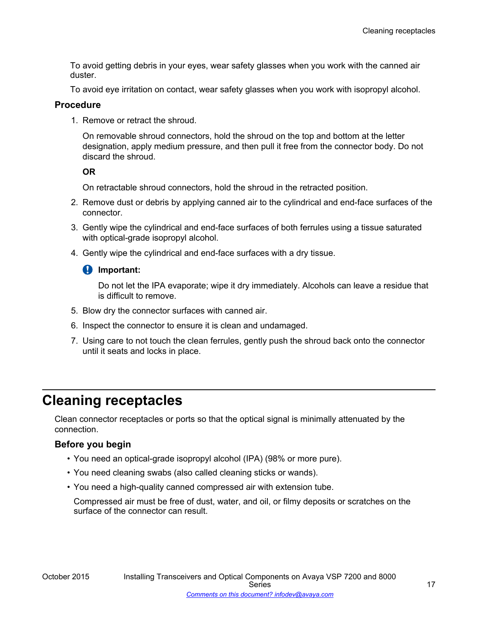<span id="page-16-0"></span>To avoid getting debris in your eyes, wear safety glasses when you work with the canned air duster.

To avoid eye irritation on contact, wear safety glasses when you work with isopropyl alcohol.

#### **Procedure**

1. Remove or retract the shroud.

On removable shroud connectors, hold the shroud on the top and bottom at the letter designation, apply medium pressure, and then pull it free from the connector body. Do not discard the shroud.

#### **OR**

On retractable shroud connectors, hold the shroud in the retracted position.

- 2. Remove dust or debris by applying canned air to the cylindrical and end-face surfaces of the connector.
- 3. Gently wipe the cylindrical and end-face surfaces of both ferrules using a tissue saturated with optical-grade isopropyl alcohol.
- 4. Gently wipe the cylindrical and end-face surfaces with a dry tissue.

## *<u></u>* Important:

Do not let the IPA evaporate; wipe it dry immediately. Alcohols can leave a residue that is difficult to remove.

- 5. Blow dry the connector surfaces with canned air.
- 6. Inspect the connector to ensure it is clean and undamaged.
- 7. Using care to not touch the clean ferrules, gently push the shroud back onto the connector until it seats and locks in place.

# **Cleaning receptacles**

Clean connector receptacles or ports so that the optical signal is minimally attenuated by the connection.

## **Before you begin**

- You need an optical-grade isopropyl alcohol (IPA) (98% or more pure).
- You need cleaning swabs (also called cleaning sticks or wands).
- You need a high-quality canned compressed air with extension tube.

Compressed air must be free of dust, water, and oil, or filmy deposits or scratches on the surface of the connector can result.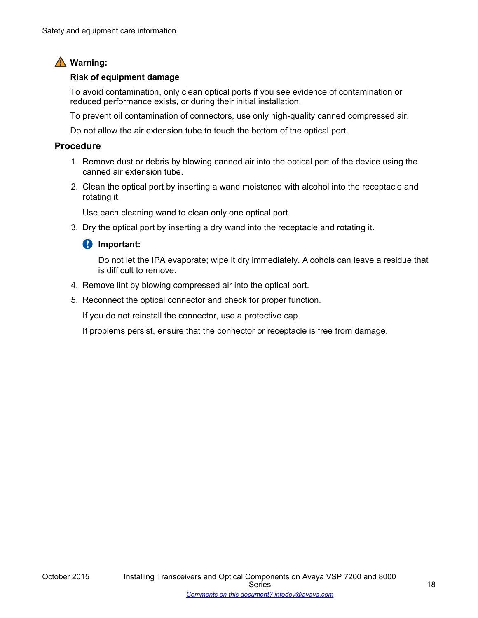# **Warning:**

#### **Risk of equipment damage**

To avoid contamination, only clean optical ports if you see evidence of contamination or reduced performance exists, or during their initial installation.

To prevent oil contamination of connectors, use only high-quality canned compressed air.

Do not allow the air extension tube to touch the bottom of the optical port.

## **Procedure**

- 1. Remove dust or debris by blowing canned air into the optical port of the device using the canned air extension tube.
- 2. Clean the optical port by inserting a wand moistened with alcohol into the receptacle and rotating it.

Use each cleaning wand to clean only one optical port.

3. Dry the optical port by inserting a dry wand into the receptacle and rotating it.

## *<u>D* Important:</u>

Do not let the IPA evaporate; wipe it dry immediately. Alcohols can leave a residue that is difficult to remove.

- 4. Remove lint by blowing compressed air into the optical port.
- 5. Reconnect the optical connector and check for proper function.

If you do not reinstall the connector, use a protective cap.

If problems persist, ensure that the connector or receptacle is free from damage.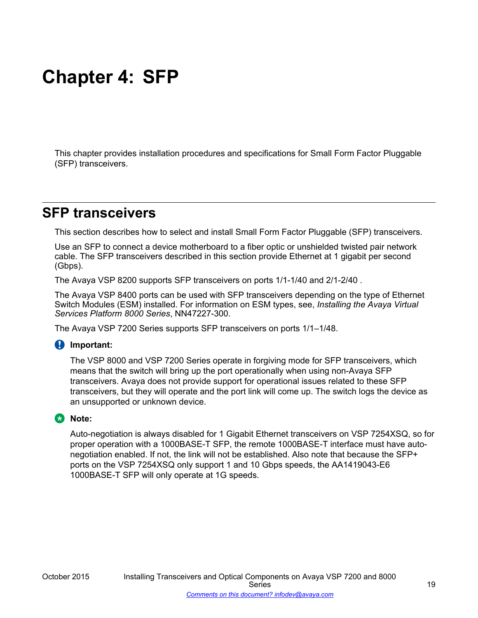# <span id="page-18-0"></span>**Chapter 4: SFP**

This chapter provides installation procedures and specifications for Small Form Factor Pluggable (SFP) transceivers.

# **SFP transceivers**

This section describes how to select and install Small Form Factor Pluggable (SFP) transceivers.

Use an SFP to connect a device motherboard to a fiber optic or unshielded twisted pair network cable. The SFP transceivers described in this section provide Ethernet at 1 gigabit per second (Gbps).

The Avaya VSP 8200 supports SFP transceivers on ports 1/1-1/40 and 2/1-2/40 .

The Avaya VSP 8400 ports can be used with SFP transceivers depending on the type of Ethernet Switch Modules (ESM) installed. For information on ESM types, see, *Installing the Avaya Virtual Services Platform 8000 Series*, NN47227-300.

The Avaya VSP 7200 Series supports SFP transceivers on ports 1/1–1/48.

## **Important:**

The VSP 8000 and VSP 7200 Series operate in forgiving mode for SFP transceivers, which means that the switch will bring up the port operationally when using non-Avaya SFP transceivers. Avaya does not provide support for operational issues related to these SFP transceivers, but they will operate and the port link will come up. The switch logs the device as an unsupported or unknown device.

## **CR** Note:

Auto-negotiation is always disabled for 1 Gigabit Ethernet transceivers on VSP 7254XSQ, so for proper operation with a 1000BASE-T SFP, the remote 1000BASE-T interface must have autonegotiation enabled. If not, the link will not be established. Also note that because the SFP+ ports on the VSP 7254XSQ only support 1 and 10 Gbps speeds, the AA1419043-E6 1000BASE-T SFP will only operate at 1G speeds.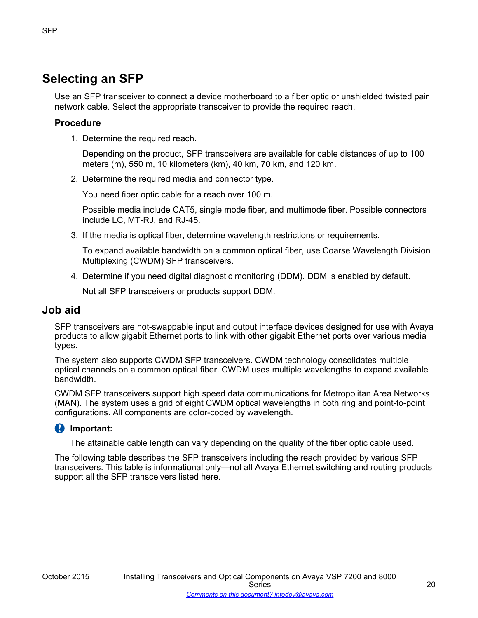# <span id="page-19-0"></span>**Selecting an SFP**

Use an SFP transceiver to connect a device motherboard to a fiber optic or unshielded twisted pair network cable. Select the appropriate transceiver to provide the required reach.

# **Procedure**

1. Determine the required reach.

Depending on the product, SFP transceivers are available for cable distances of up to 100 meters (m), 550 m, 10 kilometers (km), 40 km, 70 km, and 120 km.

2. Determine the required media and connector type.

You need fiber optic cable for a reach over 100 m.

Possible media include CAT5, single mode fiber, and multimode fiber. Possible connectors include LC, MT-RJ, and RJ-45.

3. If the media is optical fiber, determine wavelength restrictions or requirements.

To expand available bandwidth on a common optical fiber, use Coarse Wavelength Division Multiplexing (CWDM) SFP transceivers.

4. Determine if you need digital diagnostic monitoring (DDM). DDM is enabled by default.

Not all SFP transceivers or products support DDM.

# **Job aid**

SFP transceivers are hot-swappable input and output interface devices designed for use with Avaya products to allow gigabit Ethernet ports to link with other gigabit Ethernet ports over various media types.

The system also supports CWDM SFP transceivers. CWDM technology consolidates multiple optical channels on a common optical fiber. CWDM uses multiple wavelengths to expand available bandwidth.

CWDM SFP transceivers support high speed data communications for Metropolitan Area Networks (MAN). The system uses a grid of eight CWDM optical wavelengths in both ring and point-to-point configurations. All components are color-coded by wavelength.

# **Important:**

The attainable cable length can vary depending on the quality of the fiber optic cable used.

The following table describes the SFP transceivers including the reach provided by various SFP transceivers. This table is informational only—not all Avaya Ethernet switching and routing products support all the SFP transceivers listed here.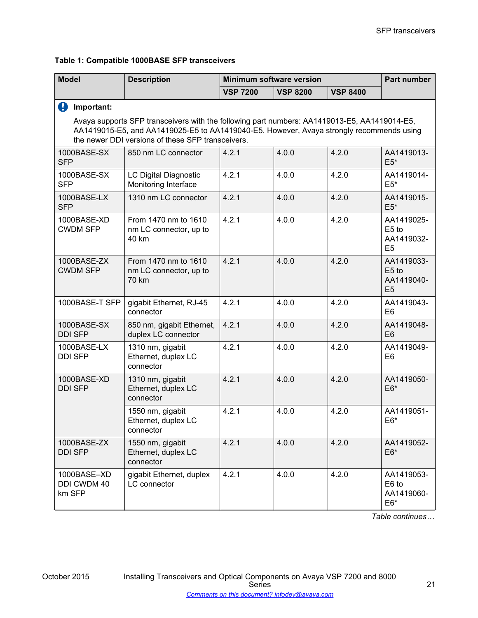**Table 1: Compatible 1000BASE SFP transceivers**

| <b>Model</b>                         | <b>Description</b>                                                                                                                                                                                                                            | <b>Minimum software version</b> |                 |                 | Part number                                         |
|--------------------------------------|-----------------------------------------------------------------------------------------------------------------------------------------------------------------------------------------------------------------------------------------------|---------------------------------|-----------------|-----------------|-----------------------------------------------------|
|                                      |                                                                                                                                                                                                                                               | <b>VSP 7200</b>                 | <b>VSP 8200</b> | <b>VSP 8400</b> |                                                     |
| 0<br>Important:                      |                                                                                                                                                                                                                                               |                                 |                 |                 |                                                     |
|                                      | Avaya supports SFP transceivers with the following part numbers: AA1419013-E5, AA1419014-E5,<br>AA1419015-E5, and AA1419025-E5 to AA1419040-E5. However, Avaya strongly recommends using<br>the newer DDI versions of these SFP transceivers. |                                 |                 |                 |                                                     |
| 1000BASE-SX<br><b>SFP</b>            | 850 nm LC connector                                                                                                                                                                                                                           | 4.2.1                           | 4.0.0           | 4.2.0           | AA1419013-<br>$E5*$                                 |
| 1000BASE-SX<br><b>SFP</b>            | <b>LC Digital Diagnostic</b><br>Monitoring Interface                                                                                                                                                                                          | 4.2.1                           | 4.0.0           | 4.2.0           | AA1419014-<br>$E5*$                                 |
| 1000BASE-LX<br><b>SFP</b>            | 1310 nm LC connector                                                                                                                                                                                                                          | 4.2.1                           | 4.0.0           | 4.2.0           | AA1419015-<br>$E5*$                                 |
| 1000BASE-XD<br><b>CWDM SFP</b>       | From 1470 nm to 1610<br>nm LC connector, up to<br>40 km                                                                                                                                                                                       | 4.2.1                           | 4.0.0           | 4.2.0           | AA1419025-<br>E5 to<br>AA1419032-<br>E <sub>5</sub> |
| 1000BASE-ZX<br><b>CWDM SFP</b>       | From 1470 nm to 1610<br>nm LC connector, up to<br>70 km                                                                                                                                                                                       | 4.2.1                           | 4.0.0           | 4.2.0           | AA1419033-<br>E5 to<br>AA1419040-<br>E <sub>5</sub> |
| 1000BASE-T SFP                       | gigabit Ethernet, RJ-45<br>connector                                                                                                                                                                                                          | 4.2.1                           | 4.0.0           | 4.2.0           | AA1419043-<br>E <sub>6</sub>                        |
| 1000BASE-SX<br><b>DDI SFP</b>        | 850 nm, gigabit Ethernet,<br>duplex LC connector                                                                                                                                                                                              | 4.2.1                           | 4.0.0           | 4.2.0           | AA1419048-<br>E <sub>6</sub>                        |
| 1000BASE-LX<br><b>DDI SFP</b>        | 1310 nm, gigabit<br>Ethernet, duplex LC<br>connector                                                                                                                                                                                          | 4.2.1                           | 4.0.0           | 4.2.0           | AA1419049-<br>E <sub>6</sub>                        |
| 1000BASE-XD<br><b>DDI SFP</b>        | 1310 nm, gigabit<br>Ethernet, duplex LC<br>connector                                                                                                                                                                                          | 4.2.1                           | 4.0.0           | 4.2.0           | AA1419050-<br>$E6*$                                 |
|                                      | 1550 nm, gigabit<br>Ethernet, duplex LC<br>connector                                                                                                                                                                                          | 4.2.1                           | 4.0.0           | 4.2.0           | AA1419051-<br>$E6*$                                 |
| 1000BASE-ZX<br><b>DDI SFP</b>        | 1550 nm, gigabit<br>Ethernet, duplex LC<br>connector                                                                                                                                                                                          | 4.2.1                           | 4.0.0           | 4.2.0           | AA1419052-<br>$E6*$                                 |
| 1000BASE-XD<br>DDI CWDM 40<br>km SFP | gigabit Ethernet, duplex<br>LC connector                                                                                                                                                                                                      | 4.2.1                           | 4.0.0           | 4.2.0           | AA1419053-<br>E6 to<br>AA1419060-<br>$E6*$          |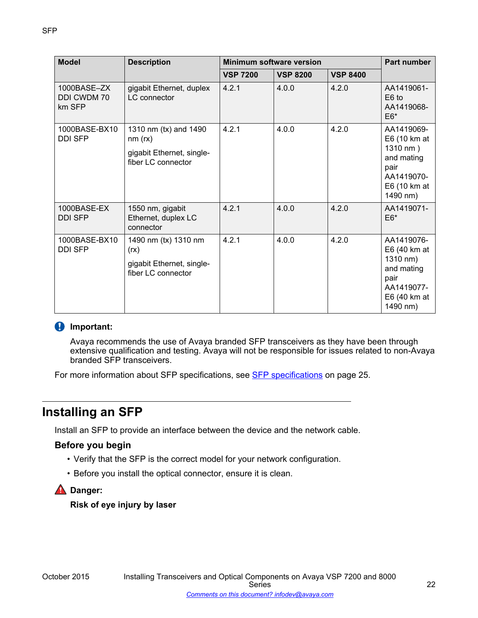<span id="page-21-0"></span>

| <b>Model</b>                               | <b>Description</b>                                                                  | <b>Minimum software version</b> |                 |                 | Part number                                                                                            |
|--------------------------------------------|-------------------------------------------------------------------------------------|---------------------------------|-----------------|-----------------|--------------------------------------------------------------------------------------------------------|
|                                            |                                                                                     | <b>VSP 7200</b>                 | <b>VSP 8200</b> | <b>VSP 8400</b> |                                                                                                        |
| 1000BASE-ZX<br><b>DDI CWDM70</b><br>km SFP | gigabit Ethernet, duplex<br><b>LC</b> connector                                     | 4.2.1                           | 4.0.0           | 4.2.0           | AA1419061-<br>E <sub>6</sub> to<br>AA1419068-<br>$E6*$                                                 |
| 1000BASE-BX10<br><b>DDI SFP</b>            | 1310 nm (tx) and 1490<br>nm (rx)<br>gigabit Ethernet, single-<br>fiber LC connector | 4.2.1                           | 4.0.0           | 4.2.0           | AA1419069-<br>E6 (10 km at<br>1310 nm)<br>and mating<br>pair<br>AA1419070-<br>E6 (10 km at<br>1490 nm) |
| 1000BASE-EX<br><b>DDI SFP</b>              | 1550 nm, gigabit<br>Ethernet, duplex LC<br>connector                                | 4.2.1                           | 4.0.0           | 4.2.0           | AA1419071-<br>$E6*$                                                                                    |
| 1000BASE-BX10<br><b>DDI SFP</b>            | 1490 nm (tx) 1310 nm<br>(rx)<br>gigabit Ethernet, single-<br>fiber LC connector     | 4.2.1                           | 4.0.0           | 4.2.0           | AA1419076-<br>E6 (40 km at<br>1310 nm)<br>and mating<br>pair<br>AA1419077-<br>E6 (40 km at<br>1490 nm) |

# *<u></u>* Important:

Avaya recommends the use of Avaya branded SFP transceivers as they have been through extensive qualification and testing. Avaya will not be responsible for issues related to non-Avaya branded SFP transceivers.

For more information about SFP specifications, see **SFP** specifications on page 25.

# **Installing an SFP**

Install an SFP to provide an interface between the device and the network cable.

# **Before you begin**

- Verify that the SFP is the correct model for your network configuration.
- Before you install the optical connector, ensure it is clean.

**Danger:**

**Risk of eye injury by laser**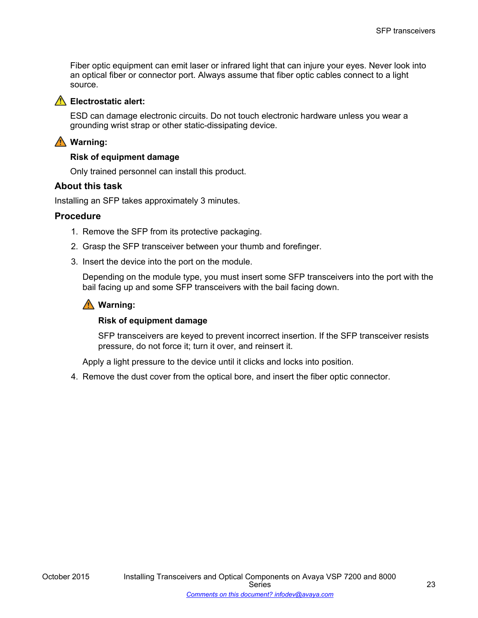Fiber optic equipment can emit laser or infrared light that can injure your eyes. Never look into an optical fiber or connector port. Always assume that fiber optic cables connect to a light source.



## **A** Electrostatic alert:

ESD can damage electronic circuits. Do not touch electronic hardware unless you wear a grounding wrist strap or other static-dissipating device.

# **Warning:**

#### **Risk of equipment damage**

Only trained personnel can install this product.

#### **About this task**

Installing an SFP takes approximately 3 minutes.

#### **Procedure**

- 1. Remove the SFP from its protective packaging.
- 2. Grasp the SFP transceiver between your thumb and forefinger.
- 3. Insert the device into the port on the module.

Depending on the module type, you must insert some SFP transceivers into the port with the bail facing up and some SFP transceivers with the bail facing down.

## **Warning:**

#### **Risk of equipment damage**

SFP transceivers are keyed to prevent incorrect insertion. If the SFP transceiver resists pressure, do not force it; turn it over, and reinsert it.

Apply a light pressure to the device until it clicks and locks into position.

4. Remove the dust cover from the optical bore, and insert the fiber optic connector.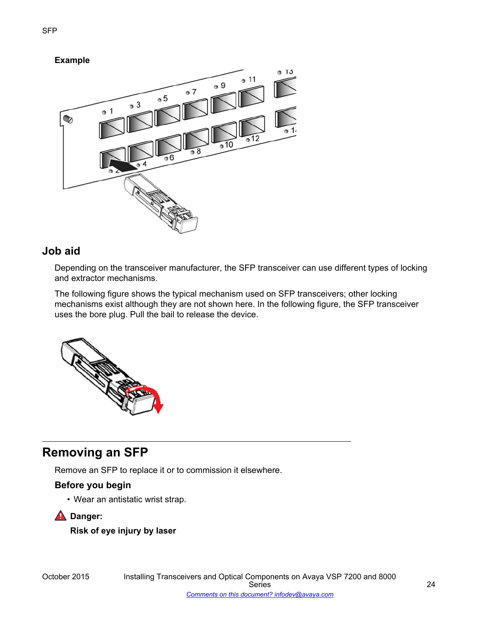# <span id="page-23-0"></span>**Example**



# **Job aid**

Depending on the transceiver manufacturer, the SFP transceiver can use different types of locking and extractor mechanisms.

The following figure shows the typical mechanism used on SFP transceivers; other locking mechanisms exist although they are not shown here. In the following figure, the SFP transceiver uses the bore plug. Pull the bail to release the device.



# **Removing an SFP**

Remove an SFP to replace it or to commission it elsewhere.

# **Before you begin**

• Wear an antistatic wrist strap.

**A** Danger:

**Risk of eye injury by laser**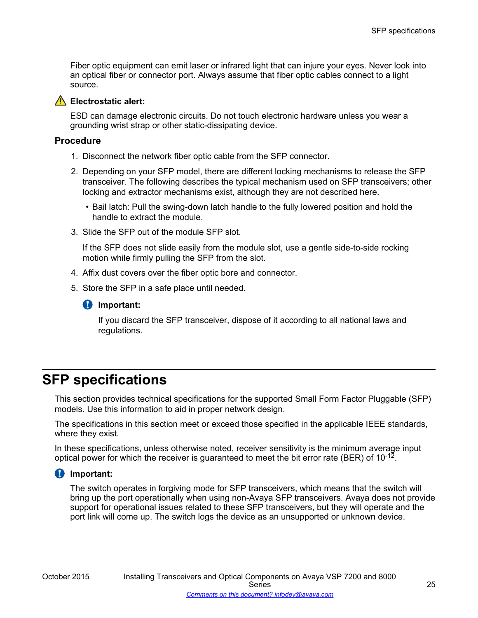<span id="page-24-0"></span>Fiber optic equipment can emit laser or infrared light that can injure your eyes. Never look into an optical fiber or connector port. Always assume that fiber optic cables connect to a light source.



#### **Electrostatic alert:**

ESD can damage electronic circuits. Do not touch electronic hardware unless you wear a grounding wrist strap or other static-dissipating device.

#### **Procedure**

- 1. Disconnect the network fiber optic cable from the SFP connector.
- 2. Depending on your SFP model, there are different locking mechanisms to release the SFP transceiver. The following describes the typical mechanism used on SFP transceivers; other locking and extractor mechanisms exist, although they are not described here.
	- Bail latch: Pull the swing-down latch handle to the fully lowered position and hold the handle to extract the module.
- 3. Slide the SFP out of the module SFP slot.

If the SFP does not slide easily from the module slot, use a gentle side-to-side rocking motion while firmly pulling the SFP from the slot.

- 4. Affix dust covers over the fiber optic bore and connector.
- 5. Store the SFP in a safe place until needed.



If you discard the SFP transceiver, dispose of it according to all national laws and regulations.

# **SFP specifications**

This section provides technical specifications for the supported Small Form Factor Pluggable (SFP) models. Use this information to aid in proper network design.

The specifications in this section meet or exceed those specified in the applicable IEEE standards, where they exist.

In these specifications, unless otherwise noted, receiver sensitivity is the minimum average input optical power for which the receiver is guaranteed to meet the bit error rate (BER) of 10<sup>-12</sup>.

## **Important:**

The switch operates in forgiving mode for SFP transceivers, which means that the switch will bring up the port operationally when using non-Avaya SFP transceivers. Avaya does not provide support for operational issues related to these SFP transceivers, but they will operate and the port link will come up. The switch logs the device as an unsupported or unknown device.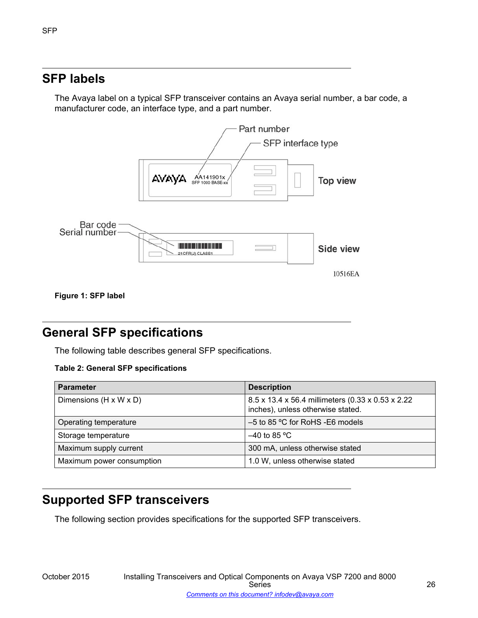# <span id="page-25-0"></span>**SFP labels**

The Avaya label on a typical SFP transceiver contains an Avaya serial number, a bar code, a manufacturer code, an interface type, and a part number.



**Figure 1: SFP label**

# **General SFP specifications**

The following table describes general SFP specifications.

#### **Table 2: General SFP specifications**

| <b>Parameter</b>                   | <b>Description</b>                                                                      |
|------------------------------------|-----------------------------------------------------------------------------------------|
| Dimensions $(H \times W \times D)$ | 8.5 x 13.4 x 56.4 millimeters (0.33 x 0.53 x 2.22)<br>inches), unless otherwise stated. |
| Operating temperature              | $-5$ to 85 °C for RoHS -E6 models                                                       |
| Storage temperature                | $-40$ to 85 °C                                                                          |
| Maximum supply current             | 300 mA, unless otherwise stated                                                         |
| Maximum power consumption          | 1.0 W, unless otherwise stated                                                          |

# **Supported SFP transceivers**

The following section provides specifications for the supported SFP transceivers.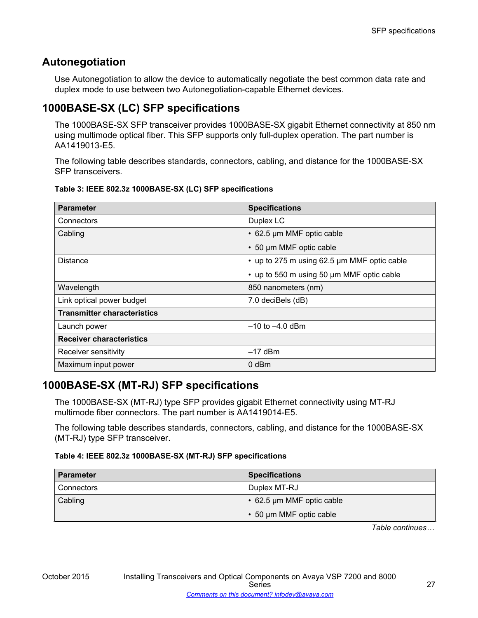# **Autonegotiation**

Use Autonegotiation to allow the device to automatically negotiate the best common data rate and duplex mode to use between two Autonegotiation-capable Ethernet devices.

# **1000BASE-SX (LC) SFP specifications**

The 1000BASE-SX SFP transceiver provides 1000BASE-SX gigabit Ethernet connectivity at 850 nm using multimode optical fiber. This SFP supports only full-duplex operation. The part number is AA1419013-E5.

The following table describes standards, connectors, cabling, and distance for the 1000BASE-SX SFP transceivers.

| <b>Parameter</b>                   | <b>Specifications</b>                       |
|------------------------------------|---------------------------------------------|
| Connectors                         | Duplex LC                                   |
| Cabling                            | • 62.5 µm MMF optic cable                   |
|                                    | • 50 µm MMF optic cable                     |
| <b>Distance</b>                    | • up to 275 m using 62.5 µm MMF optic cable |
|                                    | up to 550 m using 50 µm MMF optic cable     |
| Wavelength                         | 850 nanometers (nm)                         |
| Link optical power budget          | 7.0 deciBels (dB)                           |
| <b>Transmitter characteristics</b> |                                             |
| Launch power                       | $-10$ to $-4.0$ dBm                         |
| <b>Receiver characteristics</b>    |                                             |
| Receiver sensitivity               | $-17$ dBm                                   |
| Maximum input power                | $0$ dBm                                     |

#### **Table 3: IEEE 802.3z 1000BASE-SX (LC) SFP specifications**

# **1000BASE-SX (MT-RJ) SFP specifications**

The 1000BASE-SX (MT-RJ) type SFP provides gigabit Ethernet connectivity using MT-RJ multimode fiber connectors. The part number is AA1419014-E5.

The following table describes standards, connectors, cabling, and distance for the 1000BASE-SX (MT-RJ) type SFP transceiver.

## **Table 4: IEEE 802.3z 1000BASE-SX (MT-RJ) SFP specifications**

| <b>Parameter</b>  | <b>Specifications</b>           |
|-------------------|---------------------------------|
| <b>Connectors</b> | Duplex MT-RJ                    |
| Cabling           | $\cdot$ 62.5 µm MMF optic cable |
|                   | • 50 µm MMF optic cable         |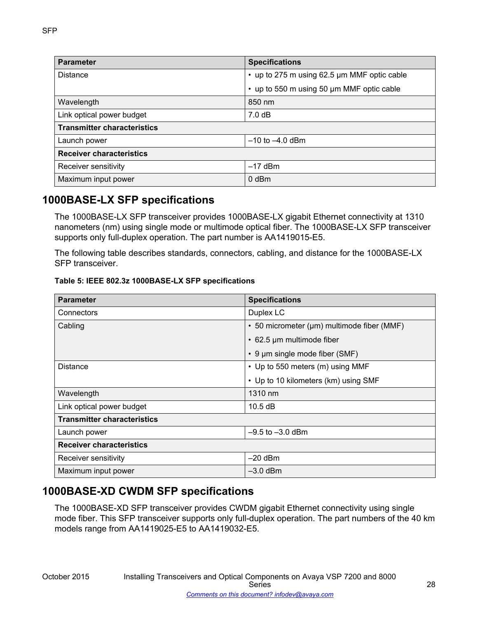| <b>Parameter</b>                   | <b>Specifications</b>                       |
|------------------------------------|---------------------------------------------|
| <b>Distance</b>                    | • up to 275 m using 62.5 µm MMF optic cable |
|                                    | • up to 550 m using 50 µm MMF optic cable   |
| Wavelength                         | 850 nm                                      |
| Link optical power budget          | 7.0 dB                                      |
| <b>Transmitter characteristics</b> |                                             |
| Launch power                       | $-10$ to $-4.0$ dBm                         |
| <b>Receiver characteristics</b>    |                                             |
| Receiver sensitivity               | $-17$ dBm                                   |
| Maximum input power                | $0$ dBm                                     |

# **1000BASE-LX SFP specifications**

The 1000BASE-LX SFP transceiver provides 1000BASE-LX gigabit Ethernet connectivity at 1310 nanometers (nm) using single mode or multimode optical fiber. The 1000BASE-LX SFP transceiver supports only full-duplex operation. The part number is AA1419015-E5.

The following table describes standards, connectors, cabling, and distance for the 1000BASE-LX SFP transceiver.

#### **Table 5: IEEE 802.3z 1000BASE-LX SFP specifications**

| <b>Parameter</b>                   | <b>Specifications</b>                      |
|------------------------------------|--------------------------------------------|
| Connectors                         | Duplex LC                                  |
| Cabling                            | • 50 micrometer (µm) multimode fiber (MMF) |
|                                    | • 62.5 µm multimode fiber                  |
|                                    | • 9 µm single mode fiber (SMF)             |
| <b>Distance</b>                    | • Up to 550 meters (m) using MMF           |
|                                    | • Up to 10 kilometers (km) using SMF       |
| Wavelength                         | 1310 nm                                    |
| Link optical power budget          | 10.5 dB                                    |
| <b>Transmitter characteristics</b> |                                            |
| Launch power                       | $-9.5$ to $-3.0$ dBm                       |
| <b>Receiver characteristics</b>    |                                            |
| Receiver sensitivity               | $-20$ dBm                                  |
| Maximum input power                | $-3.0$ dBm                                 |

# **1000BASE-XD CWDM SFP specifications**

The 1000BASE-XD SFP transceiver provides CWDM gigabit Ethernet connectivity using single mode fiber. This SFP transceiver supports only full-duplex operation. The part numbers of the 40 km models range from AA1419025-E5 to AA1419032-E5.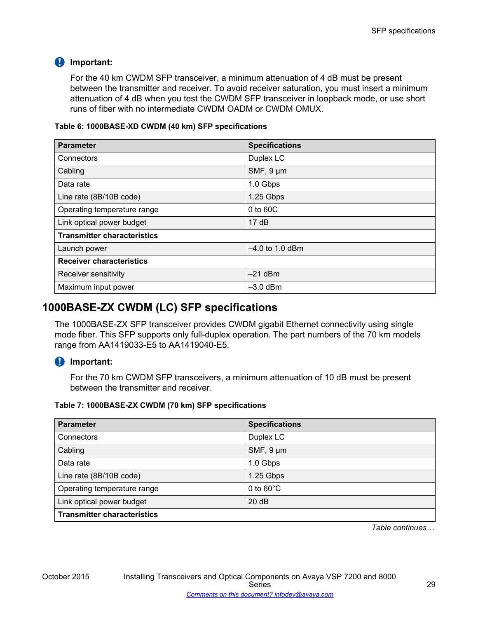# *<u>D* Important:</u>

For the 40 km CWDM SFP transceiver, a minimum attenuation of 4 dB must be present between the transmitter and receiver. To avoid receiver saturation, you must insert a minimum attenuation of 4 dB when you test the CWDM SFP transceiver in loopback mode, or use short runs of fiber with no intermediate CWDM OADM or CWDM OMUX.

#### **Table 6: 1000BASE-XD CWDM (40 km) SFP specifications**

| <b>Parameter</b>                   | <b>Specifications</b> |
|------------------------------------|-----------------------|
| Connectors                         | Duplex LC             |
| Cabling                            | SMF, 9 µm             |
| Data rate                          | 1.0 Gbps              |
| Line rate (8B/10B code)            | 1.25 Gbps             |
| Operating temperature range        | 0 to 60C              |
| Link optical power budget          | 17dB                  |
| <b>Transmitter characteristics</b> |                       |
| Launch power                       | $-4.0$ to 1.0 dBm     |
| <b>Receiver characteristics</b>    |                       |
| Receiver sensitivity               | $-21$ dBm             |
| Maximum input power                | $-3.0$ dBm            |

# **1000BASE-ZX CWDM (LC) SFP specifications**

The 1000BASE-ZX SFP transceiver provides CWDM gigabit Ethernet connectivity using single mode fiber. This SFP supports only full-duplex operation. The part numbers of the 70 km models range from AA1419033-E5 to AA1419040-E5.

# *<u></u>* Important:

For the 70 km CWDM SFP transceivers, a minimum attenuation of 10 dB must be present between the transmitter and receiver.

## **Table 7: 1000BASE-ZX CWDM (70 km) SFP specifications**

| <b>Parameter</b>                   | <b>Specifications</b> |
|------------------------------------|-----------------------|
| Connectors                         | Duplex LC             |
| Cabling                            | SMF, $9 \mu m$        |
| Data rate                          | 1.0 Gbps              |
| Line rate (8B/10B code)            | 1.25 Gbps             |
| Operating temperature range        | 0 to $60^{\circ}$ C   |
| Link optical power budget          | 20dB                  |
| <b>Transmitter characteristics</b> |                       |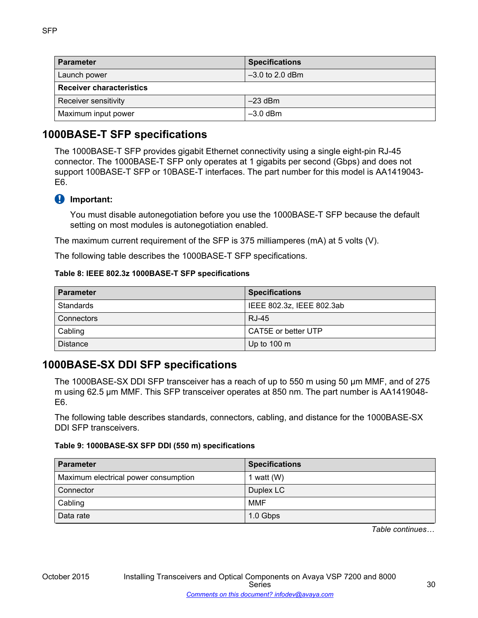| <b>Parameter</b>                | <b>Specifications</b> |  |
|---------------------------------|-----------------------|--|
| Launch power                    | $-3.0$ to 2.0 dBm     |  |
| <b>Receiver characteristics</b> |                       |  |
| Receiver sensitivity            | $-23$ dBm             |  |
| Maximum input power             | $-3.0$ dBm            |  |

# **1000BASE-T SFP specifications**

The 1000BASE-T SFP provides gigabit Ethernet connectivity using a single eight-pin RJ-45 connector. The 1000BASE-T SFP only operates at 1 gigabits per second (Gbps) and does not support 100BASE-T SFP or 10BASE-T interfaces. The part number for this model is AA1419043- E6.

# *<u>D* Important:</u>

You must disable autonegotiation before you use the 1000BASE-T SFP because the default setting on most modules is autonegotiation enabled.

The maximum current requirement of the SFP is 375 milliamperes (mA) at 5 volts (V).

The following table describes the 1000BASE-T SFP specifications.

#### **Table 8: IEEE 802.3z 1000BASE-T SFP specifications**

| <b>Parameter</b> | <b>Specifications</b>     |
|------------------|---------------------------|
| Standards        | IEEE 802.3z, IEEE 802.3ab |
| Connectors       | <b>RJ-45</b>              |
| Cabling          | CAT5E or better UTP       |
| Distance         | Up to $100 \text{ m}$     |

# **1000BASE-SX DDI SFP specifications**

The 1000BASE-SX DDI SFP transceiver has a reach of up to 550 m using 50 µm MMF, and of 275 m using 62.5 µm MMF. This SFP transceiver operates at 850 nm. The part number is AA1419048- E6.

The following table describes standards, connectors, cabling, and distance for the 1000BASE-SX DDI SFP transceivers.

#### **Table 9: 1000BASE-SX SFP DDI (550 m) specifications**

| <b>Parameter</b>                     | <b>Specifications</b> |
|--------------------------------------|-----------------------|
| Maximum electrical power consumption | 1 watt $(W)$          |
| Connector                            | Duplex LC             |
| Cabling                              | MMF                   |
| Data rate                            | 1.0 Gbps              |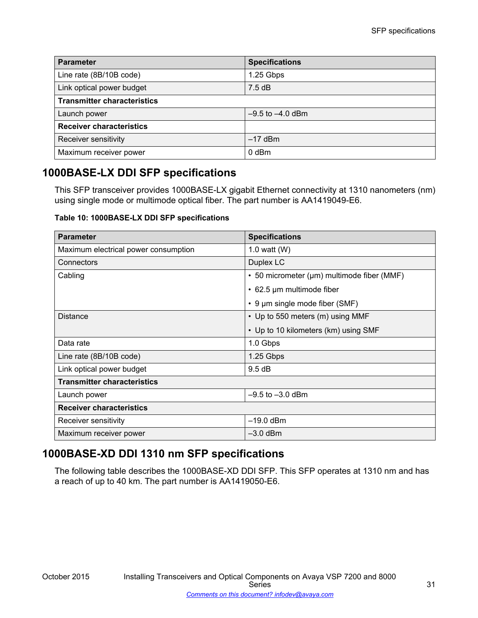| <b>Parameter</b>                   | <b>Specifications</b> |
|------------------------------------|-----------------------|
| Line rate (8B/10B code)            | 1.25 Gbps             |
| Link optical power budget          | $7.5 \text{ dB}$      |
| <b>Transmitter characteristics</b> |                       |
| Launch power                       | $-9.5$ to $-4.0$ dBm  |
| <b>Receiver characteristics</b>    |                       |
| Receiver sensitivity               | $-17$ dBm             |
| Maximum receiver power             | 0 dBm                 |

# **1000BASE-LX DDI SFP specifications**

This SFP transceiver provides 1000BASE-LX gigabit Ethernet connectivity at 1310 nanometers (nm) using single mode or multimode optical fiber. The part number is AA1419049-E6.

**Table 10: 1000BASE-LX DDI SFP specifications**

| <b>Parameter</b>                     | <b>Specifications</b>                      |
|--------------------------------------|--------------------------------------------|
| Maximum electrical power consumption | 1.0 watt $(W)$                             |
| Connectors                           | Duplex LC                                  |
| Cabling                              | • 50 micrometer (µm) multimode fiber (MMF) |
|                                      | • 62.5 µm multimode fiber                  |
|                                      | $\cdot$ 9 µm single mode fiber (SMF)       |
| <b>Distance</b>                      | • Up to 550 meters (m) using MMF           |
|                                      | • Up to 10 kilometers (km) using SMF       |
| Data rate                            | 1.0 Gbps                                   |
| Line rate (8B/10B code)              | 1.25 Gbps                                  |
| Link optical power budget            | 9.5 dB                                     |
| <b>Transmitter characteristics</b>   |                                            |
| Launch power                         | $-9.5$ to $-3.0$ dBm                       |
| <b>Receiver characteristics</b>      |                                            |
| Receiver sensitivity                 | $-19.0$ dBm                                |
| Maximum receiver power               | $-3.0$ dBm                                 |

# **1000BASE-XD DDI 1310 nm SFP specifications**

The following table describes the 1000BASE-XD DDI SFP. This SFP operates at 1310 nm and has a reach of up to 40 km. The part number is AA1419050-E6.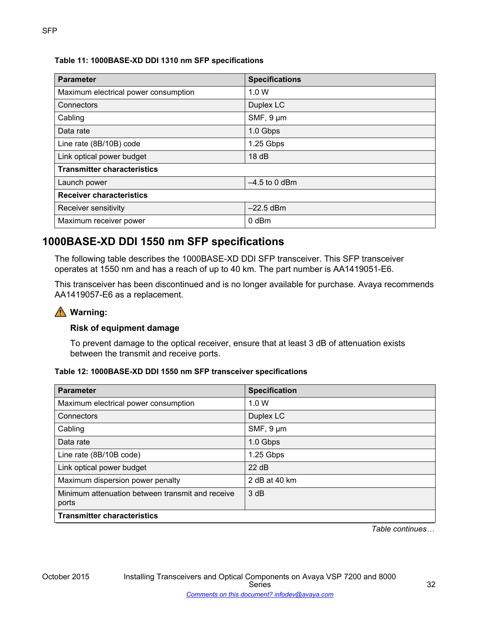# **Table 11: 1000BASE-XD DDI 1310 nm SFP specifications**

| <b>Parameter</b>                     | <b>Specifications</b> |
|--------------------------------------|-----------------------|
| Maximum electrical power consumption | 1.0 W                 |
| Connectors                           | Duplex LC             |
| Cabling                              | SMF, 9 µm             |
| Data rate                            | 1.0 Gbps              |
| Line rate (8B/10B) code              | 1.25 Gbps             |
| Link optical power budget            | 18dB                  |
| <b>Transmitter characteristics</b>   |                       |
| Launch power                         | $-4.5$ to 0 dBm       |
| <b>Receiver characteristics</b>      |                       |
| Receiver sensitivity                 | $-22.5$ dBm           |
| Maximum receiver power               | $0$ dBm               |

# **1000BASE-XD DDI 1550 nm SFP specifications**

The following table describes the 1000BASE-XD DDI SFP transceiver. This SFP transceiver operates at 1550 nm and has a reach of up to 40 km. The part number is AA1419051-E6.

This transceiver has been discontinued and is no longer available for purchase. Avaya recommends AA1419057-E6 as a replacement.

# **Warning:**

# **Risk of equipment damage**

To prevent damage to the optical receiver, ensure that at least 3 dB of attenuation exists between the transmit and receive ports.

## **Table 12: 1000BASE-XD DDI 1550 nm SFP transceiver specifications**

| <b>Parameter</b>                                 | <b>Specification</b> |
|--------------------------------------------------|----------------------|
| Maximum electrical power consumption             | 1.0 W                |
| Connectors                                       | Duplex LC            |
| Cabling                                          | SMF, 9 µm            |
| Data rate                                        | 1.0 Gbps             |
| Line rate (8B/10B code)                          | 1.25 Gbps            |
| Link optical power budget                        | 22 dB                |
| Maximum dispersion power penalty                 | 2 dB at 40 km        |
| Minimum attenuation between transmit and receive | 3 dB                 |
| ports                                            |                      |
| <b>Transmitter characteristics</b>               |                      |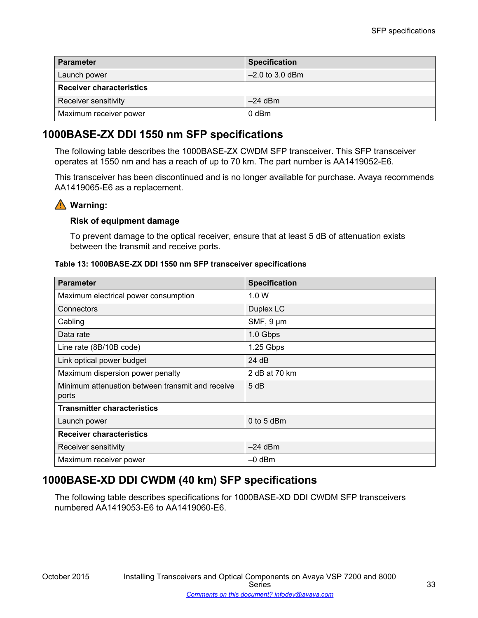| <b>Parameter</b>                | <b>Specification</b> |  |
|---------------------------------|----------------------|--|
| Launch power                    | $-2.0$ to 3.0 dBm    |  |
| <b>Receiver characteristics</b> |                      |  |
| Receiver sensitivity            | $-24$ dBm            |  |
| Maximum receiver power          | 0 dBm                |  |

# **1000BASE-ZX DDI 1550 nm SFP specifications**

The following table describes the 1000BASE-ZX CWDM SFP transceiver. This SFP transceiver operates at 1550 nm and has a reach of up to 70 km. The part number is AA1419052-E6.

This transceiver has been discontinued and is no longer available for purchase. Avaya recommends AA1419065-E6 as a replacement.

# **Warning:**

## **Risk of equipment damage**

To prevent damage to the optical receiver, ensure that at least 5 dB of attenuation exists between the transmit and receive ports.

#### **Table 13: 1000BASE-ZX DDI 1550 nm SFP transceiver specifications**

| <b>Parameter</b>                                          | <b>Specification</b> |
|-----------------------------------------------------------|----------------------|
| Maximum electrical power consumption                      | 1.0 W                |
| Connectors                                                | Duplex LC            |
| Cabling                                                   | SMF, $9 \mu m$       |
| Data rate                                                 | 1.0 Gbps             |
| Line rate (8B/10B code)                                   | 1.25 Gbps            |
| Link optical power budget                                 | 24 dB                |
| Maximum dispersion power penalty                          | 2 dB at 70 km        |
| Minimum attenuation between transmit and receive<br>ports | 5 dB                 |
| <b>Transmitter characteristics</b>                        |                      |
| Launch power                                              | $0$ to 5 dBm         |
| <b>Receiver characteristics</b>                           |                      |
| Receiver sensitivity                                      | $-24$ dBm            |
| Maximum receiver power                                    | $-0$ dBm             |

# **1000BASE-XD DDI CWDM (40 km) SFP specifications**

The following table describes specifications for 1000BASE-XD DDI CWDM SFP transceivers numbered AA1419053-E6 to AA1419060-E6.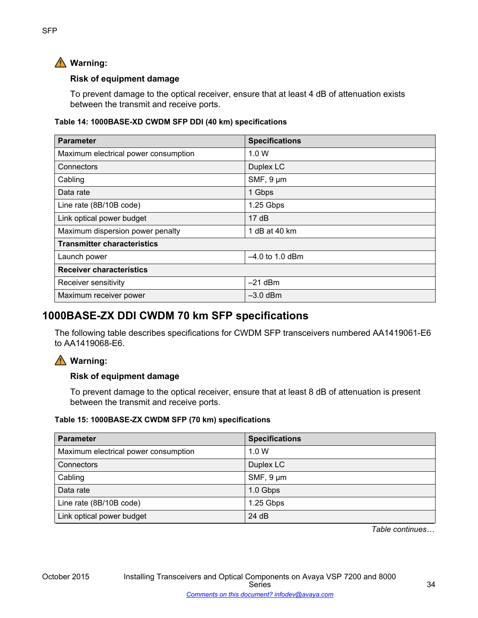# **Warning:**

# **Risk of equipment damage**

To prevent damage to the optical receiver, ensure that at least 4 dB of attenuation exists between the transmit and receive ports.

## **Table 14: 1000BASE-XD CWDM SFP DDI (40 km) specifications**

| <b>Parameter</b>                     | <b>Specifications</b> |
|--------------------------------------|-----------------------|
| Maximum electrical power consumption | 1.0 W                 |
| Connectors                           | Duplex LC             |
| Cabling                              | $SMF, 9 \mu m$        |
| Data rate                            | 1 Gbps                |
| Line rate (8B/10B code)              | 1.25 Gbps             |
| Link optical power budget            | 17dB                  |
| Maximum dispersion power penalty     | 1 dB at 40 km         |
| <b>Transmitter characteristics</b>   |                       |
| Launch power                         | $-4.0$ to 1.0 dBm     |
| <b>Receiver characteristics</b>      |                       |
| Receiver sensitivity                 | $-21$ dBm             |
| Maximum receiver power               | $-3.0$ dBm            |

# **1000BASE-ZX DDI CWDM 70 km SFP specifications**

The following table describes specifications for CWDM SFP transceivers numbered AA1419061-E6 to AA1419068-E6.

# **Warning:**

# **Risk of equipment damage**

To prevent damage to the optical receiver, ensure that at least 8 dB of attenuation is present between the transmit and receive ports.

## **Table 15: 1000BASE-ZX CWDM SFP (70 km) specifications**

| <b>Parameter</b>                     | <b>Specifications</b> |
|--------------------------------------|-----------------------|
| Maximum electrical power consumption | 1.0 W                 |
| Connectors                           | Duplex LC             |
| Cabling                              | $SMF, 9 \mu m$        |
| Data rate                            | 1.0 Gbps              |
| Line rate (8B/10B code)              | 1.25 Gbps             |
| Link optical power budget            | 24 dB                 |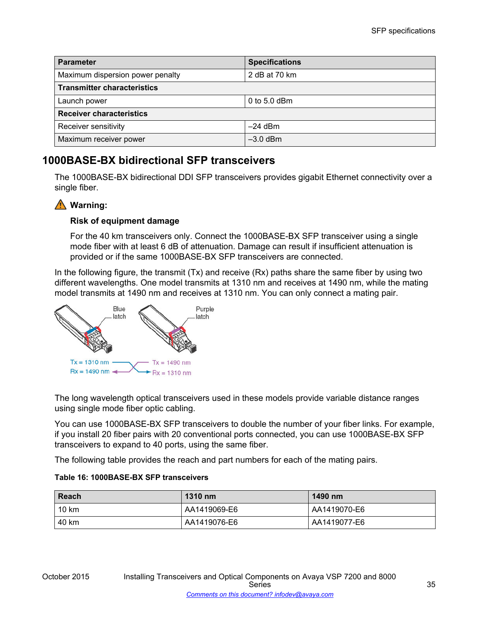| <b>Parameter</b>                   | <b>Specifications</b> |  |
|------------------------------------|-----------------------|--|
| Maximum dispersion power penalty   | 2 dB at 70 km         |  |
| <b>Transmitter characteristics</b> |                       |  |
| Launch power                       | 0 to 5.0 dBm          |  |
| <b>Receiver characteristics</b>    |                       |  |
| Receiver sensitivity               | $-24$ dBm             |  |
| Maximum receiver power             | $-3.0$ dBm            |  |

# **1000BASE-BX bidirectional SFP transceivers**

The 1000BASE-BX bidirectional DDI SFP transceivers provides gigabit Ethernet connectivity over a single fiber.

# **Warning:**

# **Risk of equipment damage**

For the 40 km transceivers only. Connect the 1000BASE-BX SFP transceiver using a single mode fiber with at least 6 dB of attenuation. Damage can result if insufficient attenuation is provided or if the same 1000BASE-BX SFP transceivers are connected.

In the following figure, the transmit  $(Tx)$  and receive  $(Rx)$  paths share the same fiber by using two different wavelengths. One model transmits at 1310 nm and receives at 1490 nm, while the mating model transmits at 1490 nm and receives at 1310 nm. You can only connect a mating pair.



The long wavelength optical transceivers used in these models provide variable distance ranges using single mode fiber optic cabling.

You can use 1000BASE-BX SFP transceivers to double the number of your fiber links. For example, if you install 20 fiber pairs with 20 conventional ports connected, you can use 1000BASE-BX SFP transceivers to expand to 40 ports, using the same fiber.

The following table provides the reach and part numbers for each of the mating pairs.

## **Table 16: 1000BASE-BX SFP transceivers**

| Reach | 1310 nm      | 1490 nm      |
|-------|--------------|--------------|
| 10 km | AA1419069-E6 | AA1419070-E6 |
| 40 km | AA1419076-E6 | AA1419077-E6 |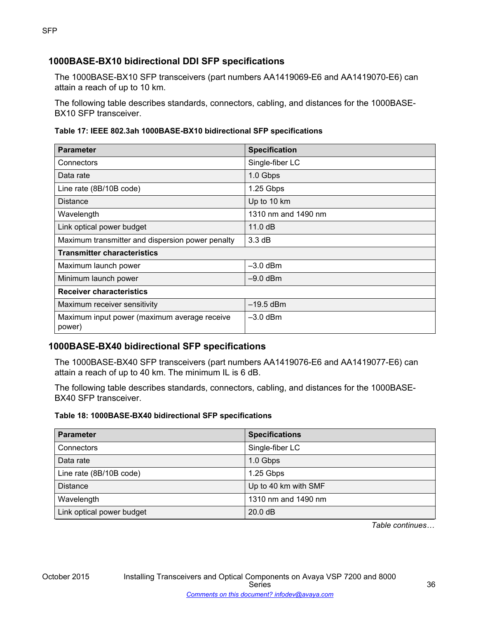# **1000BASE-BX10 bidirectional DDI SFP specifications**

The 1000BASE-BX10 SFP transceivers (part numbers AA1419069-E6 and AA1419070-E6) can attain a reach of up to 10 km.

The following table describes standards, connectors, cabling, and distances for the 1000BASE-BX10 SFP transceiver.

#### **Table 17: IEEE 802.3ah 1000BASE-BX10 bidirectional SFP specifications**

| <b>Parameter</b>                                       | <b>Specification</b> |  |
|--------------------------------------------------------|----------------------|--|
| Connectors                                             | Single-fiber LC      |  |
| Data rate                                              | 1.0 Gbps             |  |
| Line rate (8B/10B code)                                | 1.25 Gbps            |  |
| <b>Distance</b>                                        | Up to 10 km          |  |
| Wavelength                                             | 1310 nm and 1490 nm  |  |
| Link optical power budget                              | 11.0dB               |  |
| Maximum transmitter and dispersion power penalty       | 3.3 dB               |  |
| <b>Transmitter characteristics</b>                     |                      |  |
| Maximum launch power                                   | $-3.0$ dBm           |  |
| Minimum launch power                                   | $-9.0$ dBm           |  |
| <b>Receiver characteristics</b>                        |                      |  |
| Maximum receiver sensitivity                           | $-19.5$ dBm          |  |
| Maximum input power (maximum average receive<br>power) | $-3.0$ dBm           |  |

# **1000BASE-BX40 bidirectional SFP specifications**

The 1000BASE-BX40 SFP transceivers (part numbers AA1419076-E6 and AA1419077-E6) can attain a reach of up to 40 km. The minimum IL is 6 dB.

The following table describes standards, connectors, cabling, and distances for the 1000BASE-BX40 SFP transceiver.

#### **Table 18: 1000BASE-BX40 bidirectional SFP specifications**

| <b>Parameter</b>          | <b>Specifications</b> |
|---------------------------|-----------------------|
| Connectors                | Single-fiber LC       |
| Data rate                 | 1.0 Gbps              |
| Line rate (8B/10B code)   | 1.25 Gbps             |
| <b>Distance</b>           | Up to 40 km with SMF  |
| Wavelength                | 1310 nm and 1490 nm   |
| Link optical power budget | 20.0 dB               |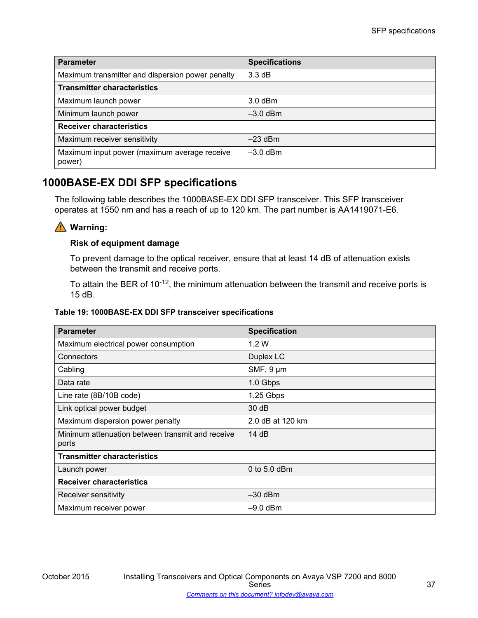| <b>Parameter</b>                                       | <b>Specifications</b> |  |
|--------------------------------------------------------|-----------------------|--|
| Maximum transmitter and dispersion power penalty       | 3.3 dB                |  |
| <b>Transmitter characteristics</b>                     |                       |  |
| Maximum launch power                                   | $3.0$ dBm             |  |
| Minimum launch power                                   | $-3.0$ dBm            |  |
| <b>Receiver characteristics</b>                        |                       |  |
| Maximum receiver sensitivity                           | $-23$ dBm             |  |
| Maximum input power (maximum average receive<br>power) | $-3.0$ dBm            |  |

## **1000BASE-EX DDI SFP specifications**

The following table describes the 1000BASE-EX DDI SFP transceiver. This SFP transceiver operates at 1550 nm and has a reach of up to 120 km. The part number is AA1419071-E6.

## **Warning:**

### **Risk of equipment damage**

To prevent damage to the optical receiver, ensure that at least 14 dB of attenuation exists between the transmit and receive ports.

To attain the BER of 10<sup>-12</sup>, the minimum attenuation between the transmit and receive ports is 15 dB.

### **Table 19: 1000BASE-EX DDI SFP transceiver specifications**

| <b>Parameter</b>                                          | <b>Specification</b> |  |
|-----------------------------------------------------------|----------------------|--|
| Maximum electrical power consumption                      | 1.2W                 |  |
| Connectors                                                | Duplex LC            |  |
| Cabling                                                   | SMF, 9 µm            |  |
| Data rate                                                 | 1.0 Gbps             |  |
| Line rate (8B/10B code)                                   | 1.25 Gbps            |  |
| Link optical power budget                                 | 30 dB                |  |
| Maximum dispersion power penalty                          | 2.0 dB at 120 km     |  |
| Minimum attenuation between transmit and receive<br>ports | 14 dB                |  |
| <b>Transmitter characteristics</b>                        |                      |  |
| Launch power                                              | 0 to $5.0$ dBm       |  |
| <b>Receiver characteristics</b>                           |                      |  |
| Receiver sensitivity                                      | $-30$ dBm            |  |
| Maximum receiver power                                    | $-9.0$ dBm           |  |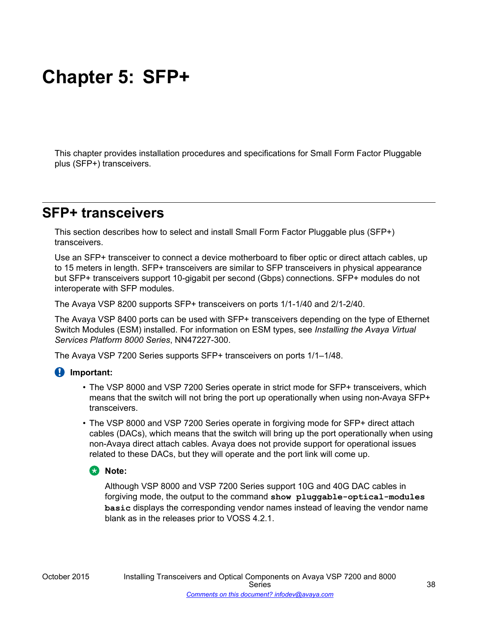# **Chapter 5: SFP+**

This chapter provides installation procedures and specifications for Small Form Factor Pluggable plus (SFP+) transceivers.

# **SFP+ transceivers**

This section describes how to select and install Small Form Factor Pluggable plus (SFP+) transceivers.

Use an SFP+ transceiver to connect a device motherboard to fiber optic or direct attach cables, up to 15 meters in length. SFP+ transceivers are similar to SFP transceivers in physical appearance but SFP+ transceivers support 10-gigabit per second (Gbps) connections. SFP+ modules do not interoperate with SFP modules.

The Avaya VSP 8200 supports SFP+ transceivers on ports 1/1-1/40 and 2/1-2/40.

The Avaya VSP 8400 ports can be used with SFP+ transceivers depending on the type of Ethernet Switch Modules (ESM) installed. For information on ESM types, see *Installing the Avaya Virtual Services Platform 8000 Series*, NN47227-300.

The Avaya VSP 7200 Series supports SFP+ transceivers on ports 1/1–1/48.

### **Important:**

- The VSP 8000 and VSP 7200 Series operate in strict mode for SFP+ transceivers, which means that the switch will not bring the port up operationally when using non-Avaya SFP+ transceivers.
- The VSP 8000 and VSP 7200 Series operate in forgiving mode for SFP+ direct attach cables (DACs), which means that the switch will bring up the port operationally when using non-Avaya direct attach cables. Avaya does not provide support for operational issues related to these DACs, but they will operate and the port link will come up.

### **B** Note:

Although VSP 8000 and VSP 7200 Series support 10G and 40G DAC cables in forgiving mode, the output to the command **show pluggable-optical-modules basic** displays the corresponding vendor names instead of leaving the vendor name blank as in the releases prior to VOSS 4.2.1.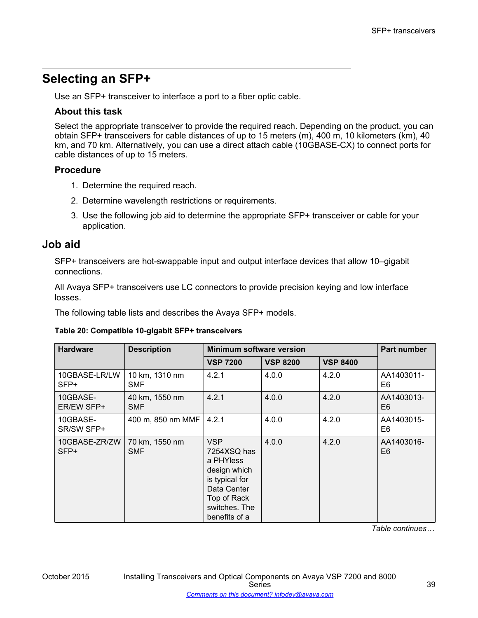# **Selecting an SFP+**

Use an SFP+ transceiver to interface a port to a fiber optic cable.

### **About this task**

Select the appropriate transceiver to provide the required reach. Depending on the product, you can obtain SFP+ transceivers for cable distances of up to 15 meters (m), 400 m, 10 kilometers (km), 40 km, and 70 km. Alternatively, you can use a direct attach cable (10GBASE-CX) to connect ports for cable distances of up to 15 meters.

### **Procedure**

- 1. Determine the required reach.
- 2. Determine wavelength restrictions or requirements.
- 3. Use the following job aid to determine the appropriate SFP+ transceiver or cable for your application.

### **Job aid**

SFP+ transceivers are hot-swappable input and output interface devices that allow 10–gigabit connections.

All Avaya SFP+ transceivers use LC connectors to provide precision keying and low interface losses.

The following table lists and describes the Avaya SFP+ models.

### **Table 20: Compatible 10-gigabit SFP+ transceivers**

| <b>Hardware</b>         | <b>Description</b>           | <b>Minimum software version</b>                                                                                                          |                 |                 | Part number                  |
|-------------------------|------------------------------|------------------------------------------------------------------------------------------------------------------------------------------|-----------------|-----------------|------------------------------|
|                         |                              | <b>VSP 7200</b>                                                                                                                          | <b>VSP 8200</b> | <b>VSP 8400</b> |                              |
| 10GBASE-LR/LW<br>SFP+   | 10 km, 1310 nm<br><b>SMF</b> | 4.2.1                                                                                                                                    | 4.0.0           | 4.2.0           | AA1403011-<br>E6             |
| 10GBASE-<br>ER/EW SFP+  | 40 km, 1550 nm<br><b>SMF</b> | 4.2.1                                                                                                                                    | 4.0.0           | 4.2.0           | AA1403013-<br>E <sub>6</sub> |
| 10GBASE-<br>SR/SW SFP+  | 400 m, 850 nm MMF            | 4.2.1                                                                                                                                    | 4.0.0           | 4.2.0           | AA1403015-<br>E6             |
| 10GBASE-ZR/ZW<br>$SFP+$ | 70 km, 1550 nm<br><b>SMF</b> | <b>VSP</b><br>7254XSQ has<br>a PHYless<br>design which<br>is typical for<br>Data Center<br>Top of Rack<br>switches. The<br>benefits of a | 4.0.0           | 4.2.0           | AA1403016-<br>E <sub>6</sub> |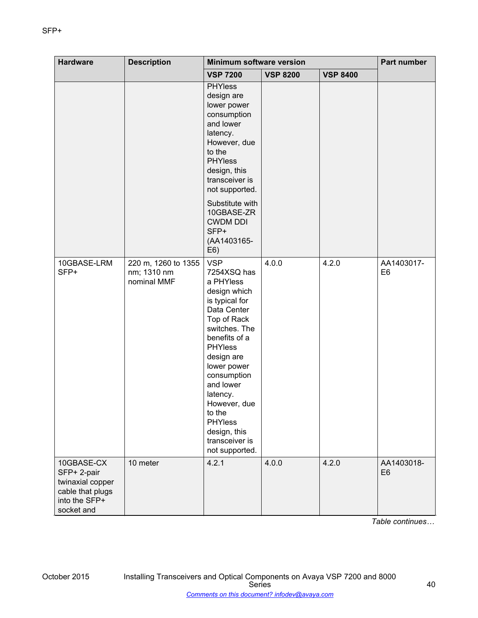| <b>Hardware</b>                                                                                  | <b>Description</b>                                | <b>Minimum software version</b>                                                                                                                                                                                                                                                                                                 |                 | <b>Part number</b> |                              |
|--------------------------------------------------------------------------------------------------|---------------------------------------------------|---------------------------------------------------------------------------------------------------------------------------------------------------------------------------------------------------------------------------------------------------------------------------------------------------------------------------------|-----------------|--------------------|------------------------------|
|                                                                                                  |                                                   | <b>VSP 7200</b>                                                                                                                                                                                                                                                                                                                 | <b>VSP 8200</b> | <b>VSP 8400</b>    |                              |
|                                                                                                  |                                                   | <b>PHYless</b><br>design are<br>lower power<br>consumption<br>and lower<br>latency.<br>However, due<br>to the<br><b>PHYless</b><br>design, this<br>transceiver is<br>not supported.                                                                                                                                             |                 |                    |                              |
|                                                                                                  |                                                   | Substitute with<br>10GBASE-ZR<br><b>CWDM DDI</b><br>SFP+<br>(AA1403165-<br>E6)                                                                                                                                                                                                                                                  |                 |                    |                              |
| 10GBASE-LRM<br>SFP+                                                                              | 220 m, 1260 to 1355<br>nm; 1310 nm<br>nominal MMF | <b>VSP</b><br>7254XSQ has<br>a PHYless<br>design which<br>is typical for<br>Data Center<br>Top of Rack<br>switches. The<br>benefits of a<br><b>PHYless</b><br>design are<br>lower power<br>consumption<br>and lower<br>latency.<br>However, due<br>to the<br><b>PHYless</b><br>design, this<br>transceiver is<br>not supported. | 4.0.0           | 4.2.0              | AA1403017-<br>E <sub>6</sub> |
| 10GBASE-CX<br>SFP+ 2-pair<br>twinaxial copper<br>cable that plugs<br>into the SFP+<br>socket and | 10 meter                                          | 4.2.1                                                                                                                                                                                                                                                                                                                           | 4.0.0           | 4.2.0              | AA1403018-<br>E <sub>6</sub> |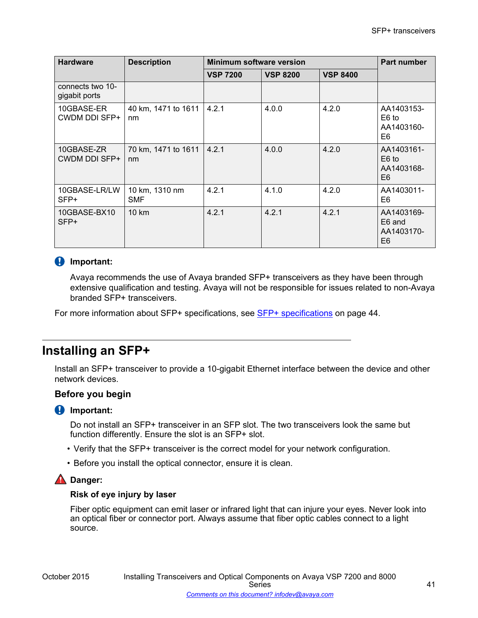| <b>Hardware</b>                    | <b>Description</b>           | Minimum software version |                 |                 | <b>Part number</b>                                   |
|------------------------------------|------------------------------|--------------------------|-----------------|-----------------|------------------------------------------------------|
|                                    |                              | <b>VSP 7200</b>          | <b>VSP 8200</b> | <b>VSP 8400</b> |                                                      |
| connects two 10-<br>gigabit ports  |                              |                          |                 |                 |                                                      |
| 10GBASE-ER<br>CWDM DDI SFP+        | 40 km, 1471 to 1611<br>nm    | 4.2.1                    | 4.0.0           | 4.2.0           | AA1403153-<br>E <sub>6</sub> to<br>AA1403160-<br>E6  |
| 10GBASE-ZR<br><b>CWDM DDI SFP+</b> | 70 km, 1471 to 1611<br>nm    | 4.2.1                    | 4.0.0           | 4.2.0           | AA1403161-<br>E <sub>6</sub> to<br>AA1403168-<br>E6  |
| 10GBASE-LR/LW<br>SFP+              | 10 km, 1310 nm<br><b>SMF</b> | 4.2.1                    | 4.1.0           | 4.2.0           | AA1403011-<br>E <sub>6</sub>                         |
| 10GBASE-BX10<br>SFP+               | $10 \text{ km}$              | 4.2.1                    | 4.2.1           | 4.2.1           | AA1403169-<br>E6 and<br>AA1403170-<br>E <sub>6</sub> |

### *B* Important:

Avaya recommends the use of Avaya branded SFP+ transceivers as they have been through extensive qualification and testing. Avaya will not be responsible for issues related to non-Avaya branded SFP+ transceivers.

For more information about SFP+ specifications, see [SFP+ specifications](#page-43-0) on page 44.

# **Installing an SFP+**

Install an SFP+ transceiver to provide a 10-gigabit Ethernet interface between the device and other network devices.

### **Before you begin**

### **Important:**

Do not install an SFP+ transceiver in an SFP slot. The two transceivers look the same but function differently. Ensure the slot is an SFP+ slot.

- Verify that the SFP+ transceiver is the correct model for your network configuration.
- Before you install the optical connector, ensure it is clean.

### **A** Danger:

### **Risk of eye injury by laser**

Fiber optic equipment can emit laser or infrared light that can injure your eyes. Never look into an optical fiber or connector port. Always assume that fiber optic cables connect to a light source.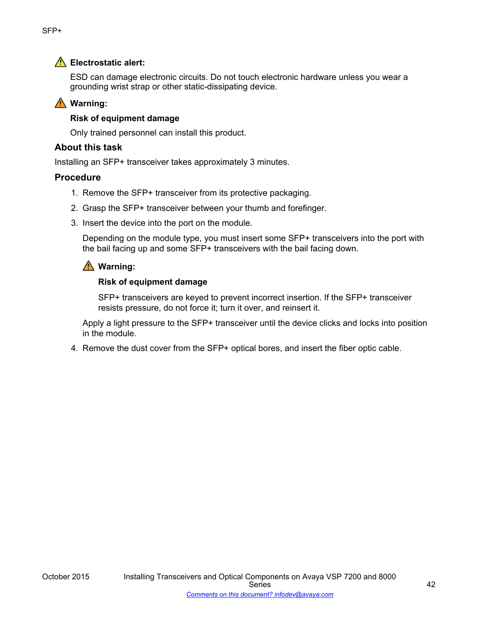### **Electrostatic alert:**

ESD can damage electronic circuits. Do not touch electronic hardware unless you wear a grounding wrist strap or other static-dissipating device.

### **Warning:**

### **Risk of equipment damage**

Only trained personnel can install this product.

### **About this task**

Installing an SFP+ transceiver takes approximately 3 minutes.

### **Procedure**

- 1. Remove the SFP+ transceiver from its protective packaging.
- 2. Grasp the SFP+ transceiver between your thumb and forefinger.
- 3. Insert the device into the port on the module.

Depending on the module type, you must insert some SFP+ transceivers into the port with the bail facing up and some SFP+ transceivers with the bail facing down.

### **Warning:**

### **Risk of equipment damage**

SFP+ transceivers are keyed to prevent incorrect insertion. If the SFP+ transceiver resists pressure, do not force it; turn it over, and reinsert it.

Apply a light pressure to the SFP+ transceiver until the device clicks and locks into position in the module.

4. Remove the dust cover from the SFP+ optical bores, and insert the fiber optic cable.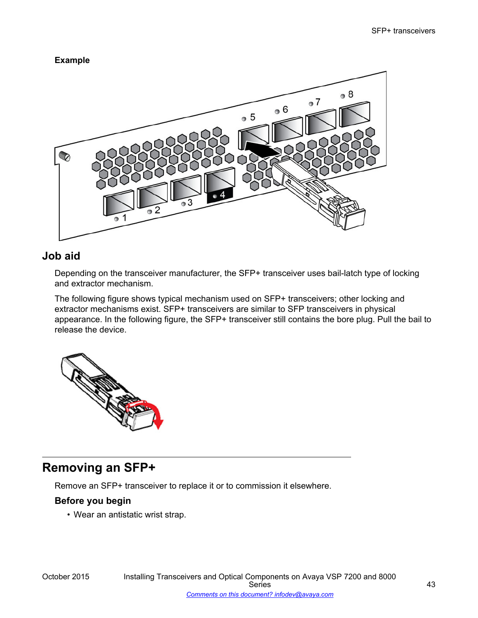### **Example**



## **Job aid**

Depending on the transceiver manufacturer, the SFP+ transceiver uses bail-latch type of locking and extractor mechanism.

The following figure shows typical mechanism used on SFP+ transceivers; other locking and extractor mechanisms exist. SFP+ transceivers are similar to SFP transceivers in physical appearance. In the following figure, the SFP+ transceiver still contains the bore plug. Pull the bail to release the device.



# **Removing an SFP+**

Remove an SFP+ transceiver to replace it or to commission it elsewhere.

### **Before you begin**

• Wear an antistatic wrist strap.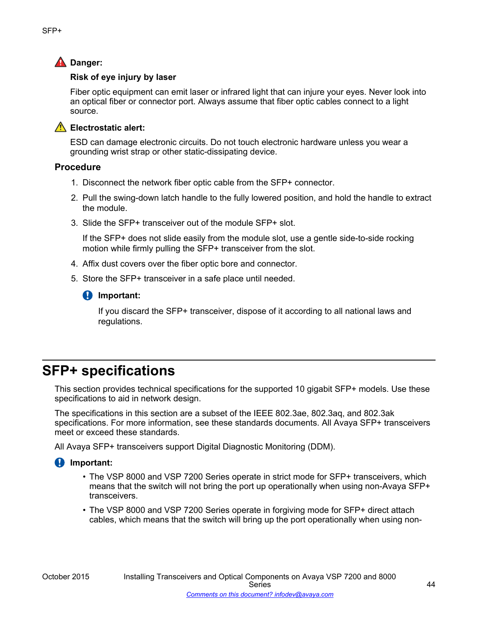## <span id="page-43-0"></span>**A** Danger:

### **Risk of eye injury by laser**

Fiber optic equipment can emit laser or infrared light that can injure your eyes. Never look into an optical fiber or connector port. Always assume that fiber optic cables connect to a light source.

### **A** Electrostatic alert:

ESD can damage electronic circuits. Do not touch electronic hardware unless you wear a grounding wrist strap or other static-dissipating device.

### **Procedure**

- 1. Disconnect the network fiber optic cable from the SFP+ connector.
- 2. Pull the swing-down latch handle to the fully lowered position, and hold the handle to extract the module.
- 3. Slide the SFP+ transceiver out of the module SFP+ slot.

If the SFP+ does not slide easily from the module slot, use a gentle side-to-side rocking motion while firmly pulling the SFP+ transceiver from the slot.

- 4. Affix dust covers over the fiber optic bore and connector.
- 5. Store the SFP+ transceiver in a safe place until needed.

### *<u>D* Important:</u>

If you discard the SFP+ transceiver, dispose of it according to all national laws and regulations.

# **SFP+ specifications**

This section provides technical specifications for the supported 10 gigabit SFP+ models. Use these specifications to aid in network design.

The specifications in this section are a subset of the IEEE 802.3ae, 802.3aq, and 802.3ak specifications. For more information, see these standards documents. All Avaya SFP+ transceivers meet or exceed these standards.

All Avaya SFP+ transceivers support Digital Diagnostic Monitoring (DDM).

### *<u>D* Important:</u>

- The VSP 8000 and VSP 7200 Series operate in strict mode for SFP+ transceivers, which means that the switch will not bring the port up operationally when using non-Avaya SFP+ transceivers.
- The VSP 8000 and VSP 7200 Series operate in forgiving mode for SFP+ direct attach cables, which means that the switch will bring up the port operationally when using non-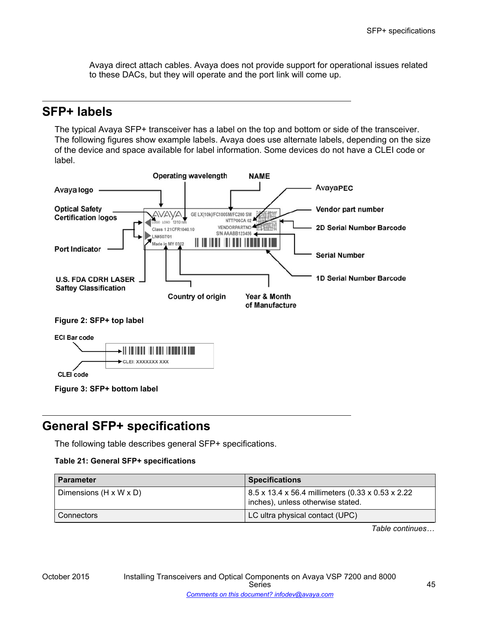Avaya direct attach cables. Avaya does not provide support for operational issues related to these DACs, but they will operate and the port link will come up.

## **SFP+ labels**

The typical Avaya SFP+ transceiver has a label on the top and bottom or side of the transceiver. The following figures show example labels. Avaya does use alternate labels, depending on the size of the device and space available for label information. Some devices do not have a CLEI code or label.



CLEI code

**Figure 3: SFP+ bottom label**

# **General SFP+ specifications**

The following table describes general SFP+ specifications.

### **Table 21: General SFP+ specifications**

| <b>Parameter</b>                   | <b>Specifications</b>                                                                  |
|------------------------------------|----------------------------------------------------------------------------------------|
| Dimensions $(H \times W \times D)$ | 8.5 x 13.4 x 56.4 millimeters (0.33 x 0.53 x 2.22<br>inches), unless otherwise stated. |
| Connectors                         | LC ultra physical contact (UPC)                                                        |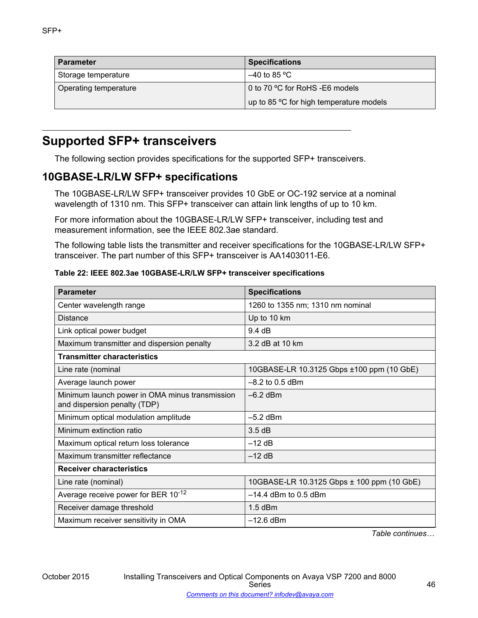| <b>Parameter</b>      | <b>Specifications</b>                   |
|-----------------------|-----------------------------------------|
| Storage temperature   | ' –40 to 85 °C                          |
| Operating temperature | 0 to 70 °C for RoHS -E6 models          |
|                       | up to 85 °C for high temperature models |

# **Supported SFP+ transceivers**

The following section provides specifications for the supported SFP+ transceivers.

## **10GBASE-LR/LW SFP+ specifications**

The 10GBASE-LR/LW SFP+ transceiver provides 10 GbE or OC-192 service at a nominal wavelength of 1310 nm. This SFP+ transceiver can attain link lengths of up to 10 km.

For more information about the 10GBASE-LR/LW SFP+ transceiver, including test and measurement information, see the IEEE 802.3ae standard.

The following table lists the transmitter and receiver specifications for the 10GBASE-LR/LW SFP+ transceiver. The part number of this SFP+ transceiver is AA1403011-E6.

| Table 22: IEEE 802.3ae 10GBASE-LR/LW SFP+ transceiver specifications |  |
|----------------------------------------------------------------------|--|
|----------------------------------------------------------------------|--|

| <b>Parameter</b>                                                               | <b>Specifications</b>                      |
|--------------------------------------------------------------------------------|--------------------------------------------|
| Center wavelength range                                                        | 1260 to 1355 nm; 1310 nm nominal           |
| Distance                                                                       | Up to 10 km                                |
| Link optical power budget                                                      | 9.4 dB                                     |
| Maximum transmitter and dispersion penalty                                     | 3.2 dB at 10 km                            |
| <b>Transmitter characteristics</b>                                             |                                            |
| Line rate (nominal                                                             | 10GBASE-LR 10.3125 Gbps ±100 ppm (10 GbE)  |
| Average launch power                                                           | $-8.2$ to 0.5 dBm                          |
| Minimum launch power in OMA minus transmission<br>and dispersion penalty (TDP) | $-6.2$ dBm                                 |
| Minimum optical modulation amplitude                                           | $-5.2$ dBm                                 |
| Minimum extinction ratio                                                       | 3.5dB                                      |
| Maximum optical return loss tolerance                                          | $-12$ dB                                   |
| Maximum transmitter reflectance                                                | $-12$ dB                                   |
| <b>Receiver characteristics</b>                                                |                                            |
| Line rate (nominal)                                                            | 10GBASE-LR 10.3125 Gbps ± 100 ppm (10 GbE) |
| Average receive power for BER $10^{-12}$                                       | $-14.4$ dBm to 0.5 dBm                     |
| Receiver damage threshold                                                      | $1.5$ dBm                                  |
| Maximum receiver sensitivity in OMA                                            | $-12.6$ dBm                                |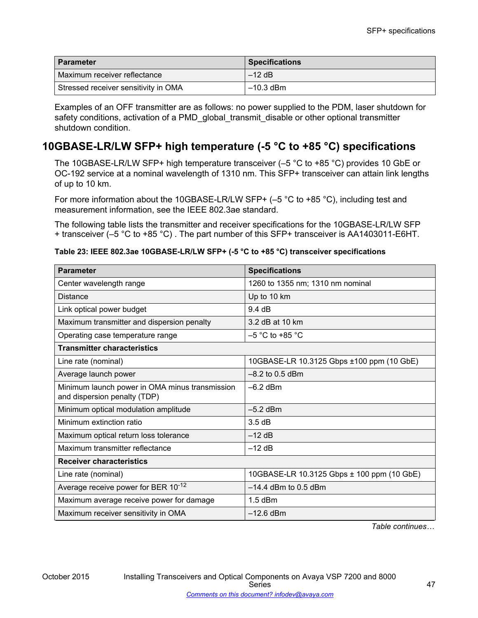| ∣ Parameter                          | <b>Specifications</b> |
|--------------------------------------|-----------------------|
| Maximum receiver reflectance         | $-12$ dB              |
| Stressed receiver sensitivity in OMA | ' –10.3 dBm           |

Examples of an OFF transmitter are as follows: no power supplied to the PDM, laser shutdown for safety conditions, activation of a PMD\_global\_transmit\_disable or other optional transmitter shutdown condition.

## **10GBASE-LR/LW SFP+ high temperature (-5 °C to +85 °C) specifications**

The 10GBASE-LR/LW SFP+ high temperature transceiver (–5 °C to +85 °C) provides 10 GbE or OC-192 service at a nominal wavelength of 1310 nm. This SFP+ transceiver can attain link lengths of up to 10 km.

For more information about the 10GBASE-LR/LW SFP+ (-5 °C to +85 °C), including test and measurement information, see the IEEE 802.3ae standard.

The following table lists the transmitter and receiver specifications for the 10GBASE-LR/LW SFP + transceiver (–5 °C to +85 °C) . The part number of this SFP+ transceiver is AA1403011-E6HT.

| Table 23: IEEE 802.3ae 10GBASE-LR/LW SFP+ (-5 °C to +85 °C) transceiver specifications |  |  |
|----------------------------------------------------------------------------------------|--|--|
|                                                                                        |  |  |

| <b>Parameter</b>                                                               | <b>Specifications</b>                      |
|--------------------------------------------------------------------------------|--------------------------------------------|
| Center wavelength range                                                        | 1260 to 1355 nm; 1310 nm nominal           |
| <b>Distance</b>                                                                | Up to 10 km                                |
| Link optical power budget                                                      | 9.4 dB                                     |
| Maximum transmitter and dispersion penalty                                     | 3.2 dB at 10 km                            |
| Operating case temperature range                                               | $-5$ °C to +85 °C                          |
| <b>Transmitter characteristics</b>                                             |                                            |
| Line rate (nominal)                                                            | 10GBASE-LR 10.3125 Gbps ±100 ppm (10 GbE)  |
| Average launch power                                                           | $-8.2$ to 0.5 dBm                          |
| Minimum launch power in OMA minus transmission<br>and dispersion penalty (TDP) | $-6.2$ dBm                                 |
| Minimum optical modulation amplitude                                           | $-5.2$ dBm                                 |
| Minimum extinction ratio                                                       | 3.5dB                                      |
| Maximum optical return loss tolerance                                          | $-12$ dB                                   |
| Maximum transmitter reflectance                                                | $-12$ dB                                   |
| <b>Receiver characteristics</b>                                                |                                            |
| Line rate (nominal)                                                            | 10GBASE-LR 10.3125 Gbps ± 100 ppm (10 GbE) |
| Average receive power for BER 10-12                                            | $-14.4$ dBm to 0.5 dBm                     |
| Maximum average receive power for damage                                       | $1.5$ dBm                                  |
| Maximum receiver sensitivity in OMA                                            | $-12.6$ dBm                                |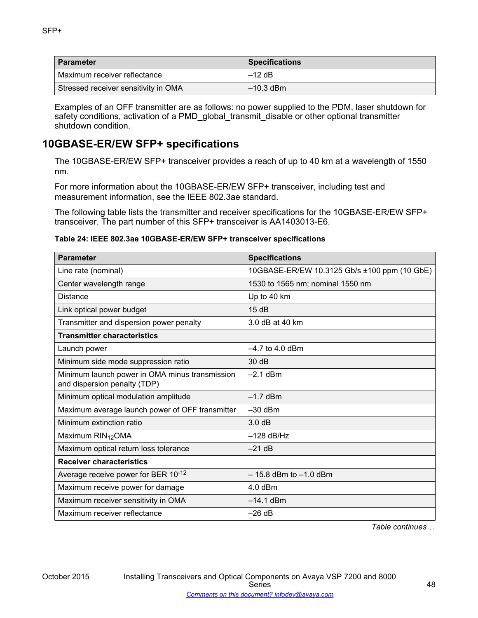| <b>Parameter</b>                     | <b>Specifications</b> |
|--------------------------------------|-----------------------|
| Maximum receiver reflectance         | $-12$ dB              |
| Stressed receiver sensitivity in OMA | ' –10.3 dBm ∖         |

Examples of an OFF transmitter are as follows: no power supplied to the PDM, laser shutdown for safety conditions, activation of a PMD\_global\_transmit\_disable or other optional transmitter shutdown condition.

## **10GBASE-ER/EW SFP+ specifications**

The 10GBASE-ER/EW SFP+ transceiver provides a reach of up to 40 km at a wavelength of 1550 nm.

For more information about the 10GBASE-ER/EW SFP+ transceiver, including test and measurement information, see the IEEE 802.3ae standard.

The following table lists the transmitter and receiver specifications for the 10GBASE-ER/EW SFP+ transceiver. The part number of this SFP+ transceiver is AA1403013-E6.

### **Table 24: IEEE 802.3ae 10GBASE-ER/EW SFP+ transceiver specifications**

| <b>Parameter</b>                                                               | <b>Specifications</b>                        |
|--------------------------------------------------------------------------------|----------------------------------------------|
| Line rate (nominal)                                                            | 10GBASE-ER/EW 10.3125 Gb/s ±100 ppm (10 GbE) |
| Center wavelength range                                                        | 1530 to 1565 nm; nominal 1550 nm             |
| <b>Distance</b>                                                                | Up to 40 km                                  |
| Link optical power budget                                                      | 15dB                                         |
| Transmitter and dispersion power penalty                                       | 3.0 dB at 40 km                              |
| <b>Transmitter characteristics</b>                                             |                                              |
| Launch power                                                                   | $-4.7$ to 4.0 dBm                            |
| Minimum side mode suppression ratio                                            | 30dB                                         |
| Minimum launch power in OMA minus transmission<br>and dispersion penalty (TDP) | $-2.1$ dBm                                   |
| Minimum optical modulation amplitude                                           | $-1.7$ dBm                                   |
| Maximum average launch power of OFF transmitter                                | $-30$ dBm                                    |
| Minimum extinction ratio                                                       | 3.0 dB                                       |
| Maximum RIN <sub>12</sub> OMA                                                  | $-128$ dB/Hz                                 |
| Maximum optical return loss tolerance                                          | $-21$ dB                                     |
| <b>Receiver characteristics</b>                                                |                                              |
| Average receive power for BER 10-12                                            | $-15.8$ dBm to $-1.0$ dBm                    |
| Maximum receive power for damage                                               | 4.0 dBm                                      |
| Maximum receiver sensitivity in OMA                                            | $-14.1$ dBm                                  |
| Maximum receiver reflectance                                                   | $-26$ dB                                     |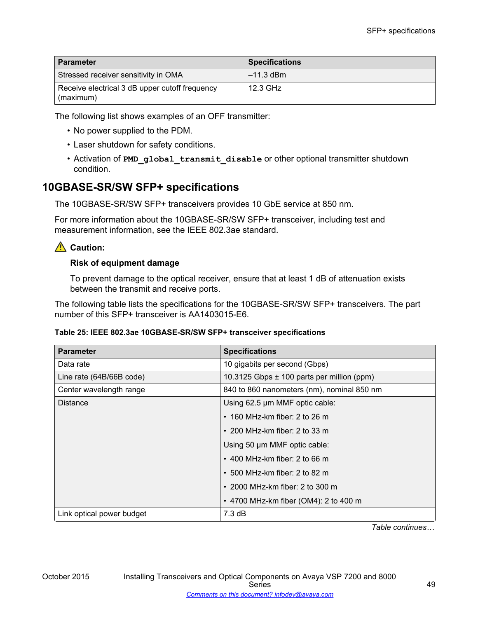| <b>Parameter</b>                               | <b>Specifications</b> |
|------------------------------------------------|-----------------------|
| Stressed receiver sensitivity in OMA           | $-11.3$ dBm           |
| Receive electrical 3 dB upper cutoff frequency | 12.3 GHz              |
| (maximum)                                      |                       |

The following list shows examples of an OFF transmitter:

- No power supplied to the PDM.
- Laser shutdown for safety conditions.
- Activation of **PMD\_global\_transmit\_disable** or other optional transmitter shutdown condition.

## **10GBASE-SR/SW SFP+ specifications**

The 10GBASE-SR/SW SFP+ transceivers provides 10 GbE service at 850 nm.

For more information about the 10GBASE-SR/SW SFP+ transceiver, including test and measurement information, see the IEEE 802.3ae standard.

## **Caution:**

### **Risk of equipment damage**

To prevent damage to the optical receiver, ensure that at least 1 dB of attenuation exists between the transmit and receive ports.

The following table lists the specifications for the 10GBASE-SR/SW SFP+ transceivers. The part number of this SFP+ transceiver is AA1403015-E6.

### **Table 25: IEEE 802.3ae 10GBASE-SR/SW SFP+ transceiver specifications**

| <b>Parameter</b>          | <b>Specifications</b>                          |
|---------------------------|------------------------------------------------|
| Data rate                 | 10 gigabits per second (Gbps)                  |
| Line rate (64B/66B code)  | 10.3125 Gbps $\pm$ 100 parts per million (ppm) |
| Center wavelength range   | 840 to 860 nanometers (nm), nominal 850 nm     |
| <b>Distance</b>           | Using 62.5 µm MMF optic cable:                 |
|                           | $\cdot$ 160 MHz-km fiber: 2 to 26 m            |
|                           | $\cdot$ 200 MHz-km fiber: 2 to 33 m            |
|                           | Using 50 µm MMF optic cable:                   |
|                           | $\cdot$ 400 MHz-km fiber: 2 to 66 m            |
|                           | $\cdot$ 500 MHz-km fiber: 2 to 82 m            |
|                           | $\cdot$ 2000 MHz-km fiber: 2 to 300 m          |
|                           | • 4700 MHz-km fiber (OM4): 2 to 400 m          |
| Link optical power budget | 7.3 dB                                         |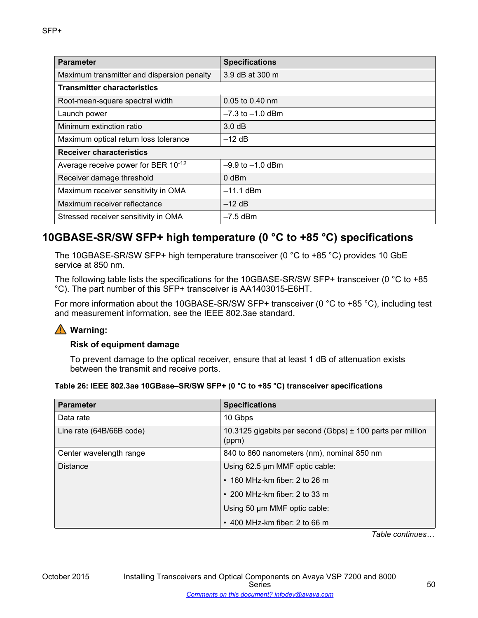| <b>Parameter</b>                           | <b>Specifications</b> |  |
|--------------------------------------------|-----------------------|--|
| Maximum transmitter and dispersion penalty | 3.9 dB at 300 m       |  |
| <b>Transmitter characteristics</b>         |                       |  |
| Root-mean-square spectral width            | 0.05 to 0.40 nm       |  |
| Launch power                               | $-7.3$ to $-1.0$ dBm  |  |
| Minimum extinction ratio                   | 3.0 dB                |  |
| Maximum optical return loss tolerance      | $-12$ dB              |  |
| <b>Receiver characteristics</b>            |                       |  |
| Average receive power for BER 10-12        | $-9.9$ to $-1.0$ dBm  |  |
| Receiver damage threshold                  | 0 dBm                 |  |
| Maximum receiver sensitivity in OMA        | $-11.1$ dBm           |  |
| Maximum receiver reflectance               | $-12$ dB              |  |
| Stressed receiver sensitivity in OMA       | $-7.5$ dBm            |  |

## **10GBASE-SR/SW SFP+ high temperature (0 °C to +85 °C) specifications**

The 10GBASE-SR/SW SFP+ high temperature transceiver (0 °C to +85 °C) provides 10 GbE service at 850 nm.

The following table lists the specifications for the 10GBASE-SR/SW SFP+ transceiver (0 °C to +85 °C). The part number of this SFP+ transceiver is AA1403015-E6HT.

For more information about the 10GBASE-SR/SW SFP+ transceiver (0 °C to +85 °C), including test and measurement information, see the IEEE 802.3ae standard.

## **Warning:**

### **Risk of equipment damage**

To prevent damage to the optical receiver, ensure that at least 1 dB of attenuation exists between the transmit and receive ports.

| Table 26: IEEE 802.3ae 10GBase–SR/SW SFP+ (0 °C to +85 °C) transceiver specifications |  |  |  |  |
|---------------------------------------------------------------------------------------|--|--|--|--|
|---------------------------------------------------------------------------------------|--|--|--|--|

| <b>Parameter</b>         | <b>Specifications</b>                                               |  |
|--------------------------|---------------------------------------------------------------------|--|
| Data rate                | 10 Gbps                                                             |  |
| Line rate (64B/66B code) | 10.3125 gigabits per second (Gbps) ± 100 parts per million<br>(ppm) |  |
| Center wavelength range  | 840 to 860 nanometers (nm), nominal 850 nm                          |  |
| <b>Distance</b>          | Using 62.5 µm MMF optic cable:                                      |  |
|                          | $\cdot$ 160 MHz-km fiber: 2 to 26 m                                 |  |
|                          | $\cdot$ 200 MHz-km fiber: 2 to 33 m                                 |  |
|                          | Using 50 µm MMF optic cable:                                        |  |
|                          | $\cdot$ 400 MHz-km fiber: 2 to 66 m                                 |  |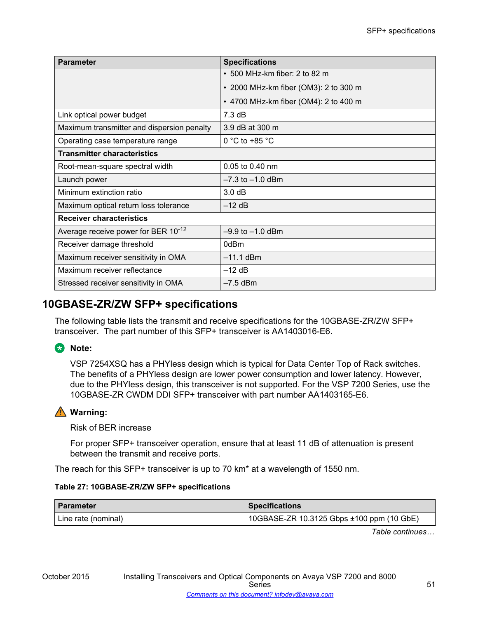| <b>Parameter</b>                           | <b>Specifications</b>                 |
|--------------------------------------------|---------------------------------------|
|                                            | $\cdot$ 500 MHz-km fiber: 2 to 82 m   |
|                                            | • 2000 MHz-km fiber (OM3): 2 to 300 m |
|                                            | • 4700 MHz-km fiber (OM4): 2 to 400 m |
| Link optical power budget                  | 7.3 dB                                |
| Maximum transmitter and dispersion penalty | 3.9 dB at 300 m                       |
| Operating case temperature range           | 0 °C to +85 $\degree$ C               |
| <b>Transmitter characteristics</b>         |                                       |
| Root-mean-square spectral width            | 0.05 to 0.40 nm                       |
| Launch power                               | $-7.3$ to $-1.0$ dBm                  |
| Minimum extinction ratio                   | 3.0 dB                                |
| Maximum optical return loss tolerance      | $-12$ dB                              |
| <b>Receiver characteristics</b>            |                                       |
| Average receive power for BER 10-12        | $-9.9$ to $-1.0$ dBm                  |
| Receiver damage threshold                  | 0dBm                                  |
| Maximum receiver sensitivity in OMA        | $-11.1$ dBm                           |
| Maximum receiver reflectance               | $-12$ dB                              |
| Stressed receiver sensitivity in OMA       | $-7.5$ dBm                            |

## **10GBASE-ZR/ZW SFP+ specifications**

The following table lists the transmit and receive specifications for the 10GBASE-ZR/ZW SFP+ transceiver. The part number of this SFP+ transceiver is AA1403016-E6.

## **B** Note:

VSP 7254XSQ has a PHYless design which is typical for Data Center Top of Rack switches. The benefits of a PHYless design are lower power consumption and lower latency. However, due to the PHYless design, this transceiver is not supported. For the VSP 7200 Series, use the 10GBASE-ZR CWDM DDI SFP+ transceiver with part number AA1403165-E6.

## **Warning:**

Risk of BER increase

For proper SFP+ transceiver operation, ensure that at least 11 dB of attenuation is present between the transmit and receive ports.

The reach for this SFP+ transceiver is up to 70 km\* at a wavelength of 1550 nm.

### **Table 27: 10GBASE-ZR/ZW SFP+ specifications**

| ∣ Parameter           | <b>Specifications</b>                     |
|-----------------------|-------------------------------------------|
| ' Line rate (nominal) | 10GBASE-ZR 10.3125 Gbps ±100 ppm (10 GbE) |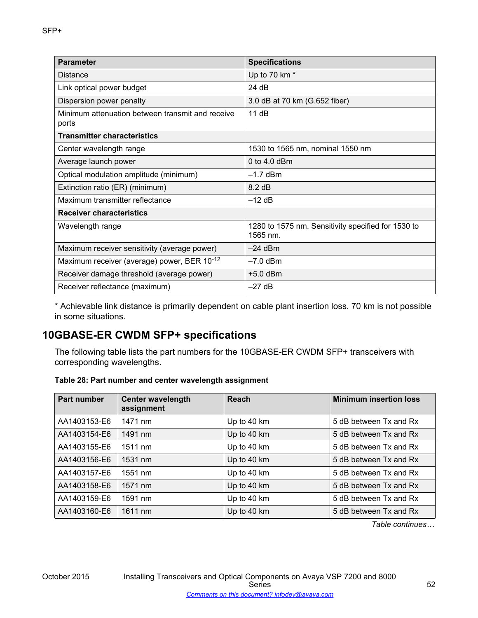| <b>Parameter</b>                                          | <b>Specifications</b>                                            |
|-----------------------------------------------------------|------------------------------------------------------------------|
| Distance                                                  | Up to 70 km *                                                    |
| Link optical power budget                                 | 24 dB                                                            |
| Dispersion power penalty                                  | 3.0 dB at 70 km (G.652 fiber)                                    |
| Minimum attenuation between transmit and receive<br>ports | 11 dB                                                            |
| Transmitter characteristics                               |                                                                  |
| Center wavelength range                                   | 1530 to 1565 nm, nominal 1550 nm                                 |
| Average launch power                                      | 0 to 4.0 dBm                                                     |
| Optical modulation amplitude (minimum)                    | $-1.7$ dBm                                                       |
| Extinction ratio (ER) (minimum)                           | 8.2 dB                                                           |
| Maximum transmitter reflectance                           | $-12$ dB                                                         |
| <b>Receiver characteristics</b>                           |                                                                  |
| Wavelength range                                          | 1280 to 1575 nm. Sensitivity specified for 1530 to<br>$1565$ nm. |
| Maximum receiver sensitivity (average power)              | $-24$ dBm                                                        |
| Maximum receiver (average) power, BER 10-12               | $-7.0$ dBm                                                       |
| Receiver damage threshold (average power)                 | $+5.0$ dBm                                                       |
| Receiver reflectance (maximum)                            | $-27$ dB                                                         |

\* Achievable link distance is primarily dependent on cable plant insertion loss. 70 km is not possible in some situations.

# **10GBASE-ER CWDM SFP+ specifications**

The following table lists the part numbers for the 10GBASE-ER CWDM SFP+ transceivers with corresponding wavelengths.

### **Table 28: Part number and center wavelength assignment**

| Part number  | <b>Center wavelength</b><br>assignment | <b>Reach</b> | <b>Minimum insertion loss</b> |
|--------------|----------------------------------------|--------------|-------------------------------|
| AA1403153-E6 | 1471 nm                                | Up to 40 km  | 5 dB between Tx and Rx        |
| AA1403154-E6 | 1491 nm                                | Up to 40 km  | 5 dB between Tx and Rx        |
| AA1403155-E6 | 1511 nm                                | Up to 40 km  | 5 dB between Tx and Rx        |
| AA1403156-E6 | 1531 nm                                | Up to 40 km  | 5 dB between Tx and Rx        |
| AA1403157-E6 | 1551 nm                                | Up to 40 km  | 5 dB between Tx and Rx        |
| AA1403158-E6 | 1571 nm                                | Up to 40 km  | 5 dB between Tx and Rx        |
| AA1403159-E6 | 1591 nm                                | Up to 40 km  | 5 dB between Tx and Rx        |
| AA1403160-E6 | 1611 nm                                | Up to 40 km  | 5 dB between Tx and Rx        |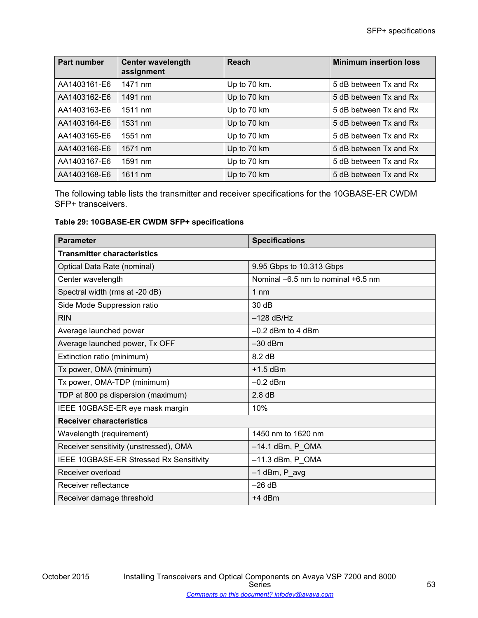| Part number  | <b>Center wavelength</b><br>assignment | Reach        | <b>Minimum insertion loss</b> |
|--------------|----------------------------------------|--------------|-------------------------------|
| AA1403161-E6 | 1471 nm                                | Up to 70 km. | 5 dB between Tx and Rx        |
| AA1403162-E6 | 1491 nm                                | Up to 70 km  | 5 dB between Tx and Rx        |
| AA1403163-E6 | 1511 nm                                | Up to 70 km  | 5 dB between Tx and Rx        |
| AA1403164-E6 | 1531 nm                                | Up to 70 km  | 5 dB between Tx and Rx        |
| AA1403165-E6 | 1551 nm                                | Up to 70 km  | 5 dB between Tx and Rx        |
| AA1403166-E6 | 1571 nm                                | Up to 70 km  | 5 dB between Tx and Rx        |
| AA1403167-E6 | 1591 nm                                | Up to 70 km  | 5 dB between Tx and Rx        |
| AA1403168-E6 | 1611 nm                                | Up to 70 km  | 5 dB between Tx and Rx        |

The following table lists the transmitter and receiver specifications for the 10GBASE-ER CWDM SFP+ transceivers.

### **Table 29: 10GBASE-ER CWDM SFP+ specifications**

| <b>Parameter</b>                        | <b>Specifications</b>              |  |  |  |
|-----------------------------------------|------------------------------------|--|--|--|
| <b>Transmitter characteristics</b>      |                                    |  |  |  |
| Optical Data Rate (nominal)             | 9.95 Gbps to 10.313 Gbps           |  |  |  |
| Center wavelength                       | Nominal -6.5 nm to nominal +6.5 nm |  |  |  |
| Spectral width (rms at -20 dB)          | $1 \text{ nm}$                     |  |  |  |
| Side Mode Suppression ratio             | 30 dB                              |  |  |  |
| <b>RIN</b>                              | $-128$ dB/Hz                       |  |  |  |
| Average launched power                  | $-0.2$ dBm to 4 dBm                |  |  |  |
| Average launched power, Tx OFF          | $-30$ dBm                          |  |  |  |
| Extinction ratio (minimum)              | 8.2 dB                             |  |  |  |
| Tx power, OMA (minimum)                 | $+1.5$ dBm                         |  |  |  |
| Tx power, OMA-TDP (minimum)             | $-0.2$ dBm                         |  |  |  |
| TDP at 800 ps dispersion (maximum)      | 2.8 dB                             |  |  |  |
| IEEE 10GBASE-ER eye mask margin         | 10%                                |  |  |  |
| <b>Receiver characteristics</b>         |                                    |  |  |  |
| Wavelength (requirement)                | 1450 nm to 1620 nm                 |  |  |  |
| Receiver sensitivity (unstressed), OMA  | $-14.1$ dBm, P $\_OMA$             |  |  |  |
| IEEE 10GBASE-ER Stressed Rx Sensitivity | $-11.3$ dBm, P_OMA                 |  |  |  |
| Receiver overload                       | $-1$ dBm, P_avg                    |  |  |  |
| Receiver reflectance                    | $-26$ dB                           |  |  |  |
| Receiver damage threshold               | $+4$ dBm                           |  |  |  |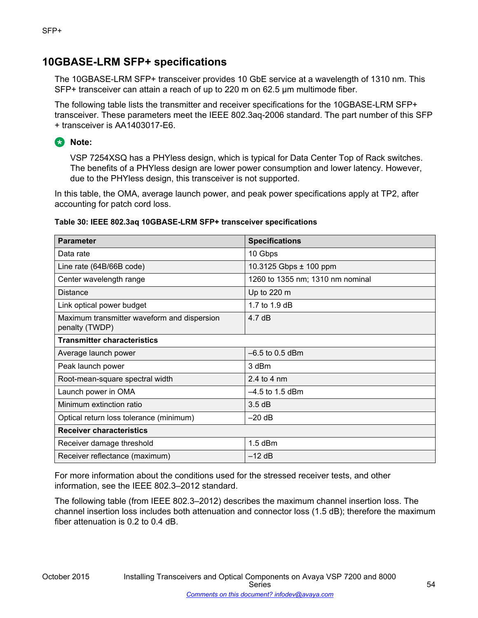## **10GBASE-LRM SFP+ specifications**

The 10GBASE-LRM SFP+ transceiver provides 10 GbE service at a wavelength of 1310 nm. This SFP+ transceiver can attain a reach of up to 220 m on 62.5 μm multimode fiber.

The following table lists the transmitter and receiver specifications for the 10GBASE-LRM SFP+ transceiver. These parameters meet the IEEE 802.3aq-2006 standard. The part number of this SFP + transceiver is AA1403017-E6.

**RD** Note:

VSP 7254XSQ has a PHYless design, which is typical for Data Center Top of Rack switches. The benefits of a PHYless design are lower power consumption and lower latency. However, due to the PHYless design, this transceiver is not supported.

In this table, the OMA, average launch power, and peak power specifications apply at TP2, after accounting for patch cord loss.

### **Table 30: IEEE 802.3aq 10GBASE-LRM SFP+ transceiver specifications**

| <b>Parameter</b>                                              | <b>Specifications</b>            |
|---------------------------------------------------------------|----------------------------------|
| Data rate                                                     | 10 Gbps                          |
| Line rate (64B/66B code)                                      | 10.3125 Gbps ± 100 ppm           |
| Center wavelength range                                       | 1260 to 1355 nm; 1310 nm nominal |
| <b>Distance</b>                                               | Up to 220 m                      |
| Link optical power budget                                     | 1.7 to 1.9 dB                    |
| Maximum transmitter waveform and dispersion<br>penalty (TWDP) | 4.7 $dB$                         |
| <b>Transmitter characteristics</b>                            |                                  |
| Average launch power                                          | $-6.5$ to 0.5 dBm                |
| Peak launch power                                             | 3 dBm                            |
| Root-mean-square spectral width                               | 2.4 to 4 nm                      |
| Launch power in OMA                                           | $-4.5$ to 1.5 dBm                |
| Minimum extinction ratio                                      | 3.5dB                            |
| Optical return loss tolerance (minimum)                       | $-20$ dB                         |
| <b>Receiver characteristics</b>                               |                                  |
| Receiver damage threshold                                     | $1.5$ dBm                        |
| Receiver reflectance (maximum)                                | $-12$ dB                         |

For more information about the conditions used for the stressed receiver tests, and other information, see the IEEE 802.3–2012 standard.

The following table (from IEEE 802.3–2012) describes the maximum channel insertion loss. The channel insertion loss includes both attenuation and connector loss (1.5 dB); therefore the maximum fiber attenuation is 0.2 to 0.4 dB.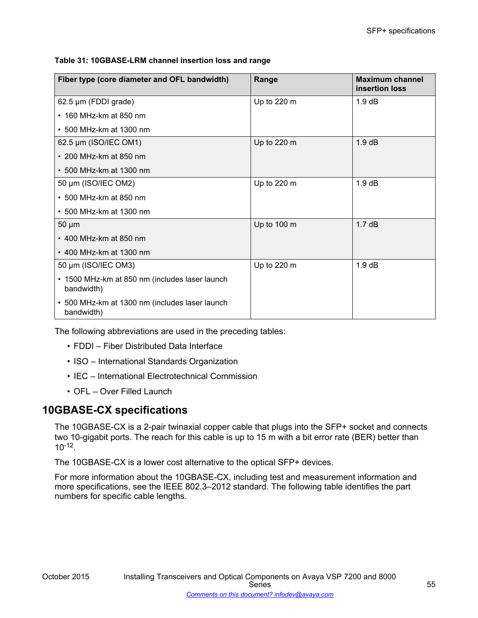**Table 31: 10GBASE-LRM channel insertion loss and range**

| Fiber type (core diameter and OFL bandwidth)                 | Range       | <b>Maximum channel</b><br>insertion loss |
|--------------------------------------------------------------|-------------|------------------------------------------|
| 62.5 µm (FDDI grade)                                         | Up to 220 m | $1.9 \text{ dB}$                         |
| $\cdot$ 160 MHz-km at 850 nm                                 |             |                                          |
| • 500 MHz-km at 1300 nm                                      |             |                                          |
| 62.5 µm (ISO/IEC OM1)                                        | Up to 220 m | $1.9 \text{ dB}$                         |
| $\cdot$ 200 MHz-km at 850 nm                                 |             |                                          |
| $\cdot$ 500 MHz-km at 1300 nm                                |             |                                          |
| 50 µm (ISO/IEC OM2)                                          | Up to 220 m | $1.9 \text{ dB}$                         |
| $\cdot$ 500 MHz-km at 850 nm                                 |             |                                          |
| • 500 MHz-km at 1300 nm                                      |             |                                          |
| $50 \mu m$                                                   | Up to 100 m | $1.7 \text{ dB}$                         |
| $\cdot$ 400 MHz-km at 850 nm                                 |             |                                          |
| • 400 MHz-km at 1300 nm                                      |             |                                          |
| 50 µm (ISO/IEC OM3)                                          | Up to 220 m | 1.9 dB                                   |
| • 1500 MHz-km at 850 nm (includes laser launch<br>bandwidth) |             |                                          |
| • 500 MHz-km at 1300 nm (includes laser launch<br>bandwidth) |             |                                          |

The following abbreviations are used in the preceding tables:

- FDDI Fiber Distributed Data Interface
- ISO International Standards Organization
- IEC International Electrotechnical Commission
- OFL Over Filled Launch

## **10GBASE-CX specifications**

The 10GBASE-CX is a 2-pair twinaxial copper cable that plugs into the SFP+ socket and connects two 10-gigabit ports. The reach for this cable is up to 15 m with a bit error rate (BER) better than 10-12 .

The 10GBASE-CX is a lower cost alternative to the optical SFP+ devices.

For more information about the 10GBASE-CX, including test and measurement information and more specifications, see the IEEE 802.3–2012 standard. The following table identifies the part numbers for specific cable lengths.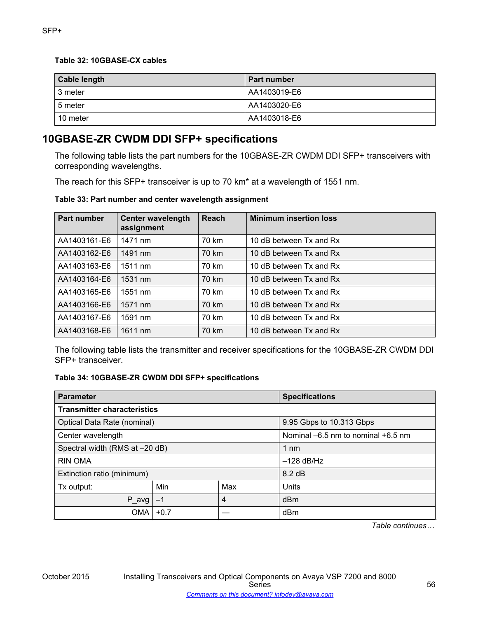### **Table 32: 10GBASE-CX cables**

| <b>Cable length</b> | <b>Part number</b> |
|---------------------|--------------------|
| 3 meter             | AA1403019-E6       |
| 5 meter             | AA1403020-E6       |
| 10 meter            | AA1403018-E6       |

## **10GBASE-ZR CWDM DDI SFP+ specifications**

The following table lists the part numbers for the 10GBASE-ZR CWDM DDI SFP+ transceivers with corresponding wavelengths.

The reach for this SFP+ transceiver is up to 70 km\* at a wavelength of 1551 nm.

**Table 33: Part number and center wavelength assignment**

| <b>Part number</b> | <b>Center wavelength</b><br>assignment | Reach | <b>Minimum insertion loss</b> |
|--------------------|----------------------------------------|-------|-------------------------------|
| AA1403161-E6       | 1471 nm                                | 70 km | 10 dB between Tx and Rx       |
| AA1403162-E6       | 1491 nm                                | 70 km | 10 dB between Tx and Rx       |
| AA1403163-E6       | 1511 nm                                | 70 km | 10 dB between Tx and Rx       |
| AA1403164-E6       | 1531 nm                                | 70 km | 10 dB between Tx and Rx       |
| AA1403165-E6       | 1551 nm                                | 70 km | 10 dB between Tx and Rx       |
| AA1403166-E6       | 1571 nm                                | 70 km | 10 dB between Tx and Rx       |
| AA1403167-E6       | 1591 nm                                | 70 km | 10 dB between Tx and Rx       |
| AA1403168-E6       | 1611 nm                                | 70 km | 10 dB between Tx and Rx       |

The following table lists the transmitter and receiver specifications for the 10GBASE-ZR CWDM DDI SFP+ transceiver.

### **Table 34: 10GBASE-ZR CWDM DDI SFP+ specifications**

| <b>Parameter</b>                   |        | <b>Specifications</b> |                                        |  |  |
|------------------------------------|--------|-----------------------|----------------------------------------|--|--|
| <b>Transmitter characteristics</b> |        |                       |                                        |  |  |
| Optical Data Rate (nominal)        |        |                       | 9.95 Gbps to 10.313 Gbps               |  |  |
| Center wavelength                  |        |                       | Nominal $-6.5$ nm to nominal $+6.5$ nm |  |  |
| Spectral width (RMS at -20 dB)     |        | 1 nm                  |                                        |  |  |
| <b>RIN OMA</b>                     |        | $-128$ dB/Hz          |                                        |  |  |
| Extinction ratio (minimum)         |        |                       | 8.2 dB                                 |  |  |
| Tx output:                         | Min    | Max                   | Units                                  |  |  |
| P_avg                              | $-1$   | 4                     | dBm                                    |  |  |
| <b>OMA</b>                         | $+0.7$ |                       | dBm                                    |  |  |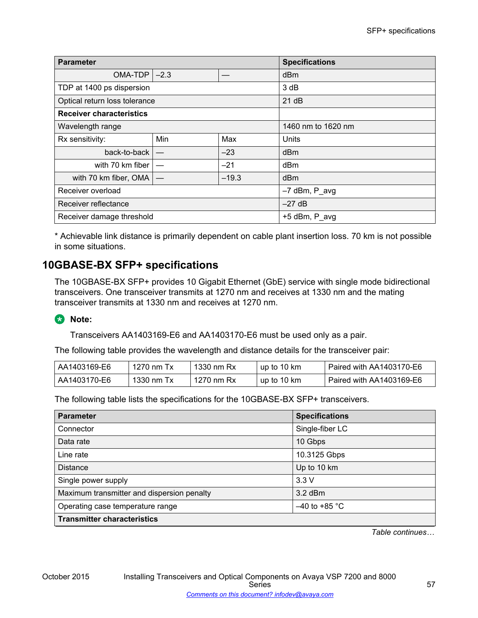| <b>Parameter</b>                |        | <b>Specifications</b> |                 |  |
|---------------------------------|--------|-----------------------|-----------------|--|
| OMA-TDP                         | $-2.3$ |                       | dBm             |  |
| TDP at 1400 ps dispersion       |        |                       | 3 dB            |  |
| Optical return loss tolerance   |        |                       | 21 dB           |  |
| <b>Receiver characteristics</b> |        |                       |                 |  |
| Wavelength range                |        | 1460 nm to 1620 nm    |                 |  |
| Rx sensitivity:                 | Min    | Max                   | Units           |  |
| back-to-back                    |        | $-23$                 | dB <sub>m</sub> |  |
| with 70 km fiber                |        | $-21$                 | d <sub>Bm</sub> |  |
| with 70 km fiber, OMA           |        | $-19.3$               | dBm             |  |
| Receiver overload               |        | $-7$ dBm, P_avg       |                 |  |
| Receiver reflectance            |        | $-27$ dB              |                 |  |
| Receiver damage threshold       |        | +5 dBm, P_avg         |                 |  |

\* Achievable link distance is primarily dependent on cable plant insertion loss. 70 km is not possible in some situations.

## **10GBASE-BX SFP+ specifications**

The 10GBASE-BX SFP+ provides 10 Gigabit Ethernet (GbE) service with single mode bidirectional transceivers. One transceiver transmits at 1270 nm and receives at 1330 nm and the mating transceiver transmits at 1330 nm and receives at 1270 nm.

## **RD** Note:

Transceivers AA1403169-E6 and AA1403170-E6 must be used only as a pair.

The following table provides the wavelength and distance details for the transceiver pair:

| AA1403169-E6 | 1270 nm Tx | 1330 nm Rx | up to 10 km | Paired with AA1403170-E6! ! |
|--------------|------------|------------|-------------|-----------------------------|
| AA1403170-E6 | 1330 nm Tx | 1270 nm Rx | up to 10 km | Paired with AA1403169-E6 !  |

The following table lists the specifications for the 10GBASE-BX SFP+ transceivers.

| <b>Parameter</b>                           | <b>Specifications</b> |
|--------------------------------------------|-----------------------|
| Connector                                  | Single-fiber LC       |
| Data rate                                  | 10 Gbps               |
| Line rate                                  | 10.3125 Gbps          |
| <b>Distance</b>                            | Up to 10 km           |
| Single power supply                        | 3.3V                  |
| Maximum transmitter and dispersion penalty | $3.2$ dBm             |
| Operating case temperature range           | $-40$ to +85 °C       |
| <b>Transmitter characteristics</b>         |                       |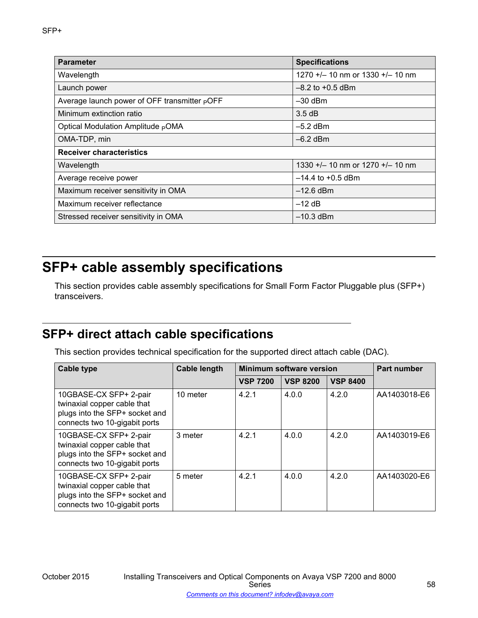| <b>Parameter</b>                                         | <b>Specifications</b>                |
|----------------------------------------------------------|--------------------------------------|
| Wavelength                                               | 1270 $+/-$ 10 nm or 1330 $+/-$ 10 nm |
| Launch power                                             | $-8.2$ to $+0.5$ dBm                 |
| Average launch power of OFF transmitter <sub>P</sub> OFF | $-30$ dBm                            |
| Minimum extinction ratio                                 | 3.5dB                                |
| Optical Modulation Amplitude <sub>P</sub> OMA            | $-5.2$ dBm                           |
| OMA-TDP, min                                             | $-6.2$ dBm                           |
| <b>Receiver characteristics</b>                          |                                      |
| Wavelength                                               | 1330 +/- 10 nm or 1270 +/- 10 nm     |
| Average receive power                                    | $-14.4$ to $+0.5$ dBm                |
| Maximum receiver sensitivity in OMA                      | $-12.6$ dBm                          |
| Maximum receiver reflectance                             | $-12$ dB                             |
| Stressed receiver sensitivity in OMA                     | $-10.3$ dBm                          |

# **SFP+ cable assembly specifications**

This section provides cable assembly specifications for Small Form Factor Pluggable plus (SFP+) transceivers.

# **SFP+ direct attach cable specifications**

This section provides technical specification for the supported direct attach cable (DAC).

| <b>Cable type</b>                                                                                                        | <b>Cable length</b> | <b>Minimum software version</b> | <b>Part number</b> |                 |              |
|--------------------------------------------------------------------------------------------------------------------------|---------------------|---------------------------------|--------------------|-----------------|--------------|
|                                                                                                                          |                     | <b>VSP 7200</b>                 | <b>VSP 8200</b>    | <b>VSP 8400</b> |              |
| 10GBASE-CX SFP+ 2-pair<br>twinaxial copper cable that<br>plugs into the SFP+ socket and<br>connects two 10-gigabit ports | 10 meter            | 4.2.1                           | 4.0.0              | 4.2.0           | AA1403018-E6 |
| 10GBASE-CX SFP+ 2-pair<br>twinaxial copper cable that<br>plugs into the SFP+ socket and<br>connects two 10-gigabit ports | 3 meter             | 4.2.1                           | 4.0.0              | 4.2.0           | AA1403019-E6 |
| 10GBASE-CX SFP+ 2-pair<br>twinaxial copper cable that<br>plugs into the SFP+ socket and<br>connects two 10-gigabit ports | 5 meter             | 4.2.1                           | 4.0.0              | 4.2.0           | AA1403020-E6 |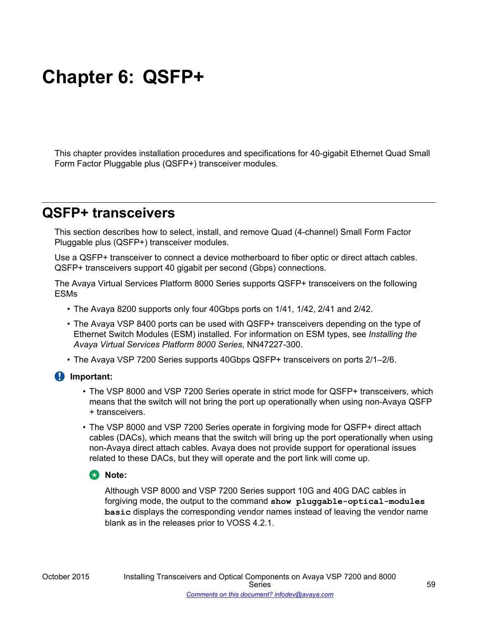# **Chapter 6: QSFP+**

This chapter provides installation procedures and specifications for 40-gigabit Ethernet Quad Small Form Factor Pluggable plus (QSFP+) transceiver modules.

# **QSFP+ transceivers**

This section describes how to select, install, and remove Quad (4-channel) Small Form Factor Pluggable plus (QSFP+) transceiver modules.

Use a QSFP+ transceiver to connect a device motherboard to fiber optic or direct attach cables. QSFP+ transceivers support 40 gigabit per second (Gbps) connections.

The Avaya Virtual Services Platform 8000 Series supports QSFP+ transceivers on the following ESMs

- The Avaya 8200 supports only four 40Gbps ports on 1/41, 1/42, 2/41 and 2/42.
- The Avaya VSP 8400 ports can be used with QSFP+ transceivers depending on the type of Ethernet Switch Modules (ESM) installed. For information on ESM types, see *Installing the Avaya Virtual Services Platform 8000 Series*, NN47227-300.
- The Avaya VSP 7200 Series supports 40Gbps QSFP+ transceivers on ports 2/1–2/6.

### **Important:**

- The VSP 8000 and VSP 7200 Series operate in strict mode for QSFP+ transceivers, which means that the switch will not bring the port up operationally when using non-Avaya QSFP + transceivers.
- The VSP 8000 and VSP 7200 Series operate in forgiving mode for QSFP+ direct attach cables (DACs), which means that the switch will bring up the port operationally when using non-Avaya direct attach cables. Avaya does not provide support for operational issues related to these DACs, but they will operate and the port link will come up.

### **ED** Note:

Although VSP 8000 and VSP 7200 Series support 10G and 40G DAC cables in forgiving mode, the output to the command **show pluggable-optical-modules basic** displays the corresponding vendor names instead of leaving the vendor name blank as in the releases prior to VOSS 4.2.1.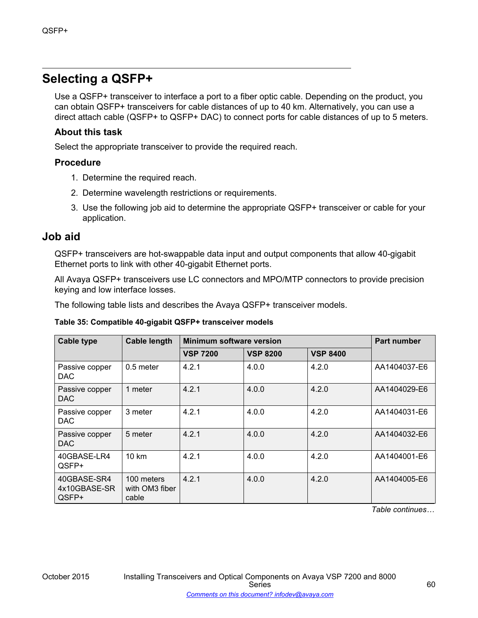# **Selecting a QSFP+**

Use a QSFP+ transceiver to interface a port to a fiber optic cable. Depending on the product, you can obtain QSFP+ transceivers for cable distances of up to 40 km. Alternatively, you can use a direct attach cable (QSFP+ to QSFP+ DAC) to connect ports for cable distances of up to 5 meters.

### **About this task**

Select the appropriate transceiver to provide the required reach.

### **Procedure**

- 1. Determine the required reach.
- 2. Determine wavelength restrictions or requirements.
- 3. Use the following job aid to determine the appropriate QSFP+ transceiver or cable for your application.

### **Job aid**

QSFP+ transceivers are hot-swappable data input and output components that allow 40-gigabit Ethernet ports to link with other 40-gigabit Ethernet ports.

All Avaya QSFP+ transceivers use LC connectors and MPO/MTP connectors to provide precision keying and low interface losses.

The following table lists and describes the Avaya QSFP+ transceiver models.

### **Table 35: Compatible 40-gigabit QSFP+ transceiver models**

| Cable type                           | <b>Cable length</b>                   | <b>Minimum software version</b> | <b>Part number</b> |                 |              |
|--------------------------------------|---------------------------------------|---------------------------------|--------------------|-----------------|--------------|
|                                      |                                       | <b>VSP 7200</b>                 | <b>VSP 8200</b>    | <b>VSP 8400</b> |              |
| Passive copper<br>DAC                | $0.5$ meter                           | 4.2.1                           | 4.0.0              | 4.2.0           | AA1404037-E6 |
| Passive copper<br>DAC.               | 1 meter                               | 4.2.1                           | 4.0.0              | 4.2.0           | AA1404029-E6 |
| Passive copper<br>DAC                | 3 meter                               | 4.2.1                           | 4.0.0              | 4.2.0           | AA1404031-E6 |
| Passive copper<br><b>DAC</b>         | 5 meter                               | 4.2.1                           | 4.0.0              | 4.2.0           | AA1404032-E6 |
| 40GBASE-LR4<br>QSFP+                 | $10 \text{ km}$                       | 4.2.1                           | 4.0.0              | 4.2.0           | AA1404001-E6 |
| 40GBASE-SR4<br>4x10GBASE-SR<br>QSFP+ | 100 meters<br>with OM3 fiber<br>cable | 4.2.1                           | 4.0.0              | 4.2.0           | AA1404005-E6 |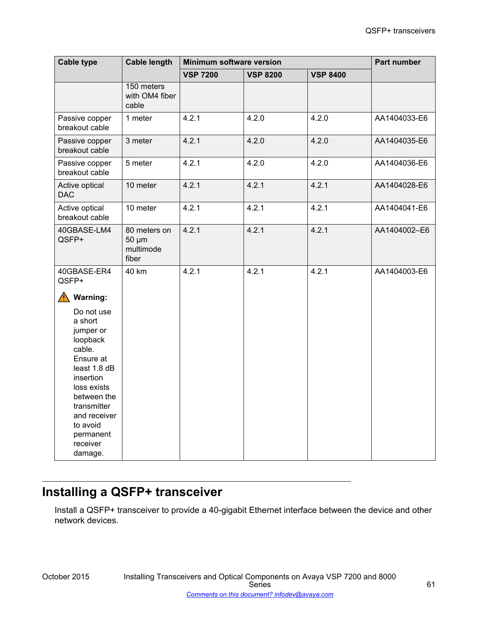| <b>Cable type</b>                                                                                                                                                                                                                  | <b>Cable length</b>                         | Minimum software version | Part number     |                 |              |
|------------------------------------------------------------------------------------------------------------------------------------------------------------------------------------------------------------------------------------|---------------------------------------------|--------------------------|-----------------|-----------------|--------------|
|                                                                                                                                                                                                                                    |                                             | <b>VSP 7200</b>          | <b>VSP 8200</b> | <b>VSP 8400</b> |              |
|                                                                                                                                                                                                                                    | 150 meters<br>with OM4 fiber<br>cable       |                          |                 |                 |              |
| Passive copper<br>breakout cable                                                                                                                                                                                                   | 1 meter                                     | 4.2.1                    | 4.2.0           | 4.2.0           | AA1404033-E6 |
| Passive copper<br>breakout cable                                                                                                                                                                                                   | 3 meter                                     | 4.2.1                    | 4.2.0           | 4.2.0           | AA1404035-E6 |
| Passive copper<br>breakout cable                                                                                                                                                                                                   | 5 meter                                     | 4.2.1                    | 4.2.0           | 4.2.0           | AA1404036-E6 |
| Active optical<br><b>DAC</b>                                                                                                                                                                                                       | 10 meter                                    | 4.2.1                    | 4.2.1           | 4.2.1           | AA1404028-E6 |
| Active optical<br>breakout cable                                                                                                                                                                                                   | 10 meter                                    | 4.2.1                    | 4.2.1           | 4.2.1           | AA1404041-E6 |
| 40GBASE-LM4<br>QSFP+                                                                                                                                                                                                               | 80 meters on<br>50 µm<br>multimode<br>fiber | 4.2.1                    | 4.2.1           | 4.2.1           | AA1404002-E6 |
| 40GBASE-ER4<br>QSFP+                                                                                                                                                                                                               | 40 km                                       | 4.2.1                    | 4.2.1           | 4.2.1           | AA1404003-E6 |
| <b>Warning:</b><br>Do not use<br>a short<br>jumper or<br>loopback<br>cable.<br>Ensure at<br>least 1.8 dB<br>insertion<br>loss exists<br>between the<br>transmitter<br>and receiver<br>to avoid<br>permanent<br>receiver<br>damage. |                                             |                          |                 |                 |              |

# **Installing a QSFP+ transceiver**

Install a QSFP+ transceiver to provide a 40-gigabit Ethernet interface between the device and other network devices.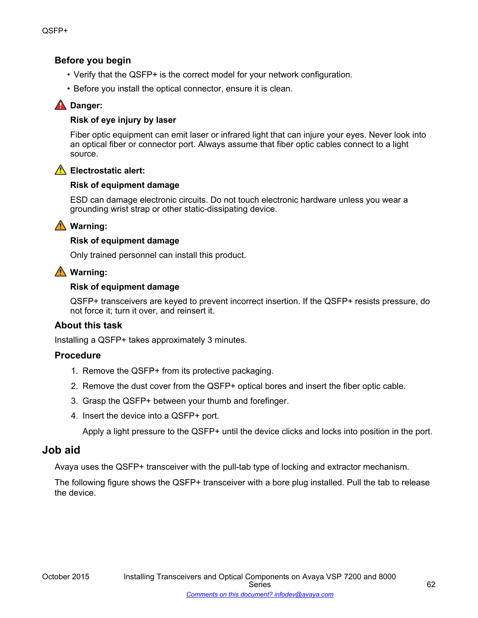### **Before you begin**

- Verify that the QSFP+ is the correct model for your network configuration.
- Before you install the optical connector, ensure it is clean.

### **A** Danger:

### **Risk of eye injury by laser**

Fiber optic equipment can emit laser or infrared light that can injure your eyes. Never look into an optical fiber or connector port. Always assume that fiber optic cables connect to a light source.



### **Electrostatic alert:**

### **Risk of equipment damage**

ESD can damage electronic circuits. Do not touch electronic hardware unless you wear a grounding wrist strap or other static-dissipating device.

### **Warning:**

### **Risk of equipment damage**

Only trained personnel can install this product.

### **Warning:**

### **Risk of equipment damage**

QSFP+ transceivers are keyed to prevent incorrect insertion. If the QSFP+ resists pressure, do not force it; turn it over, and reinsert it.

### **About this task**

Installing a QSFP+ takes approximately 3 minutes.

### **Procedure**

- 1. Remove the QSFP+ from its protective packaging.
- 2. Remove the dust cover from the QSFP+ optical bores and insert the fiber optic cable.
- 3. Grasp the QSFP+ between your thumb and forefinger.
- 4. Insert the device into a QSFP+ port.

Apply a light pressure to the QSFP+ until the device clicks and locks into position in the port.

### **Job aid**

Avaya uses the QSFP+ transceiver with the pull-tab type of locking and extractor mechanism.

The following figure shows the QSFP+ transceiver with a bore plug installed. Pull the tab to release the device.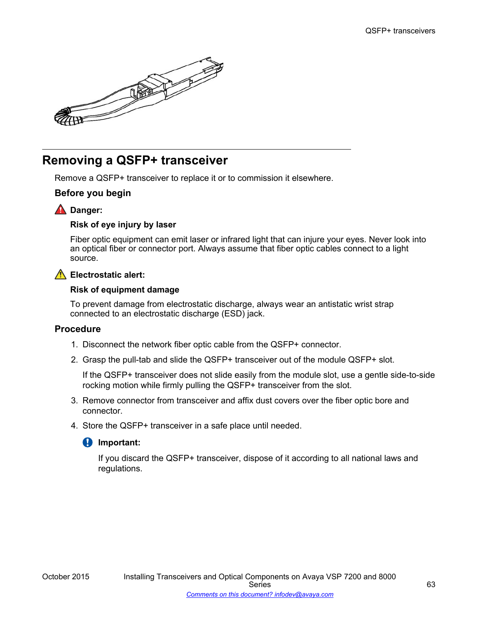

# **Removing a QSFP+ transceiver**

Remove a QSFP+ transceiver to replace it or to commission it elsewhere.

### **Before you begin**

### **A** Danger:

### **Risk of eye injury by laser**

Fiber optic equipment can emit laser or infrared light that can injure your eyes. Never look into an optical fiber or connector port. Always assume that fiber optic cables connect to a light source.

### **Electrostatic alert:**

### **Risk of equipment damage**

To prevent damage from electrostatic discharge, always wear an antistatic wrist strap connected to an electrostatic discharge (ESD) jack.

### **Procedure**

- 1. Disconnect the network fiber optic cable from the QSFP+ connector.
- 2. Grasp the pull-tab and slide the QSFP+ transceiver out of the module QSFP+ slot.

If the QSFP+ transceiver does not slide easily from the module slot, use a gentle side-to-side rocking motion while firmly pulling the QSFP+ transceiver from the slot.

- 3. Remove connector from transceiver and affix dust covers over the fiber optic bore and connector.
- 4. Store the QSFP+ transceiver in a safe place until needed.

### *<u>I</u>* Important:

If you discard the QSFP+ transceiver, dispose of it according to all national laws and regulations.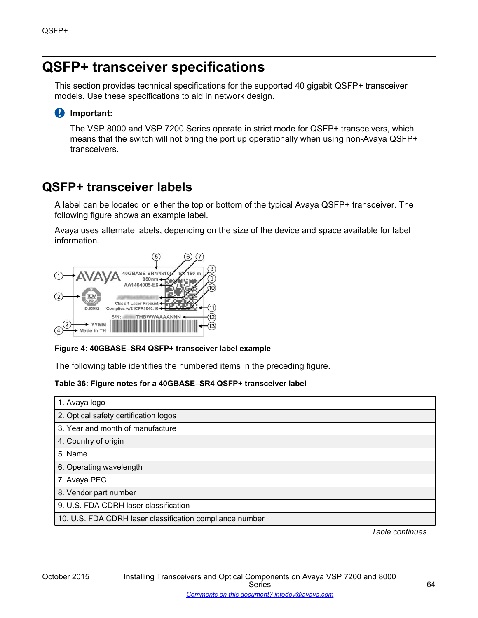# **QSFP+ transceiver specifications**

This section provides technical specifications for the supported 40 gigabit QSFP+ transceiver models. Use these specifications to aid in network design.

### **Important:**

The VSP 8000 and VSP 7200 Series operate in strict mode for QSFP+ transceivers, which means that the switch will not bring the port up operationally when using non-Avaya QSFP+ transceivers.

## **QSFP+ transceiver labels**

A label can be located on either the top or bottom of the typical Avaya QSFP+ transceiver. The following figure shows an example label.

Avaya uses alternate labels, depending on the size of the device and space available for label information.



### **Figure 4: 40GBASE–SR4 QSFP+ transceiver label example**

The following table identifies the numbered items in the preceding figure.

### **Table 36: Figure notes for a 40GBASE–SR4 QSFP+ transceiver label**

| 1. Avaya logo                                            |
|----------------------------------------------------------|
| 2. Optical safety certification logos                    |
| 3. Year and month of manufacture                         |
| 4. Country of origin                                     |
| 5. Name                                                  |
| 6. Operating wavelength                                  |
| 7. Avaya PEC                                             |
| 8. Vendor part number                                    |
| 9. U.S. FDA CDRH laser classification                    |
| 10. U.S. FDA CDRH laser classification compliance number |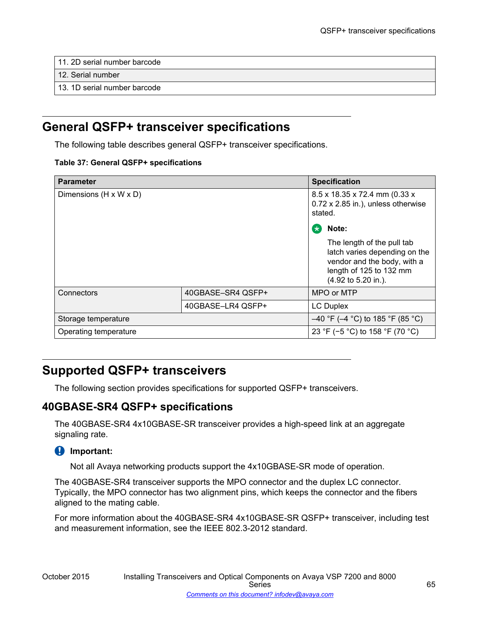- 11. 2D serial number barcode
- 12. Serial number
- 13. 1D serial number barcode

## **General QSFP+ transceiver specifications**

The following table describes general QSFP+ transceiver specifications.

#### **Table 37: General QSFP+ specifications**

| <b>Parameter</b>                   | <b>Specification</b> |                                                                                                                                              |
|------------------------------------|----------------------|----------------------------------------------------------------------------------------------------------------------------------------------|
| Dimensions $(H \times W \times D)$ |                      | 8.5 x 18.35 x 72.4 mm (0.33 x<br>0.72 x 2.85 in.), unless otherwise<br>stated.                                                               |
|                                    |                      | Note:<br>$\star$                                                                                                                             |
|                                    |                      | The length of the pull tab<br>latch varies depending on the<br>vendor and the body, with a<br>length of 125 to 132 mm<br>(4.92 to 5.20 in.). |
| Connectors                         | 40GBASE-SR4 QSFP+    | MPO or MTP                                                                                                                                   |
|                                    | 40GBASE-LR4 QSFP+    | <b>LC Duplex</b>                                                                                                                             |
| Storage temperature                |                      | $-40$ °F (-4 °C) to 185 °F (85 °C)                                                                                                           |
| Operating temperature              |                      | 23 °F (-5 °C) to 158 °F (70 °C)                                                                                                              |

# **Supported QSFP+ transceivers**

The following section provides specifications for supported QSFP+ transceivers.

### **40GBASE-SR4 QSFP+ specifications**

The 40GBASE-SR4 4x10GBASE-SR transceiver provides a high-speed link at an aggregate signaling rate.

### **Important:**

Not all Avaya networking products support the 4x10GBASE-SR mode of operation.

The 40GBASE-SR4 transceiver supports the MPO connector and the duplex LC connector. Typically, the MPO connector has two alignment pins, which keeps the connector and the fibers aligned to the mating cable.

For more information about the 40GBASE-SR4 4x10GBASE-SR QSFP+ transceiver, including test and measurement information, see the IEEE 802.3-2012 standard.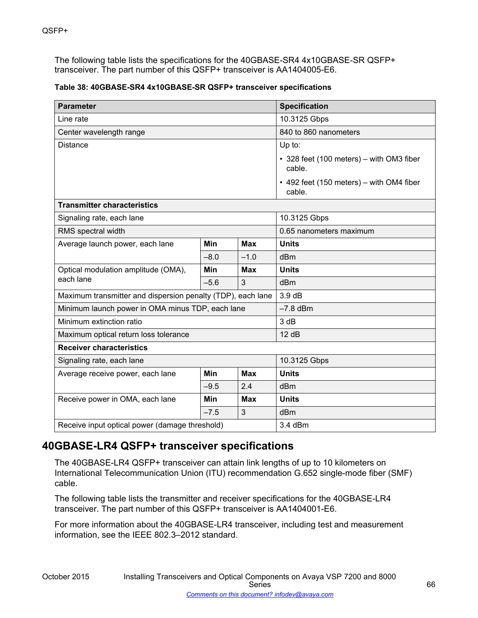The following table lists the specifications for the 40GBASE-SR4 4x10GBASE-SR QSFP+ transceiver. The part number of this QSFP+ transceiver is AA1404005-E6.

| Table 38: 40GBASE-SR4 4x10GBASE-SR QSFP+ transceiver specifications |  |
|---------------------------------------------------------------------|--|
|---------------------------------------------------------------------|--|

| <b>Parameter</b>                                            |            |            | <b>Specification</b>                               |
|-------------------------------------------------------------|------------|------------|----------------------------------------------------|
| Line rate                                                   |            |            | 10.3125 Gbps                                       |
| Center wavelength range                                     |            |            | 840 to 860 nanometers                              |
| <b>Distance</b>                                             |            |            | $Up$ to:                                           |
|                                                             |            |            | • 328 feet (100 meters) – with OM3 fiber<br>cable. |
|                                                             |            |            | • 492 feet (150 meters) – with OM4 fiber<br>cable. |
| <b>Transmitter characteristics</b>                          |            |            |                                                    |
| Signaling rate, each lane                                   |            |            | 10.3125 Gbps                                       |
| RMS spectral width                                          |            |            | 0.65 nanometers maximum                            |
| Average launch power, each lane                             | Min        | <b>Max</b> | <b>Units</b>                                       |
|                                                             | $-8.0$     | $-1.0$     | dBm                                                |
| Optical modulation amplitude (OMA),<br>each lane            | Min        | <b>Max</b> | <b>Units</b>                                       |
|                                                             | $-5.6$     | 3          | dBm                                                |
| Maximum transmitter and dispersion penalty (TDP), each lane |            |            | 3.9dB                                              |
| Minimum launch power in OMA minus TDP, each lane            |            |            | $-7.8$ dBm                                         |
| Minimum extinction ratio                                    |            |            | 3 dB                                               |
| Maximum optical return loss tolerance                       |            |            | 12 dB                                              |
| <b>Receiver characteristics</b>                             |            |            |                                                    |
| Signaling rate, each lane                                   |            |            | 10.3125 Gbps                                       |
| Average receive power, each lane                            | <b>Min</b> | <b>Max</b> | <b>Units</b>                                       |
|                                                             | $-9.5$     | 2.4        | dBm                                                |
| Receive power in OMA, each lane                             | <b>Min</b> | <b>Max</b> | <b>Units</b>                                       |
|                                                             | $-7.5$     | 3          | dBm                                                |
| Receive input optical power (damage threshold)              |            |            | 3.4 dBm                                            |

## **40GBASE-LR4 QSFP+ transceiver specifications**

The 40GBASE-LR4 QSFP+ transceiver can attain link lengths of up to 10 kilometers on International Telecommunication Union (ITU) recommendation G.652 single-mode fiber (SMF) cable.

The following table lists the transmitter and receiver specifications for the 40GBASE-LR4 transceiver. The part number of this QSFP+ transceiver is AA1404001-E6.

For more information about the 40GBASE-LR4 transceiver, including test and measurement information, see the IEEE 802.3–2012 standard.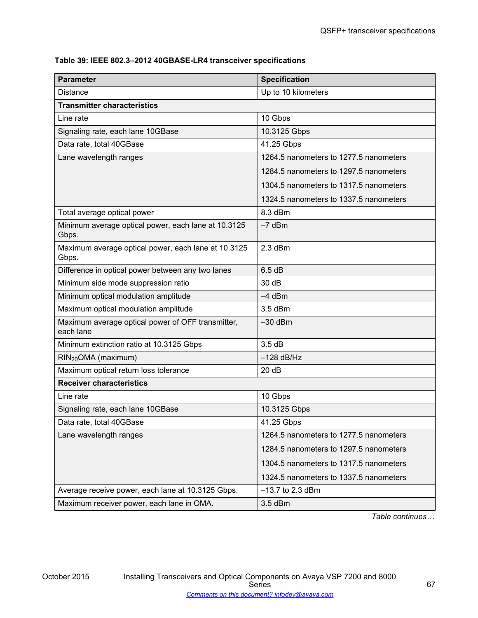### **Table 39: IEEE 802.3–2012 40GBASE-LR4 transceiver specifications**

| <b>Parameter</b>                                               | <b>Specification</b>                   |
|----------------------------------------------------------------|----------------------------------------|
| <b>Distance</b>                                                | Up to 10 kilometers                    |
| <b>Transmitter characteristics</b>                             |                                        |
| Line rate                                                      | 10 Gbps                                |
| Signaling rate, each lane 10GBase                              | 10.3125 Gbps                           |
| Data rate, total 40GBase                                       | 41.25 Gbps                             |
| Lane wavelength ranges                                         | 1264.5 nanometers to 1277.5 nanometers |
|                                                                | 1284.5 nanometers to 1297.5 nanometers |
|                                                                | 1304.5 nanometers to 1317.5 nanometers |
|                                                                | 1324.5 nanometers to 1337.5 nanometers |
| Total average optical power                                    | 8.3 dBm                                |
| Minimum average optical power, each lane at 10.3125<br>Gbps.   | $-7$ dBm                               |
| Maximum average optical power, each lane at 10.3125<br>Gbps.   | $2.3$ dBm                              |
| Difference in optical power between any two lanes              | 6.5dB                                  |
| Minimum side mode suppression ratio                            | 30 dB                                  |
| Minimum optical modulation amplitude                           | $-4$ dBm                               |
| Maximum optical modulation amplitude                           | $3.5$ dBm                              |
| Maximum average optical power of OFF transmitter,<br>each lane | $-30$ dBm                              |
| Minimum extinction ratio at 10.3125 Gbps                       | 3.5dB                                  |
| RIN <sub>20</sub> OMA (maximum)                                | $-128$ dB/Hz                           |
| Maximum optical return loss tolerance                          | 20 dB                                  |
| <b>Receiver characteristics</b>                                |                                        |
| Line rate                                                      | 10 Gbps                                |
| Signaling rate, each lane 10GBase                              | 10.3125 Gbps                           |
| Data rate, total 40GBase                                       | 41.25 Gbps                             |
| Lane wavelength ranges                                         | 1264.5 nanometers to 1277.5 nanometers |
|                                                                | 1284.5 nanometers to 1297.5 nanometers |
|                                                                | 1304.5 nanometers to 1317.5 nanometers |
|                                                                | 1324.5 nanometers to 1337.5 nanometers |
| Average receive power, each lane at 10.3125 Gbps.              | $-13.7$ to 2.3 dBm                     |
| Maximum receiver power, each lane in OMA.                      | $3.5$ dBm                              |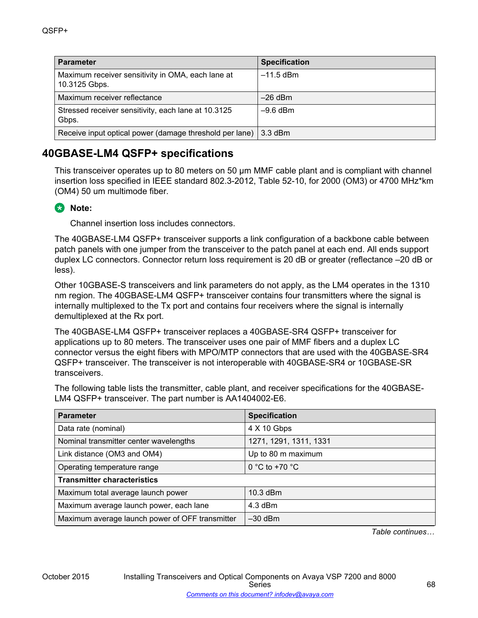| <b>Parameter</b>                                                   | <b>Specification</b> |
|--------------------------------------------------------------------|----------------------|
| Maximum receiver sensitivity in OMA, each lane at<br>10.3125 Gbps. | $-11.5$ dBm          |
| Maximum receiver reflectance                                       | $-26$ dBm            |
| Stressed receiver sensitivity, each lane at 10.3125<br>Gbps.       | $-9.6$ dBm           |
| Receive input optical power (damage threshold per lane)            | $3.3$ dBm            |

## **40GBASE-LM4 QSFP+ specifications**

This transceiver operates up to 80 meters on 50 µm MMF cable plant and is compliant with channel insertion loss specified in IEEE standard 802.3-2012, Table 52-10, for 2000 (OM3) or 4700 MHz\*km (OM4) 50 um multimode fiber.

## **Note:**

Channel insertion loss includes connectors.

The 40GBASE-LM4 QSFP+ transceiver supports a link configuration of a backbone cable between patch panels with one jumper from the transceiver to the patch panel at each end. All ends support duplex LC connectors. Connector return loss requirement is 20 dB or greater (reflectance –20 dB or less).

Other 10GBASE-S transceivers and link parameters do not apply, as the LM4 operates in the 1310 nm region. The 40GBASE-LM4 QSFP+ transceiver contains four transmitters where the signal is internally multiplexed to the Tx port and contains four receivers where the signal is internally demultiplexed at the Rx port.

The 40GBASE-LM4 QSFP+ transceiver replaces a 40GBASE-SR4 QSFP+ transceiver for applications up to 80 meters. The transceiver uses one pair of MMF fibers and a duplex LC connector versus the eight fibers with MPO/MTP connectors that are used with the 40GBASE-SR4 QSFP+ transceiver. The transceiver is not interoperable with 40GBASE-SR4 or 10GBASE-SR transceivers.

The following table lists the transmitter, cable plant, and receiver specifications for the 40GBASE-LM4 QSFP+ transceiver. The part number is AA1404002-E6.

| <b>Parameter</b>                                | <b>Specification</b>    |  |
|-------------------------------------------------|-------------------------|--|
| Data rate (nominal)                             | 4 X 10 Gbps             |  |
| Nominal transmitter center wavelengths          | 1271, 1291, 1311, 1331  |  |
| Link distance (OM3 and OM4)                     | Up to 80 m maximum      |  |
| Operating temperature range                     | 0 °C to +70 $\degree$ C |  |
| <b>Transmitter characteristics</b>              |                         |  |
| Maximum total average launch power              | 10.3 dBm                |  |
| Maximum average launch power, each lane         | $4.3$ dBm               |  |
| Maximum average launch power of OFF transmitter | $-30$ dBm               |  |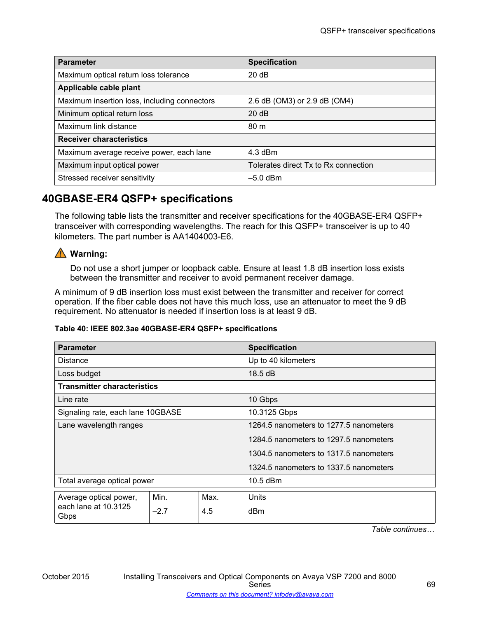| <b>Parameter</b>                             | <b>Specification</b>                 |  |  |  |
|----------------------------------------------|--------------------------------------|--|--|--|
| Maximum optical return loss tolerance        | 20 dB                                |  |  |  |
| Applicable cable plant                       |                                      |  |  |  |
| Maximum insertion loss, including connectors | 2.6 dB (OM3) or 2.9 dB (OM4)         |  |  |  |
| Minimum optical return loss                  | 20 dB                                |  |  |  |
| Maximum link distance                        | 80 <sub>m</sub>                      |  |  |  |
| <b>Receiver characteristics</b>              |                                      |  |  |  |
| Maximum average receive power, each lane     | 4.3 dBm                              |  |  |  |
| Maximum input optical power                  | Tolerates direct Tx to Rx connection |  |  |  |
| Stressed receiver sensitivity                | $-5.0$ dBm                           |  |  |  |

## **40GBASE-ER4 QSFP+ specifications**

The following table lists the transmitter and receiver specifications for the 40GBASE-ER4 QSFP+ transceiver with corresponding wavelengths. The reach for this QSFP+ transceiver is up to 40 kilometers. The part number is AA1404003-E6.

## **Warning:**

Do not use a short jumper or loopback cable. Ensure at least 1.8 dB insertion loss exists between the transmitter and receiver to avoid permanent receiver damage.

A minimum of 9 dB insertion loss must exist between the transmitter and receiver for correct operation. If the fiber cable does not have this much loss, use an attenuator to meet the 9 dB requirement. No attenuator is needed if insertion loss is at least 9 dB.

### **Table 40: IEEE 802.3ae 40GBASE-ER4 QSFP+ specifications**

| <b>Parameter</b>                                       |        |      | <b>Specification</b>                   |  |
|--------------------------------------------------------|--------|------|----------------------------------------|--|
| Distance                                               |        |      | Up to 40 kilometers                    |  |
| Loss budget                                            |        |      | 18.5 dB                                |  |
| <b>Transmitter characteristics</b>                     |        |      |                                        |  |
| Line rate                                              |        |      | 10 Gbps                                |  |
| Signaling rate, each lane 10GBASE                      |        |      | 10.3125 Gbps                           |  |
| Lane wavelength ranges                                 |        |      | 1264.5 nanometers to 1277.5 nanometers |  |
|                                                        |        |      | 1284.5 nanometers to 1297.5 nanometers |  |
|                                                        |        |      | 1304.5 nanometers to 1317.5 nanometers |  |
|                                                        |        |      | 1324.5 nanometers to 1337.5 nanometers |  |
| Total average optical power                            |        |      | $10.5$ dBm                             |  |
| Average optical power,<br>each lane at 10.3125<br>Gbps | Min.   | Max. | Units                                  |  |
|                                                        | $-2.7$ | 4.5  | dBm                                    |  |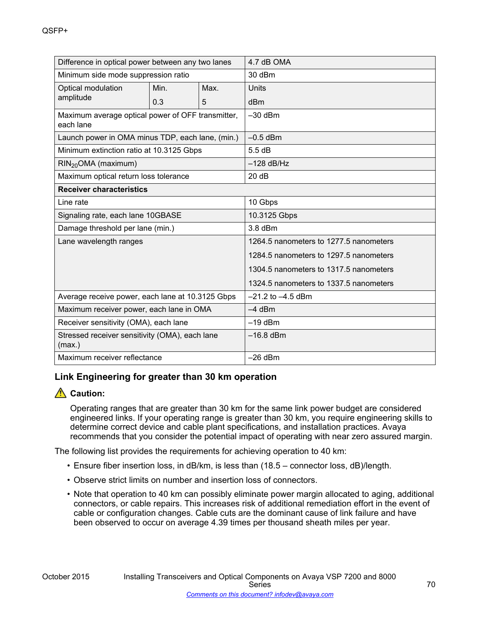| Difference in optical power between any two lanes              |      |      | 4.7 dB OMA                             |  |
|----------------------------------------------------------------|------|------|----------------------------------------|--|
| Minimum side mode suppression ratio                            |      |      | 30 dBm                                 |  |
| Optical modulation                                             | Min. | Max. | Units                                  |  |
| amplitude                                                      | 0.3  | 5    | dBm                                    |  |
| Maximum average optical power of OFF transmitter,<br>each lane |      |      | $-30$ dBm                              |  |
| Launch power in OMA minus TDP, each lane, (min.)               |      |      | $-0.5$ dBm                             |  |
| Minimum extinction ratio at 10.3125 Gbps                       |      |      | 5.5dB                                  |  |
| $RIN_{20}OMA$ (maximum)                                        |      |      | $-128$ dB/Hz                           |  |
| Maximum optical return loss tolerance                          |      |      | 20dB                                   |  |
| <b>Receiver characteristics</b>                                |      |      |                                        |  |
| Line rate                                                      |      |      | 10 Gbps                                |  |
| Signaling rate, each lane 10GBASE                              |      |      | 10.3125 Gbps                           |  |
| Damage threshold per lane (min.)                               |      |      | $3.8$ dBm                              |  |
| Lane wavelength ranges                                         |      |      | 1264.5 nanometers to 1277.5 nanometers |  |
|                                                                |      |      | 1284.5 nanometers to 1297.5 nanometers |  |
|                                                                |      |      | 1304.5 nanometers to 1317.5 nanometers |  |
|                                                                |      |      | 1324.5 nanometers to 1337.5 nanometers |  |
| Average receive power, each lane at 10.3125 Gbps               |      |      | $-21.2$ to $-4.5$ dBm                  |  |
| Maximum receiver power, each lane in OMA                       |      |      | $-4$ dBm                               |  |
| Receiver sensitivity (OMA), each lane                          |      |      | $-19$ dBm                              |  |
| Stressed receiver sensitivity (OMA), each lane<br>(max.)       |      |      | $-16.8$ dBm                            |  |
| Maximum receiver reflectance                                   |      |      | $-26$ dBm                              |  |

### **Link Engineering for greater than 30 km operation**

### **Caution:**

Operating ranges that are greater than 30 km for the same link power budget are considered engineered links. If your operating range is greater than 30 km, you require engineering skills to determine correct device and cable plant specifications, and installation practices. Avaya recommends that you consider the potential impact of operating with near zero assured margin.

The following list provides the requirements for achieving operation to 40 km:

- Ensure fiber insertion loss, in dB/km, is less than (18.5 connector loss, dB)/length.
- Observe strict limits on number and insertion loss of connectors.
- Note that operation to 40 km can possibly eliminate power margin allocated to aging, additional connectors, or cable repairs. This increases risk of additional remediation effort in the event of cable or configuration changes. Cable cuts are the dominant cause of link failure and have been observed to occur on average 4.39 times per thousand sheath miles per year.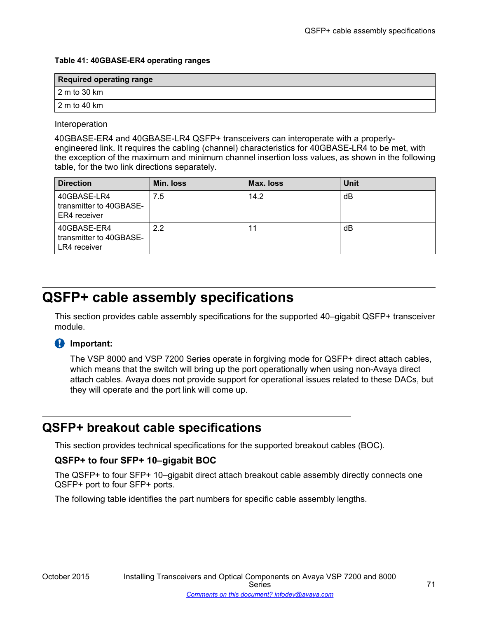#### **Table 41: 40GBASE-ER4 operating ranges**

| <b>Required operating range</b> |  |  |  |
|---------------------------------|--|--|--|
| 2 m to 30 km                    |  |  |  |
| 2 m to 40 km                    |  |  |  |

### Interoperation

40GBASE-ER4 and 40GBASE-LR4 QSFP+ transceivers can interoperate with a properlyengineered link. It requires the cabling (channel) characteristics for 40GBASE-LR4 to be met, with the exception of the maximum and minimum channel insertion loss values, as shown in the following table, for the two link directions separately.

| <b>Direction</b>                                       | Min. loss | Max. loss | <b>Unit</b> |
|--------------------------------------------------------|-----------|-----------|-------------|
| 40GBASE-LR4<br>transmitter to 40GBASE-<br>ER4 receiver | 7.5       | 14.2      | dB          |
| 40GBASE-ER4<br>transmitter to 40GBASE-<br>LR4 receiver | 2.2       | 11        | dB          |

# **QSFP+ cable assembly specifications**

This section provides cable assembly specifications for the supported 40–gigabit QSFP+ transceiver module.

### *<u>B* Important:</u>

The VSP 8000 and VSP 7200 Series operate in forgiving mode for QSFP+ direct attach cables, which means that the switch will bring up the port operationally when using non-Avaya direct attach cables. Avaya does not provide support for operational issues related to these DACs, but they will operate and the port link will come up.

# **QSFP+ breakout cable specifications**

This section provides technical specifications for the supported breakout cables (BOC).

### **QSFP+ to four SFP+ 10–gigabit BOC**

The QSFP+ to four SFP+ 10–gigabit direct attach breakout cable assembly directly connects one QSFP+ port to four SFP+ ports.

The following table identifies the part numbers for specific cable assembly lengths.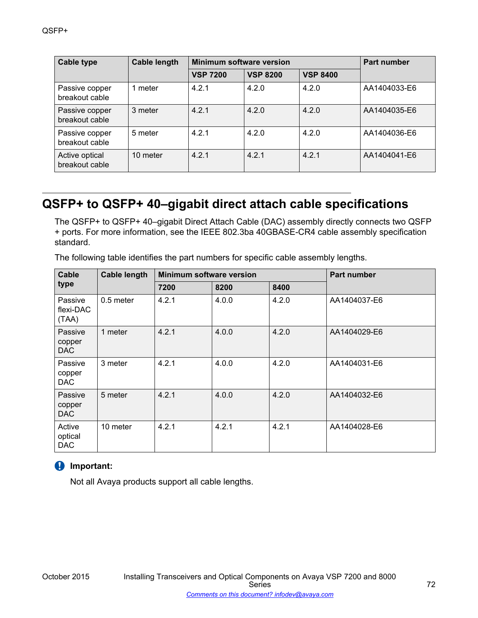| <b>Cable type</b>                | <b>Cable length</b> | Minimum software version |                 |                 | <b>Part number</b> |
|----------------------------------|---------------------|--------------------------|-----------------|-----------------|--------------------|
|                                  |                     | <b>VSP 7200</b>          | <b>VSP 8200</b> | <b>VSP 8400</b> |                    |
| Passive copper<br>breakout cable | meter               | 4.2.1                    | 4.2.0           | 4.2.0           | AA1404033-E6       |
| Passive copper<br>breakout cable | 3 meter             | 421                      | 4.2.0           | 4.2.0           | AA1404035-E6       |
| Passive copper<br>breakout cable | 5 meter             | 4.2.1                    | 4.2.0           | 4.2.0           | AA1404036-E6       |
| Active optical<br>breakout cable | 10 meter            | 4.2.1                    | 4.2.1           | 4.2.1           | AA1404041-E6       |

# **QSFP+ to QSFP+ 40–gigabit direct attach cable specifications**

The QSFP+ to QSFP+ 40–gigabit Direct Attach Cable (DAC) assembly directly connects two QSFP + ports. For more information, see the IEEE 802.3ba 40GBASE-CR4 cable assembly specification standard.

| Cable                           | <b>Cable length</b> | <b>Minimum software version</b> |       |       | <b>Part number</b> |
|---------------------------------|---------------------|---------------------------------|-------|-------|--------------------|
| type                            |                     | 7200                            | 8200  | 8400  |                    |
| Passive<br>flexi-DAC<br>(TAA)   | 0.5 meter           | 4.2.1                           | 4.0.0 | 4.2.0 | AA1404037-E6       |
| Passive<br>copper<br>DAC        | 1 meter             | 4.2.1                           | 4.0.0 | 4.2.0 | AA1404029-E6       |
| Passive<br>copper<br>DAC        | 3 meter             | 4.2.1                           | 4.0.0 | 4.2.0 | AA1404031-E6       |
| Passive<br>copper<br>DAC        | 5 meter             | 4.2.1                           | 4.0.0 | 4.2.0 | AA1404032-E6       |
| Active<br>optical<br><b>DAC</b> | 10 meter            | 4.2.1                           | 4.2.1 | 4.2.1 | AA1404028-E6       |

The following table identifies the part numbers for specific cable assembly lengths.

### **Important:**

Not all Avaya products support all cable lengths.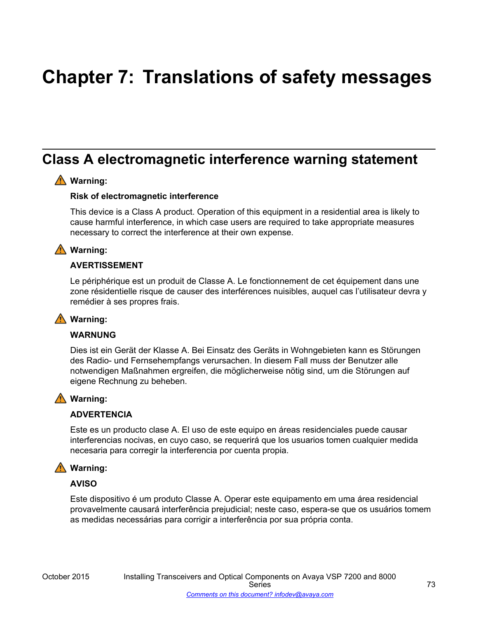# **Chapter 7: Translations of safety messages**

### **Class A electromagnetic interference warning statement**

#### **Warning:**

#### **Risk of electromagnetic interference**

This device is a Class A product. Operation of this equipment in a residential area is likely to cause harmful interference, in which case users are required to take appropriate measures necessary to correct the interference at their own expense.

#### **Warning:**

#### **AVERTISSEMENT**

Le périphérique est un produit de Classe A. Le fonctionnement de cet équipement dans une zone résidentielle risque de causer des interférences nuisibles, auquel cas l'utilisateur devra y remédier à ses propres frais.

#### **Warning:**

#### **WARNUNG**

Dies ist ein Gerät der Klasse A. Bei Einsatz des Geräts in Wohngebieten kann es Störungen des Radio- und Fernsehempfangs verursachen. In diesem Fall muss der Benutzer alle notwendigen Maßnahmen ergreifen, die möglicherweise nötig sind, um die Störungen auf eigene Rechnung zu beheben.

#### **Warning:**

#### **ADVERTENCIA**

Este es un producto clase A. El uso de este equipo en áreas residenciales puede causar interferencias nocivas, en cuyo caso, se requerirá que los usuarios tomen cualquier medida necesaria para corregir la interferencia por cuenta propia.

#### **Warning:**

#### **AVISO**

Este dispositivo é um produto Classe A. Operar este equipamento em uma área residencial provavelmente causará interferência prejudicial; neste caso, espera-se que os usuários tomem as medidas necessárias para corrigir a interferência por sua própria conta.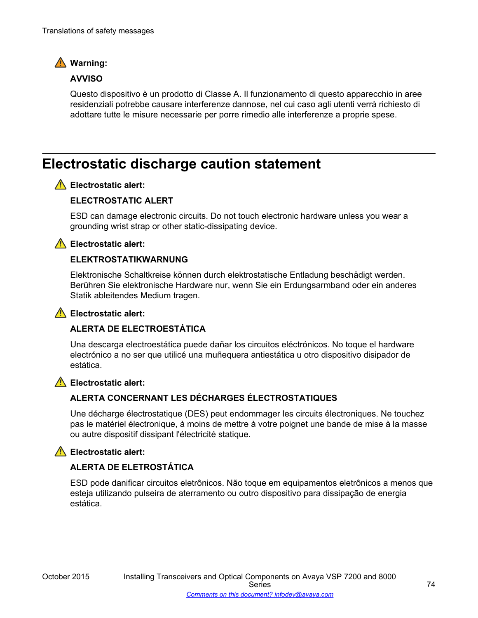

#### **AVVISO**

Questo dispositivo è un prodotto di Classe A. Il funzionamento di questo apparecchio in aree residenziali potrebbe causare interferenze dannose, nel cui caso agli utenti verrà richiesto di adottare tutte le misure necessarie per porre rimedio alle interferenze a proprie spese.

### **Electrostatic discharge caution statement**

#### **Electrostatic alert:**

#### **ELECTROSTATIC ALERT**

ESD can damage electronic circuits. Do not touch electronic hardware unless you wear a grounding wrist strap or other static-dissipating device.

#### **Electrostatic alert:**

#### **ELEKTROSTATIKWARNUNG**

Elektronische Schaltkreise können durch elektrostatische Entladung beschädigt werden. Berühren Sie elektronische Hardware nur, wenn Sie ein Erdungsarmband oder ein anderes Statik ableitendes Medium tragen.

#### **Electrostatic alert:**

#### **ALERTA DE ELECTROESTÁTICA**

Una descarga electroestática puede dañar los circuitos eléctrónicos. No toque el hardware electrónico a no ser que utilicé una muñequera antiestática u otro dispositivo disipador de estática.

### **Electrostatic alert:**

#### **ALERTA CONCERNANT LES DÉCHARGES ÉLECTROSTATIQUES**

Une décharge électrostatique (DES) peut endommager les circuits électroniques. Ne touchez pas le matériel électronique, à moins de mettre à votre poignet une bande de mise à la masse ou autre dispositif dissipant l'électricité statique.

#### **Electrostatic alert:**

#### **ALERTA DE ELETROSTÁTICA**

ESD pode danificar circuitos eletrônicos. Não toque em equipamentos eletrônicos a menos que esteja utilizando pulseira de aterramento ou outro dispositivo para dissipação de energia estática.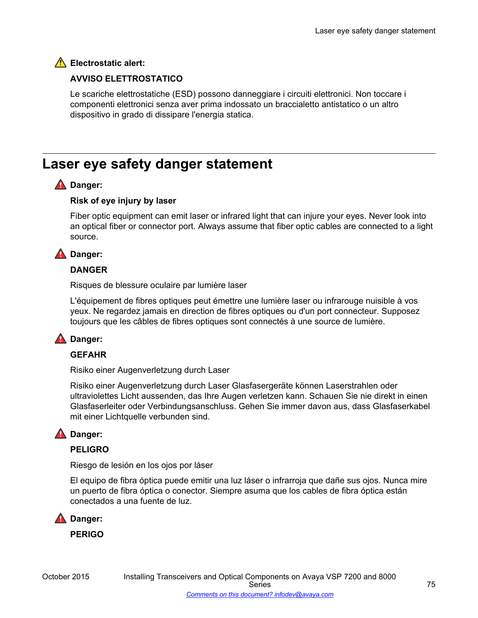#### **Electrostatic alert:**

#### **AVVISO ELETTROSTATICO**

Le scariche elettrostatiche (ESD) possono danneggiare i circuiti elettronici. Non toccare i componenti elettronici senza aver prima indossato un braccialetto antistatico o un altro dispositivo in grado di dissipare l'energia statica.

### **Laser eye safety danger statement**

#### **A** Danger:

#### **Risk of eye injury by laser**

Fiber optic equipment can emit laser or infrared light that can injure your eyes. Never look into an optical fiber or connector port. Always assume that fiber optic cables are connected to a light source.

#### **A** Danger:

#### **DANGER**

Risques de blessure oculaire par lumière laser

L'équipement de fibres optiques peut émettre une lumière laser ou infrarouge nuisible à vos yeux. Ne regardez jamais en direction de fibres optiques ou d'un port connecteur. Supposez toujours que les câbles de fibres optiques sont connectés à une source de lumière.

#### **A** Danger:

#### **GEFAHR**

Risiko einer Augenverletzung durch Laser

Risiko einer Augenverletzung durch Laser Glasfasergeräte können Laserstrahlen oder ultraviolettes Licht aussenden, das Ihre Augen verletzen kann. Schauen Sie nie direkt in einen Glasfaserleiter oder Verbindungsanschluss. Gehen Sie immer davon aus, dass Glasfaserkabel mit einer Lichtquelle verbunden sind.

#### **A** Danger:

#### **PELIGRO**

Riesgo de lesión en los ojos por láser

El equipo de fibra óptica puede emitir una luz láser o infrarroja que dañe sus ojos. Nunca mire un puerto de fibra óptica o conector. Siempre asuma que los cables de fibra óptica están conectados a una fuente de luz.



**PERIGO**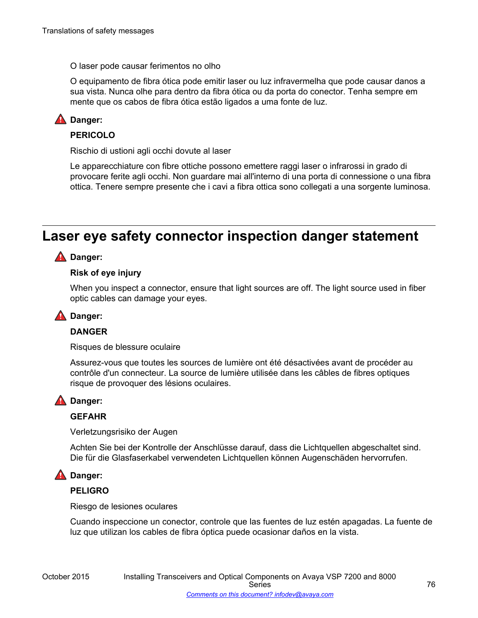O laser pode causar ferimentos no olho

O equipamento de fibra ótica pode emitir laser ou luz infravermelha que pode causar danos a sua vista. Nunca olhe para dentro da fibra ótica ou da porta do conector. Tenha sempre em mente que os cabos de fibra ótica estão ligados a uma fonte de luz.

#### **A** Danger:

#### **PERICOLO**

Rischio di ustioni agli occhi dovute al laser

Le apparecchiature con fibre ottiche possono emettere raggi laser o infrarossi in grado di provocare ferite agli occhi. Non guardare mai all'interno di una porta di connessione o una fibra ottica. Tenere sempre presente che i cavi a fibra ottica sono collegati a una sorgente luminosa.

### **Laser eye safety connector inspection danger statement**

#### **A** Danger:

#### **Risk of eye injury**

When you inspect a connector, ensure that light sources are off. The light source used in fiber optic cables can damage your eyes.

#### **A** Danger:

#### **DANGER**

Risques de blessure oculaire

Assurez-vous que toutes les sources de lumière ont été désactivées avant de procéder au contrôle d'un connecteur. La source de lumière utilisée dans les câbles de fibres optiques risque de provoquer des lésions oculaires.

#### **A** Danger:

#### **GEFAHR**

Verletzungsrisiko der Augen

Achten Sie bei der Kontrolle der Anschlüsse darauf, dass die Lichtquellen abgeschaltet sind. Die für die Glasfaserkabel verwendeten Lichtquellen können Augenschäden hervorrufen.

#### **A** Danger:

#### **PELIGRO**

Riesgo de lesiones oculares

Cuando inspeccione un conector, controle que las fuentes de luz estén apagadas. La fuente de luz que utilizan los cables de fibra óptica puede ocasionar daños en la vista.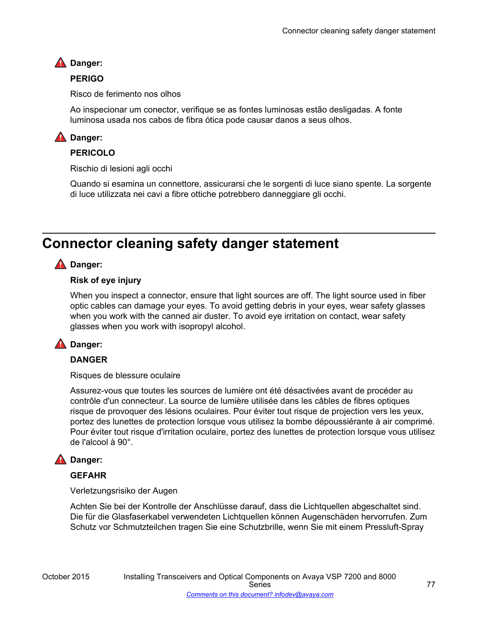#### **A** Danger:

#### **PERIGO**

Risco de ferimento nos olhos

Ao inspecionar um conector, verifique se as fontes luminosas estão desligadas. A fonte luminosa usada nos cabos de fibra ótica pode causar danos a seus olhos.

#### **A** Danger:

#### **PERICOLO**

Rischio di lesioni agli occhi

Quando si esamina un connettore, assicurarsi che le sorgenti di luce siano spente. La sorgente di luce utilizzata nei cavi a fibre ottiche potrebbero danneggiare gli occhi.

### **Connector cleaning safety danger statement**

#### **A** Danger:

#### **Risk of eye injury**

When you inspect a connector, ensure that light sources are off. The light source used in fiber optic cables can damage your eyes. To avoid getting debris in your eyes, wear safety glasses when you work with the canned air duster. To avoid eye irritation on contact, wear safety glasses when you work with isopropyl alcohol.

#### **A** Danger:

#### **DANGER**

Risques de blessure oculaire

Assurez-vous que toutes les sources de lumière ont été désactivées avant de procéder au contrôle d'un connecteur. La source de lumière utilisée dans les câbles de fibres optiques risque de provoquer des lésions oculaires. Pour éviter tout risque de projection vers les yeux, portez des lunettes de protection lorsque vous utilisez la bombe dépoussiérante à air comprimé. Pour éviter tout risque d'irritation oculaire, portez des lunettes de protection lorsque vous utilisez de l'alcool à 90°.

#### **A** Danger:

#### **GEFAHR**

Verletzungsrisiko der Augen

Achten Sie bei der Kontrolle der Anschlüsse darauf, dass die Lichtquellen abgeschaltet sind. Die für die Glasfaserkabel verwendeten Lichtquellen können Augenschäden hervorrufen. Zum Schutz vor Schmutzteilchen tragen Sie eine Schutzbrille, wenn Sie mit einem Pressluft-Spray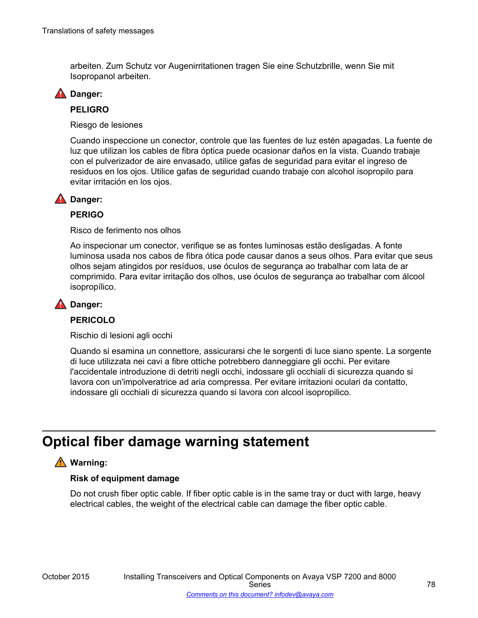arbeiten. Zum Schutz vor Augenirritationen tragen Sie eine Schutzbrille, wenn Sie mit Isopropanol arbeiten.



#### **PELIGRO**

Riesgo de lesiones

Cuando inspeccione un conector, controle que las fuentes de luz estén apagadas. La fuente de luz que utilizan los cables de fibra óptica puede ocasionar daños en la vista. Cuando trabaje con el pulverizador de aire envasado, utilice gafas de seguridad para evitar el ingreso de residuos en los ojos. Utilice gafas de seguridad cuando trabaje con alcohol isopropilo para evitar irritación en los ojos.

#### **A** Danger:

#### **PERIGO**

Risco de ferimento nos olhos

Ao inspecionar um conector, verifique se as fontes luminosas estão desligadas. A fonte luminosa usada nos cabos de fibra ótica pode causar danos a seus olhos. Para evitar que seus olhos sejam atingidos por resíduos, use óculos de segurança ao trabalhar com lata de ar comprimido. Para evitar irritação dos olhos, use óculos de segurança ao trabalhar com álcool isopropílico.

#### **A** Danger:

#### **PERICOLO**

Rischio di lesioni agli occhi

Quando si esamina un connettore, assicurarsi che le sorgenti di luce siano spente. La sorgente di luce utilizzata nei cavi a fibre ottiche potrebbero danneggiare gli occhi. Per evitare l'accidentale introduzione di detriti negli occhi, indossare gli occhiali di sicurezza quando si lavora con un'impolveratrice ad aria compressa. Per evitare irritazioni oculari da contatto, indossare gli occhiali di sicurezza quando si lavora con alcool isopropilico.

### **Optical fiber damage warning statement**

#### **Warning:**

#### **Risk of equipment damage**

Do not crush fiber optic cable. If fiber optic cable is in the same tray or duct with large, heavy electrical cables, the weight of the electrical cable can damage the fiber optic cable.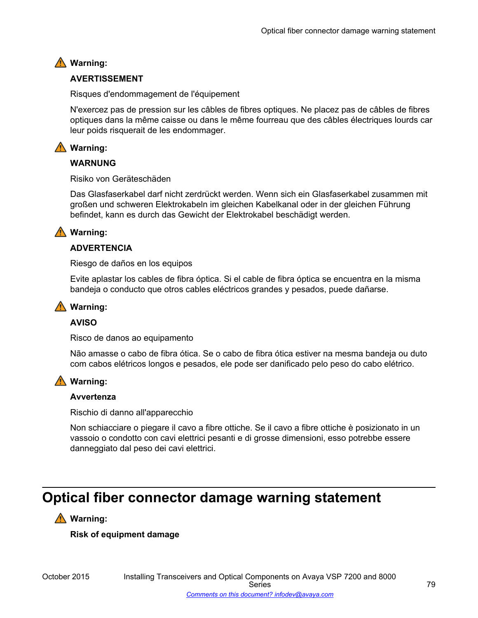### **Warning:**

#### **AVERTISSEMENT**

Risques d'endommagement de l'équipement

N'exercez pas de pression sur les câbles de fibres optiques. Ne placez pas de câbles de fibres optiques dans la même caisse ou dans le même fourreau que des câbles électriques lourds car leur poids risquerait de les endommager.

#### **Warning:**

#### **WARNUNG**

Risiko von Geräteschäden

Das Glasfaserkabel darf nicht zerdrückt werden. Wenn sich ein Glasfaserkabel zusammen mit großen und schweren Elektrokabeln im gleichen Kabelkanal oder in der gleichen Führung befindet, kann es durch das Gewicht der Elektrokabel beschädigt werden.

#### **Warning:**

#### **ADVERTENCIA**

Riesgo de daños en los equipos

Evite aplastar los cables de fibra óptica. Si el cable de fibra óptica se encuentra en la misma bandeja o conducto que otros cables eléctricos grandes y pesados, puede dañarse.

#### **Warning:**

#### **AVISO**

Risco de danos ao equipamento

Não amasse o cabo de fibra ótica. Se o cabo de fibra ótica estiver na mesma bandeja ou duto com cabos elétricos longos e pesados, ele pode ser danificado pelo peso do cabo elétrico.

#### **Warning:**

#### **Avvertenza**

Rischio di danno all'apparecchio

Non schiacciare o piegare il cavo a fibre ottiche. Se il cavo a fibre ottiche è posizionato in un vassoio o condotto con cavi elettrici pesanti e di grosse dimensioni, esso potrebbe essere danneggiato dal peso dei cavi elettrici.

### **Optical fiber connector damage warning statement**

#### **Warning:**

**Risk of equipment damage**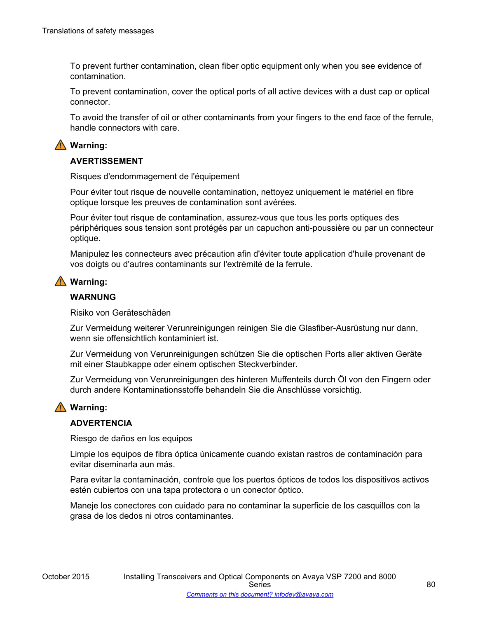To prevent further contamination, clean fiber optic equipment only when you see evidence of contamination.

To prevent contamination, cover the optical ports of all active devices with a dust cap or optical connector.

To avoid the transfer of oil or other contaminants from your fingers to the end face of the ferrule, handle connectors with care.

#### **Warning:**

#### **AVERTISSEMENT**

Risques d'endommagement de l'équipement

Pour éviter tout risque de nouvelle contamination, nettoyez uniquement le matériel en fibre optique lorsque les preuves de contamination sont avérées.

Pour éviter tout risque de contamination, assurez-vous que tous les ports optiques des périphériques sous tension sont protégés par un capuchon anti-poussière ou par un connecteur optique.

Manipulez les connecteurs avec précaution afin d'éviter toute application d'huile provenant de vos doigts ou d'autres contaminants sur l'extrémité de la ferrule.

#### **Warning:**

#### **WARNUNG**

Risiko von Geräteschäden

Zur Vermeidung weiterer Verunreinigungen reinigen Sie die Glasfiber-Ausrüstung nur dann, wenn sie offensichtlich kontaminiert ist.

Zur Vermeidung von Verunreinigungen schützen Sie die optischen Ports aller aktiven Geräte mit einer Staubkappe oder einem optischen Steckverbinder.

Zur Vermeidung von Verunreinigungen des hinteren Muffenteils durch Öl von den Fingern oder durch andere Kontaminationsstoffe behandeln Sie die Anschlüsse vorsichtig.

#### **Warning:**

#### **ADVERTENCIA**

Riesgo de daños en los equipos

Limpie los equipos de fibra óptica únicamente cuando existan rastros de contaminación para evitar diseminarla aun más.

Para evitar la contaminación, controle que los puertos ópticos de todos los dispositivos activos estén cubiertos con una tapa protectora o un conector óptico.

Maneje los conectores con cuidado para no contaminar la superficie de los casquillos con la grasa de los dedos ni otros contaminantes.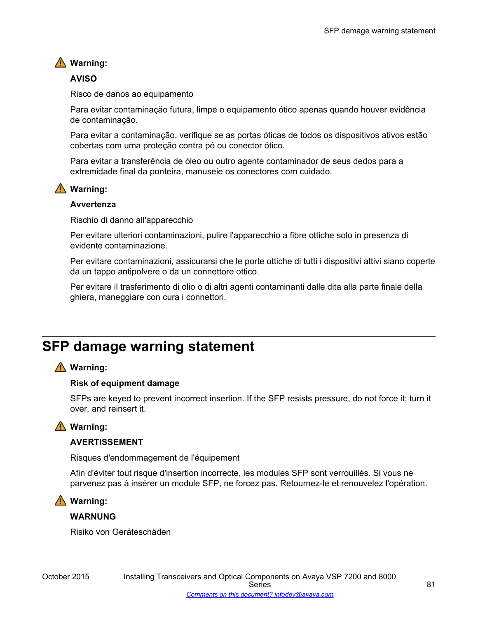#### **Warning:**

#### **AVISO**

Risco de danos ao equipamento

Para evitar contaminação futura, limpe o equipamento ótico apenas quando houver evidência de contaminação.

Para evitar a contaminação, verifique se as portas óticas de todos os dispositivos ativos estão cobertas com uma proteção contra pó ou conector ótico.

Para evitar a transferência de óleo ou outro agente contaminador de seus dedos para a extremidade final da ponteira, manuseie os conectores com cuidado.

#### **Warning:**

#### **Avvertenza**

Rischio di danno all'apparecchio

Per evitare ulteriori contaminazioni, pulire l'apparecchio a fibre ottiche solo in presenza di evidente contaminazione.

Per evitare contaminazioni, assicurarsi che le porte ottiche di tutti i dispositivi attivi siano coperte da un tappo antipolvere o da un connettore ottico.

Per evitare il trasferimento di olio o di altri agenti contaminanti dalle dita alla parte finale della ghiera, maneggiare con cura i connettori.

## **SFP damage warning statement**

#### **Warning:**

#### **Risk of equipment damage**

SFPs are keyed to prevent incorrect insertion. If the SFP resists pressure, do not force it; turn it over, and reinsert it.

#### **Warning:**

#### **AVERTISSEMENT**

Risques d'endommagement de l'équipement

Afin d'éviter tout risque d'insertion incorrecte, les modules SFP sont verrouillés. Si vous ne parvenez pas à insérer un module SFP, ne forcez pas. Retournez-le et renouvelez l'opération.

#### **Warning:**

#### **WARNUNG**

Risiko von Geräteschäden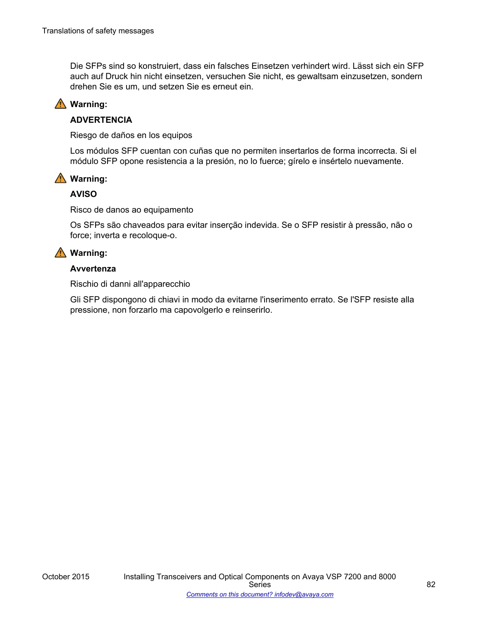Die SFPs sind so konstruiert, dass ein falsches Einsetzen verhindert wird. Lässt sich ein SFP auch auf Druck hin nicht einsetzen, versuchen Sie nicht, es gewaltsam einzusetzen, sondern drehen Sie es um, und setzen Sie es erneut ein.

#### **Warning:**

#### **ADVERTENCIA**

Riesgo de daños en los equipos

Los módulos SFP cuentan con cuñas que no permiten insertarlos de forma incorrecta. Si el módulo SFP opone resistencia a la presión, no lo fuerce; gírelo e insértelo nuevamente.

#### **Warning:**

#### **AVISO**

Risco de danos ao equipamento

Os SFPs são chaveados para evitar inserção indevida. Se o SFP resistir à pressão, não o force; inverta e recoloque-o.

#### **Warning:**

#### **Avvertenza**

Rischio di danni all'apparecchio

Gli SFP dispongono di chiavi in modo da evitarne l'inserimento errato. Se l'SFP resiste alla pressione, non forzarlo ma capovolgerlo e reinserirlo.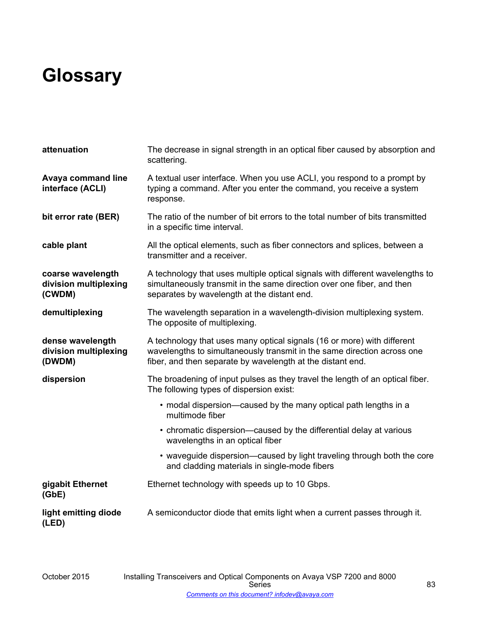# **Glossary**

| attenuation                                          | The decrease in signal strength in an optical fiber caused by absorption and<br>scattering.                                                                                                                      |
|------------------------------------------------------|------------------------------------------------------------------------------------------------------------------------------------------------------------------------------------------------------------------|
| <b>Avaya command line</b><br>interface (ACLI)        | A textual user interface. When you use ACLI, you respond to a prompt by<br>typing a command. After you enter the command, you receive a system<br>response.                                                      |
| bit error rate (BER)                                 | The ratio of the number of bit errors to the total number of bits transmitted<br>in a specific time interval.                                                                                                    |
| cable plant                                          | All the optical elements, such as fiber connectors and splices, between a<br>transmitter and a receiver.                                                                                                         |
| coarse wavelength<br>division multiplexing<br>(CWDM) | A technology that uses multiple optical signals with different wavelengths to<br>simultaneously transmit in the same direction over one fiber, and then<br>separates by wavelength at the distant end.           |
| demultiplexing                                       | The wavelength separation in a wavelength-division multiplexing system.<br>The opposite of multiplexing.                                                                                                         |
| dense wavelength<br>division multiplexing<br>(DWDM)  | A technology that uses many optical signals (16 or more) with different<br>wavelengths to simultaneously transmit in the same direction across one<br>fiber, and then separate by wavelength at the distant end. |
| dispersion                                           | The broadening of input pulses as they travel the length of an optical fiber.<br>The following types of dispersion exist:                                                                                        |
|                                                      | • modal dispersion—caused by the many optical path lengths in a<br>multimode fiber                                                                                                                               |
|                                                      | • chromatic dispersion—caused by the differential delay at various<br>wavelengths in an optical fiber                                                                                                            |
|                                                      | • waveguide dispersion—caused by light traveling through both the core<br>and cladding materials in single-mode fibers                                                                                           |
| gigabit Ethernet<br>(GbE)                            | Ethernet technology with speeds up to 10 Gbps.                                                                                                                                                                   |
| light emitting diode<br>(LED)                        | A semiconductor diode that emits light when a current passes through it.                                                                                                                                         |